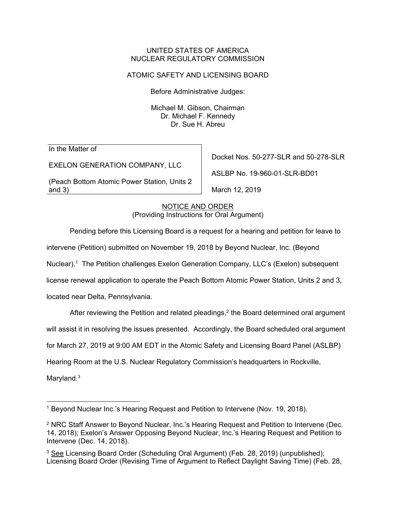#### UNITED STATES OF AMERICA NUCLEAR REGULATORY COMMISSION

## ATOMIC SAFETY AND LICENSING BOARD

Before Administrative Judges:

Michael M. Gibson, Chairman Dr. Michael F. Kennedy Dr. Sue H. Abreu

In the Matter of

EXELON GENERATION COMPANY, LLC

(Peach Bottom Atomic Power Station, Units 2 and 3)

Docket Nos. 50-277-SLR and 50-278-SLR

ASLBP No. 19-960-01-SLR-BD01

March 12, 2019

NOTICE AND ORDER (Providing Instructions for Oral Argument)

Pending before this Licensing Board is a request for a hearing and petition for leave to

intervene (Petition) submitted on November 19, 2018 by Beyond Nuclear, Inc. (Beyond

Nuclear).1 The Petition challenges Exelon Generation Company, LLC's (Exelon) subsequent

license renewal application to operate the Peach Bottom Atomic Power Station, Units 2 and 3,

located near Delta, Pennsylvania.

After reviewing the Petition and related pleadings, $2$  the Board determined oral argument will assist it in resolving the issues presented. Accordingly, the Board scheduled oral argument for March 27, 2019 at 9:00 AM EDT in the Atomic Safety and Licensing Board Panel (ASLBP) Hearing Room at the U.S. Nuclear Regulatory Commission's headquarters in Rockville, Maryland.<sup>3</sup>

<sup>&</sup>lt;sup>1</sup> Beyond Nuclear Inc.'s Hearing Request and Petition to Intervene (Nov. 19, 2018).

<sup>2</sup> NRC Staff Answer to Beyond Nuclear, Inc.'s Hearing Request and Petition to Intervene (Dec. 14, 2018); Exelon's Answer Opposing Beyond Nuclear, Inc.'s Hearing Request and Petition to Intervene (Dec. 14, 2018).

<sup>&</sup>lt;sup>3</sup> See Licensing Board Order (Scheduling Oral Argument) (Feb. 28, 2019) (unpublished); Licensing Board Order (Revising Time of Argument to Reflect Daylight Saving Time) (Feb. 28,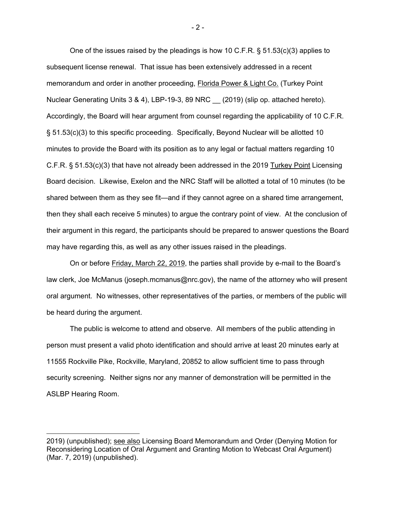One of the issues raised by the pleadings is how 10 C.F.R.  $\S$  51.53(c)(3) applies to subsequent license renewal. That issue has been extensively addressed in a recent memorandum and order in another proceeding, Florida Power & Light Co. (Turkey Point Nuclear Generating Units 3 & 4), LBP-19-3, 89 NRC (2019) (slip op. attached hereto). Accordingly, the Board will hear argument from counsel regarding the applicability of 10 C.F.R. § 51.53(c)(3) to this specific proceeding. Specifically, Beyond Nuclear will be allotted 10 minutes to provide the Board with its position as to any legal or factual matters regarding 10 C.F.R. § 51.53(c)(3) that have not already been addressed in the 2019 Turkey Point Licensing Board decision. Likewise, Exelon and the NRC Staff will be allotted a total of 10 minutes (to be shared between them as they see fit—and if they cannot agree on a shared time arrangement, then they shall each receive 5 minutes) to argue the contrary point of view. At the conclusion of their argument in this regard, the participants should be prepared to answer questions the Board may have regarding this, as well as any other issues raised in the pleadings.

On or before Friday, March 22, 2019, the parties shall provide by e-mail to the Board's law clerk, Joe McManus (joseph.mcmanus@nrc.gov), the name of the attorney who will present oral argument. No witnesses, other representatives of the parties, or members of the public will be heard during the argument.

The public is welcome to attend and observe. All members of the public attending in person must present a valid photo identification and should arrive at least 20 minutes early at 11555 Rockville Pike, Rockville, Maryland, 20852 to allow sufficient time to pass through security screening. Neither signs nor any manner of demonstration will be permitted in the ASLBP Hearing Room.

<sup>2019) (</sup>unpublished); see also Licensing Board Memorandum and Order (Denying Motion for Reconsidering Location of Oral Argument and Granting Motion to Webcast Oral Argument) (Mar. 7, 2019) (unpublished).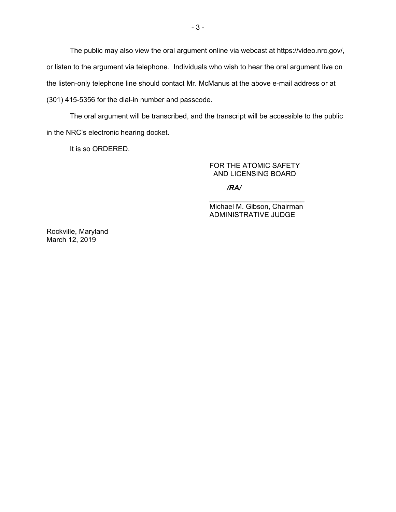The public may also view the oral argument online via webcast at https://video.nrc.gov/, or listen to the argument via telephone. Individuals who wish to hear the oral argument live on the listen-only telephone line should contact Mr. McManus at the above e-mail address or at (301) 415-5356 for the dial-in number and passcode.

The oral argument will be transcribed, and the transcript will be accessible to the public in the NRC's electronic hearing docket.

It is so ORDERED.

### FOR THE ATOMIC SAFETY AND LICENSING BOARD

*/RA/*

\_\_\_\_\_\_\_\_\_\_\_\_\_\_\_\_\_\_\_\_\_\_\_\_ Michael M. Gibson, Chairman ADMINISTRATIVE JUDGE

Rockville, Maryland March 12, 2019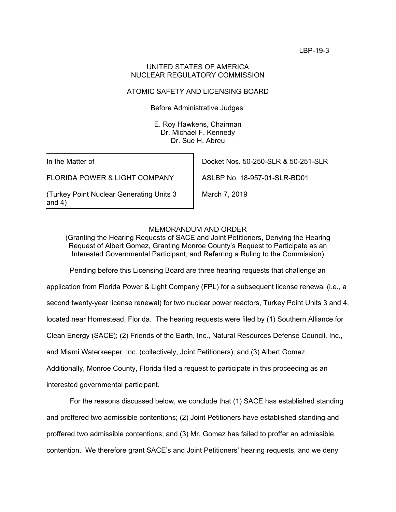### UNITED STATES OF AMERICA NUCLEAR REGULATORY COMMISSION

## ATOMIC SAFETY AND LICENSING BOARD

Before Administrative Judges:

E. Roy Hawkens, Chairman Dr. Michael F. Kennedy Dr. Sue H. Abreu

In the Matter of

FLORIDA POWER & LIGHT COMPANY

(Turkey Point Nuclear Generating Units 3 and 4)

Docket Nos. 50-250-SLR & 50-251-SLR

ASLBP No. 18-957-01-SLR-BD01

March 7, 2019

### MEMORANDUM AND ORDER

(Granting the Hearing Requests of SACE and Joint Petitioners, Denying the Hearing Request of Albert Gomez, Granting Monroe County's Request to Participate as an Interested Governmental Participant, and Referring a Ruling to the Commission)

Pending before this Licensing Board are three hearing requests that challenge an

application from Florida Power & Light Company (FPL) for a subsequent license renewal (i.e., a

second twenty-year license renewal) for two nuclear power reactors, Turkey Point Units 3 and 4,

located near Homestead, Florida. The hearing requests were filed by (1) Southern Alliance for

Clean Energy (SACE); (2) Friends of the Earth, Inc., Natural Resources Defense Council, Inc.,

and Miami Waterkeeper, Inc. (collectively, Joint Petitioners); and (3) Albert Gomez.

Additionally, Monroe County, Florida filed a request to participate in this proceeding as an

interested governmental participant.

For the reasons discussed below, we conclude that (1) SACE has established standing and proffered two admissible contentions; (2) Joint Petitioners have established standing and proffered two admissible contentions; and (3) Mr. Gomez has failed to proffer an admissible contention. We therefore grant SACE's and Joint Petitioners' hearing requests, and we deny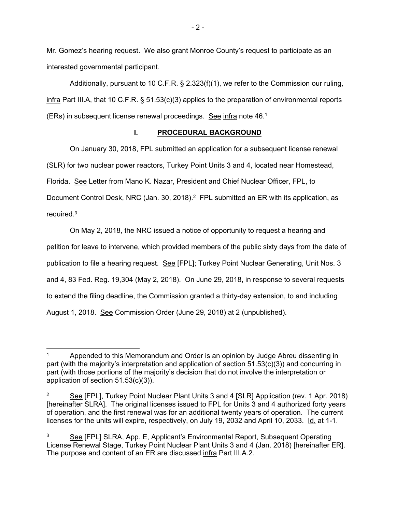Mr. Gomez's hearing request. We also grant Monroe County's request to participate as an interested governmental participant.

 Additionally, pursuant to 10 C.F.R. § 2.323(f)(1), we refer to the Commission our ruling, infra Part III.A, that 10 C.F.R. § 51.53(c)(3) applies to the preparation of environmental reports (ERs) in subsequent license renewal proceedings. See infra note 46.<sup>1</sup>

### **I. PROCEDURAL BACKGROUND**

On January 30, 2018, FPL submitted an application for a subsequent license renewal (SLR) for two nuclear power reactors, Turkey Point Units 3 and 4, located near Homestead, Florida. See Letter from Mano K. Nazar, President and Chief Nuclear Officer, FPL, to Document Control Desk, NRC (Jan. 30, 2018).<sup>2</sup> FPL submitted an ER with its application, as required. $3$ 

On May 2, 2018, the NRC issued a notice of opportunity to request a hearing and petition for leave to intervene, which provided members of the public sixty days from the date of publication to file a hearing request. See [FPL]; Turkey Point Nuclear Generating, Unit Nos. 3 and 4, 83 Fed. Reg. 19,304 (May 2, 2018). On June 29, 2018, in response to several requests to extend the filing deadline, the Commission granted a thirty-day extension, to and including August 1, 2018. See Commission Order (June 29, 2018) at 2 (unpublished).

Appended to this Memorandum and Order is an opinion by Judge Abreu dissenting in part (with the majority's interpretation and application of section 51.53(c)(3)) and concurring in part (with those portions of the majority's decision that do not involve the interpretation or application of section 51.53(c)(3)).

<sup>&</sup>lt;sup>2</sup> See [FPL], Turkey Point Nuclear Plant Units 3 and 4 [SLR] Application (rev. 1 Apr. 2018) [hereinafter SLRA]. The original licenses issued to FPL for Units 3 and 4 authorized forty years of operation, and the first renewal was for an additional twenty years of operation. The current licenses for the units will expire, respectively, on July 19, 2032 and April 10, 2033. Id. at 1-1.

<sup>3</sup> See [FPL] SLRA, App. E, Applicant's Environmental Report, Subsequent Operating License Renewal Stage, Turkey Point Nuclear Plant Units 3 and 4 (Jan. 2018) [hereinafter ER]. The purpose and content of an ER are discussed infra Part III.A.2.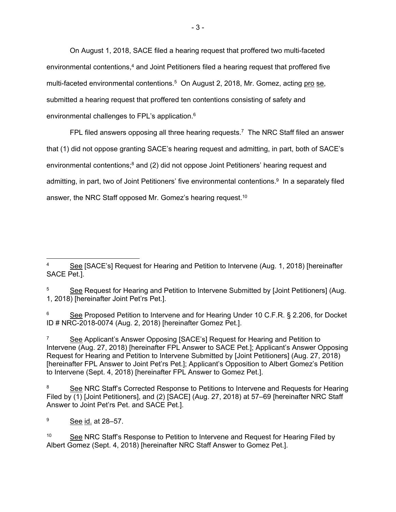On August 1, 2018, SACE filed a hearing request that proffered two multi-faceted environmental contentions,<sup>4</sup> and Joint Petitioners filed a hearing request that proffered five multi-faceted environmental contentions.<sup>5</sup> On August 2, 2018, Mr. Gomez, acting pro se, submitted a hearing request that proffered ten contentions consisting of safety and environmental challenges to FPL's application.<sup>6</sup>

FPL filed answers opposing all three hearing requests.<sup>7</sup> The NRC Staff filed an answer that (1) did not oppose granting SACE's hearing request and admitting, in part, both of SACE's environmental contentions;<sup>8</sup> and (2) did not oppose Joint Petitioners' hearing request and admitting, in part, two of Joint Petitioners' five environmental contentions.<sup>9</sup> In a separately filed answer, the NRC Staff opposed Mr. Gomez's hearing request.10

6 See Proposed Petition to Intervene and for Hearing Under 10 C.F.R. § 2.206, for Docket ID # NRC-2018-0074 (Aug. 2, 2018) [hereinafter Gomez Pet.].

7 See Applicant's Answer Opposing [SACE's] Request for Hearing and Petition to Intervene (Aug. 27, 2018) [hereinafter FPL Answer to SACE Pet.]; Applicant's Answer Opposing Request for Hearing and Petition to Intervene Submitted by [Joint Petitioners] (Aug. 27, 2018) [hereinafter FPL Answer to Joint Pet'rs Pet.]; Applicant's Opposition to Albert Gomez's Petition to Intervene (Sept. 4, 2018) [hereinafter FPL Answer to Gomez Pet.].

8 See NRC Staff's Corrected Response to Petitions to Intervene and Requests for Hearing Filed by (1) [Joint Petitioners], and (2) [SACE] (Aug. 27, 2018) at 57–69 [hereinafter NRC Staff Answer to Joint Pet'rs Pet. and SACE Pet.].

 See [SACE's] Request for Hearing and Petition to Intervene (Aug. 1, 2018) [hereinafter SACE Pet.].

<sup>5</sup> See Request for Hearing and Petition to Intervene Submitted by [Joint Petitioners] (Aug. 1, 2018) [hereinafter Joint Pet'rs Pet.].

<sup>9</sup> See id. at 28–57.

<sup>&</sup>lt;sup>10</sup> See NRC Staff's Response to Petition to Intervene and Request for Hearing Filed by Albert Gomez (Sept. 4, 2018) [hereinafter NRC Staff Answer to Gomez Pet.].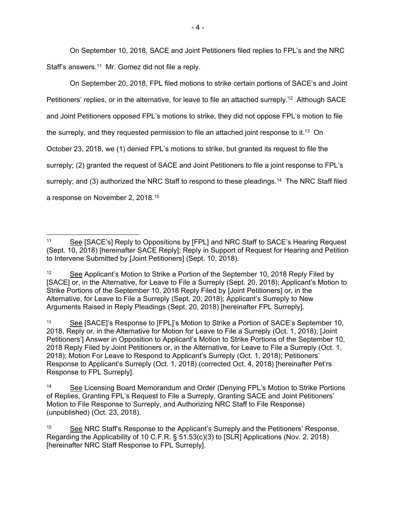On September 10, 2018, SACE and Joint Petitioners filed replies to FPL's and the NRC Staff's answers.<sup>11</sup> Mr. Gomez did not file a reply.

On September 20, 2018, FPL filed motions to strike certain portions of SACE's and Joint Petitioners' replies, or in the alternative, for leave to file an attached surreply.<sup>12</sup> Although SACE and Joint Petitioners opposed FPL's motions to strike, they did not oppose FPL's motion to file the surreply, and they requested permission to file an attached joint response to it.13 On October 23, 2018, we (1) denied FPL's motions to strike, but granted its request to file the surreply; (2) granted the request of SACE and Joint Petitioners to file a joint response to FPL's surreply; and (3) authorized the NRC Staff to respond to these pleadings.<sup>14</sup> The NRC Staff filed a response on November 2, 2018.15

<sup>13</sup> See [SACE]'s Response to [FPL]'s Motion to Strike a Portion of SACE's September 10, 2018, Reply or, in the Alternative for Motion for Leave to File a Surreply (Oct. 1, 2018); [Joint Petitioners'] Answer in Opposition to Applicant's Motion to Strike Portions of the September 10, 2018 Reply Filed by Joint Petitioners or, in the Alternative, for Leave to File a Surreply (Oct. 1, 2018); Motion For Leave to Respond to Applicant's Surreply (Oct. 1, 2018); Petitioners' Response to Applicant's Surreply (Oct. 1, 2018) (corrected Oct. 4, 2018) [hereinafter Pet'rs Response to FPL Surreply].

<sup>-</sup>11 See [SACE's] Reply to Oppositions by [FPL] and NRC Staff to SACE's Hearing Request (Sept. 10, 2018) [hereinafter SACE Reply]; Reply in Support of Request for Hearing and Petition to Intervene Submitted by [Joint Petitioners] (Sept. 10, 2018).

 $12$  See Applicant's Motion to Strike a Portion of the September 10, 2018 Reply Filed by [SACE] or, in the Alternative, for Leave to File a Surreply (Sept. 20, 2018); Applicant's Motion to Strike Portions of the September 10, 2018 Reply Filed by [Joint Petitioners] or, in the Alternative, for Leave to File a Surreply (Sept. 20, 2018); Applicant's Surreply to New Arguments Raised in Reply Pleadings (Sept. 20, 2018) [hereinafter FPL Surreply].

<sup>&</sup>lt;sup>14</sup> See Licensing Board Memorandum and Order (Denying FPL's Motion to Strike Portions of Replies, Granting FPL's Request to File a Surreply, Granting SACE and Joint Petitioners' Motion to File Response to Surreply, and Authorizing NRC Staff to File Response) (unpublished) (Oct. 23, 2018).

<sup>&</sup>lt;sup>15</sup> See NRC Staff's Response to the Applicant's Surreply and the Petitioners' Response, Regarding the Applicability of 10 C.F.R. § 51.53(c)(3) to [SLR] Applications (Nov. 2, 2018) [hereinafter NRC Staff Response to FPL Surreply].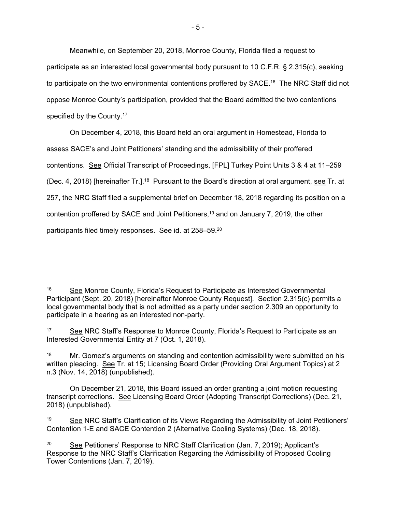Meanwhile, on September 20, 2018, Monroe County, Florida filed a request to participate as an interested local governmental body pursuant to 10 C.F.R. § 2.315(c), seeking to participate on the two environmental contentions proffered by SACE.<sup>16</sup> The NRC Staff did not oppose Monroe County's participation, provided that the Board admitted the two contentions specified by the County.<sup>17</sup>

On December 4, 2018, this Board held an oral argument in Homestead, Florida to assess SACE's and Joint Petitioners' standing and the admissibility of their proffered contentions. See Official Transcript of Proceedings, [FPL] Turkey Point Units 3 & 4 at 11–259 (Dec. 4, 2018) [hereinafter Tr.].<sup>18</sup> Pursuant to the Board's direction at oral argument, see Tr. at 257, the NRC Staff filed a supplemental brief on December 18, 2018 regarding its position on a contention proffered by SACE and Joint Petitioners,<sup>19</sup> and on January 7, 2019, the other participants filed timely responses. See id. at 258–59.20

 <sup>16</sup> See Monroe County, Florida's Request to Participate as Interested Governmental Participant (Sept. 20, 2018) [hereinafter Monroe County Request]. Section 2.315(c) permits a local governmental body that is not admitted as a party under section 2.309 an opportunity to participate in a hearing as an interested non-party.

<sup>&</sup>lt;sup>17</sup> See NRC Staff's Response to Monroe County, Florida's Request to Participate as an Interested Governmental Entity at 7 (Oct. 1, 2018).

<sup>&</sup>lt;sup>18</sup> Mr. Gomez's arguments on standing and contention admissibility were submitted on his written pleading. See Tr. at 15; Licensing Board Order (Providing Oral Argument Topics) at 2 n.3 (Nov. 14, 2018) (unpublished).

On December 21, 2018, this Board issued an order granting a joint motion requesting transcript corrections. See Licensing Board Order (Adopting Transcript Corrections) (Dec. 21, 2018) (unpublished).

See NRC Staff's Clarification of its Views Regarding the Admissibility of Joint Petitioners' Contention 1-E and SACE Contention 2 (Alternative Cooling Systems) (Dec. 18, 2018).

<sup>&</sup>lt;sup>20</sup> See Petitioners' Response to NRC Staff Clarification (Jan. 7, 2019); Applicant's Response to the NRC Staff's Clarification Regarding the Admissibility of Proposed Cooling Tower Contentions (Jan. 7, 2019).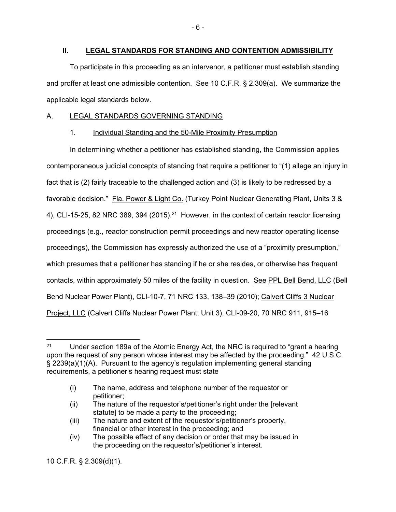### **II. LEGAL STANDARDS FOR STANDING AND CONTENTION ADMISSIBILITY**

To participate in this proceeding as an intervenor, a petitioner must establish standing and proffer at least one admissible contention. See 10 C.F.R. § 2.309(a). We summarize the applicable legal standards below.

### A. LEGAL STANDARDS GOVERNING STANDING

### 1. Individual Standing and the 50-Mile Proximity Presumption

 In determining whether a petitioner has established standing, the Commission applies contemporaneous judicial concepts of standing that require a petitioner to "(1) allege an injury in fact that is (2) fairly traceable to the challenged action and (3) is likely to be redressed by a favorable decision." Fla. Power & Light Co. (Turkey Point Nuclear Generating Plant, Units 3 & 4), CLI-15-25, 82 NRC 389, 394 (2015).<sup>21</sup> However, in the context of certain reactor licensing proceedings (e.g., reactor construction permit proceedings and new reactor operating license proceedings), the Commission has expressly authorized the use of a "proximity presumption," which presumes that a petitioner has standing if he or she resides, or otherwise has frequent contacts, within approximately 50 miles of the facility in question. See PPL Bell Bend, LLC (Bell Bend Nuclear Power Plant), CLI-10-7, 71 NRC 133, 138–39 (2010); Calvert Cliffs 3 Nuclear Project, LLC (Calvert Cliffs Nuclear Power Plant, Unit 3), CLI-09-20, 70 NRC 911, 915–16

10 C.F.R. § 2.309(d)(1).

 $\overline{a}$ <sup>21</sup> Under section 189a of the Atomic Energy Act, the NRC is required to "grant a hearing upon the request of any person whose interest may be affected by the proceeding." 42 U.S.C. § 2239(a)(1)(A). Pursuant to the agency's regulation implementing general standing requirements, a petitioner's hearing request must state

<sup>(</sup>i) The name, address and telephone number of the requestor or petitioner;

<sup>(</sup>ii) The nature of the requestor's/petitioner's right under the [relevant statute] to be made a party to the proceeding;

<sup>(</sup>iii) The nature and extent of the requestor's/petitioner's property, financial or other interest in the proceeding; and

<sup>(</sup>iv) The possible effect of any decision or order that may be issued in the proceeding on the requestor's/petitioner's interest.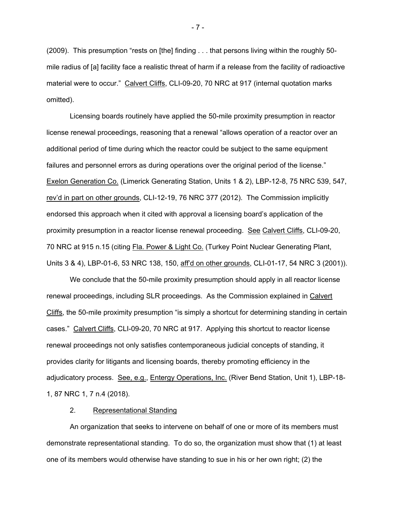(2009). This presumption "rests on [the] finding . . . that persons living within the roughly 50 mile radius of [a] facility face a realistic threat of harm if a release from the facility of radioactive material were to occur." Calvert Cliffs, CLI-09-20, 70 NRC at 917 (internal quotation marks omitted).

 Licensing boards routinely have applied the 50-mile proximity presumption in reactor license renewal proceedings, reasoning that a renewal "allows operation of a reactor over an additional period of time during which the reactor could be subject to the same equipment failures and personnel errors as during operations over the original period of the license." Exelon Generation Co. (Limerick Generating Station, Units 1 & 2), LBP-12-8, 75 NRC 539, 547, rev'd in part on other grounds, CLI-12-19, 76 NRC 377 (2012). The Commission implicitly endorsed this approach when it cited with approval a licensing board's application of the proximity presumption in a reactor license renewal proceeding. See Calvert Cliffs, CLI-09-20, 70 NRC at 915 n.15 (citing Fla. Power & Light Co. (Turkey Point Nuclear Generating Plant, Units 3 & 4), LBP-01-6, 53 NRC 138, 150, aff'd on other grounds, CLI-01-17, 54 NRC 3 (2001)).

We conclude that the 50-mile proximity presumption should apply in all reactor license renewal proceedings, including SLR proceedings. As the Commission explained in Calvert Cliffs, the 50-mile proximity presumption "is simply a shortcut for determining standing in certain cases." Calvert Cliffs, CLI-09-20, 70 NRC at 917. Applying this shortcut to reactor license renewal proceedings not only satisfies contemporaneous judicial concepts of standing, it provides clarity for litigants and licensing boards, thereby promoting efficiency in the adjudicatory process. See, e.g., Entergy Operations, Inc. (River Bend Station, Unit 1), LBP-18-1, 87 NRC 1, 7 n.4 (2018).

### 2. Representational Standing

 An organization that seeks to intervene on behalf of one or more of its members must demonstrate representational standing. To do so, the organization must show that (1) at least one of its members would otherwise have standing to sue in his or her own right; (2) the

- 7 -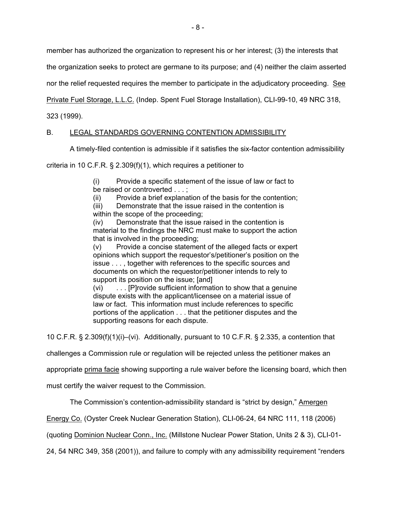member has authorized the organization to represent his or her interest; (3) the interests that

the organization seeks to protect are germane to its purpose; and (4) neither the claim asserted

nor the relief requested requires the member to participate in the adjudicatory proceeding. See

Private Fuel Storage, L.L.C. (Indep. Spent Fuel Storage Installation), CLI-99-10, 49 NRC 318,

323 (1999).

# B. LEGAL STANDARDS GOVERNING CONTENTION ADMISSIBILITY

A timely-filed contention is admissible if it satisfies the six-factor contention admissibility

criteria in 10 C.F.R. § 2.309(f)(1), which requires a petitioner to

(i) Provide a specific statement of the issue of law or fact to be raised or controverted . . . :

(ii) Provide a brief explanation of the basis for the contention;

(iii) Demonstrate that the issue raised in the contention is within the scope of the proceeding:

(iv) Demonstrate that the issue raised in the contention is material to the findings the NRC must make to support the action that is involved in the proceeding;

(v) Provide a concise statement of the alleged facts or expert opinions which support the requestor's/petitioner's position on the issue . . . , together with references to the specific sources and documents on which the requestor/petitioner intends to rely to support its position on the issue; [and]

(vi) . . . [P]rovide sufficient information to show that a genuine dispute exists with the applicant/licensee on a material issue of law or fact. This information must include references to specific portions of the application . . . that the petitioner disputes and the supporting reasons for each dispute.

10 C.F.R. § 2.309(f)(1)(i)–(vi). Additionally, pursuant to 10 C.F.R. § 2.335, a contention that

challenges a Commission rule or regulation will be rejected unless the petitioner makes an

appropriate prima facie showing supporting a rule waiver before the licensing board, which then

must certify the waiver request to the Commission.

The Commission's contention-admissibility standard is "strict by design," Amergen

Energy Co. (Oyster Creek Nuclear Generation Station), CLI-06-24, 64 NRC 111, 118 (2006)

(quoting Dominion Nuclear Conn., Inc. (Millstone Nuclear Power Station, Units 2 & 3), CLI-01-

24, 54 NRC 349, 358 (2001)), and failure to comply with any admissibility requirement "renders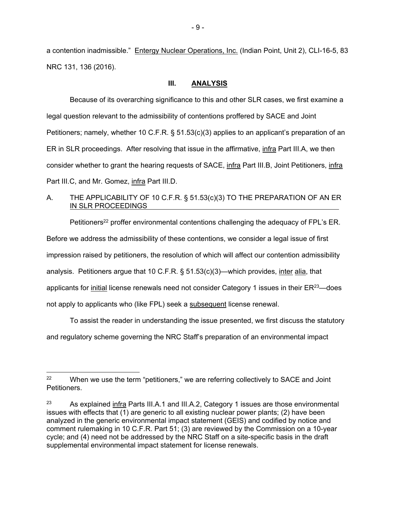a contention inadmissible." Entergy Nuclear Operations, Inc. (Indian Point, Unit 2), CLI-16-5, 83 NRC 131, 136 (2016).

### **III. ANALYSIS**

 Because of its overarching significance to this and other SLR cases, we first examine a legal question relevant to the admissibility of contentions proffered by SACE and Joint Petitioners; namely, whether 10 C.F.R. § 51.53(c)(3) applies to an applicant's preparation of an ER in SLR proceedings. After resolving that issue in the affirmative, *infra Part III.A, we then* consider whether to grant the hearing requests of SACE, infra Part III.B, Joint Petitioners, infra Part III.C, and Mr. Gomez, infra Part III.D.

# A. THE APPLICABILITY OF 10 C.F.R. § 51.53(c)(3) TO THE PREPARATION OF AN ER IN SLR PROCEEDINGS

Petitioners<sup>22</sup> proffer environmental contentions challenging the adequacy of FPL's ER. Before we address the admissibility of these contentions, we consider a legal issue of first impression raised by petitioners, the resolution of which will affect our contention admissibility analysis. Petitioners argue that 10 C.F.R. § 51.53(c)(3)—which provides, inter alia, that applicants for initial license renewals need not consider Category 1 issues in their  $ER^{23}$ —does not apply to applicants who (like FPL) seek a subsequent license renewal.

 To assist the reader in understanding the issue presented, we first discuss the statutory and regulatory scheme governing the NRC Staff's preparation of an environmental impact

 <sup>22</sup> When we use the term "petitioners," we are referring collectively to SACE and Joint Petitioners.

<sup>&</sup>lt;sup>23</sup> As explained infra Parts III.A.1 and III.A.2, Category 1 issues are those environmental issues with effects that (1) are generic to all existing nuclear power plants; (2) have been analyzed in the generic environmental impact statement (GEIS) and codified by notice and comment rulemaking in 10 C.F.R. Part 51; (3) are reviewed by the Commission on a 10-year cycle; and (4) need not be addressed by the NRC Staff on a site-specific basis in the draft supplemental environmental impact statement for license renewals.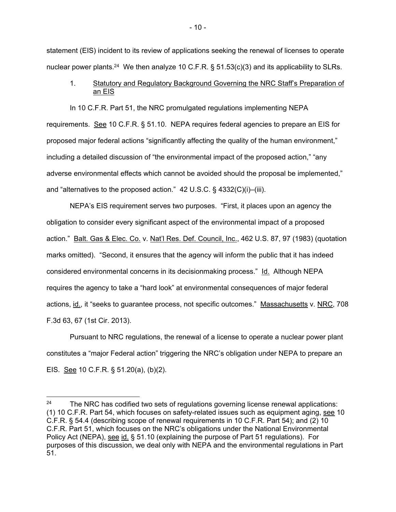statement (EIS) incident to its review of applications seeking the renewal of licenses to operate nuclear power plants.<sup>24</sup> We then analyze 10 C.F.R. § 51.53(c)(3) and its applicability to SLRs.

## 1. Statutory and Regulatory Background Governing the NRC Staff's Preparation of an EIS

 In 10 C.F.R. Part 51, the NRC promulgated regulations implementing NEPA requirements. See 10 C.F.R. § 51.10. NEPA requires federal agencies to prepare an EIS for proposed major federal actions "significantly affecting the quality of the human environment," including a detailed discussion of "the environmental impact of the proposed action," "any adverse environmental effects which cannot be avoided should the proposal be implemented," and "alternatives to the proposed action." 42 U.S.C. § 4332(C)(i)–(iii).

 NEPA's EIS requirement serves two purposes. "First, it places upon an agency the obligation to consider every significant aspect of the environmental impact of a proposed action." Balt. Gas & Elec. Co. v. Nat'l Res. Def. Council, Inc., 462 U.S. 87, 97 (1983) (quotation marks omitted). "Second, it ensures that the agency will inform the public that it has indeed considered environmental concerns in its decisionmaking process." Id. Although NEPA requires the agency to take a "hard look" at environmental consequences of major federal actions, id., it "seeks to guarantee process, not specific outcomes." Massachusetts v. NRC, 708 F.3d 63, 67 (1st Cir. 2013).

 Pursuant to NRC regulations, the renewal of a license to operate a nuclear power plant constitutes a "major Federal action" triggering the NRC's obligation under NEPA to prepare an EIS. See 10 C.F.R. § 51.20(a), (b)(2).

 $\overline{a}$ 

<sup>&</sup>lt;sup>24</sup> The NRC has codified two sets of regulations governing license renewal applications: (1) 10 C.F.R. Part 54, which focuses on safety-related issues such as equipment aging, see 10 C.F.R. § 54.4 (describing scope of renewal requirements in 10 C.F.R. Part 54); and (2) 10 C.F.R. Part 51, which focuses on the NRC's obligations under the National Environmental Policy Act (NEPA), see id. § 51.10 (explaining the purpose of Part 51 regulations). For purposes of this discussion, we deal only with NEPA and the environmental regulations in Part 51.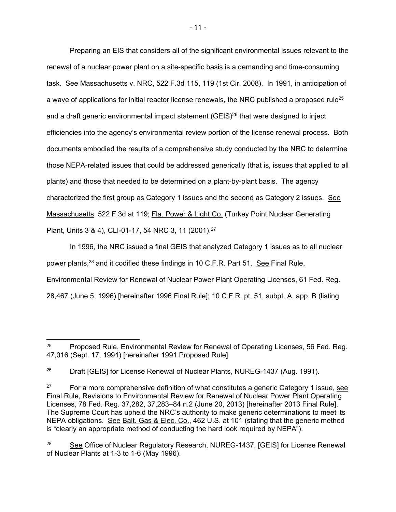Preparing an EIS that considers all of the significant environmental issues relevant to the renewal of a nuclear power plant on a site-specific basis is a demanding and time-consuming task. See Massachusetts v. NRC, 522 F.3d 115, 119 (1st Cir. 2008). In 1991, in anticipation of a wave of applications for initial reactor license renewals, the NRC published a proposed rule<sup>25</sup> and a draft generic environmental impact statement (GEIS)<sup>26</sup> that were designed to inject efficiencies into the agency's environmental review portion of the license renewal process. Both documents embodied the results of a comprehensive study conducted by the NRC to determine those NEPA-related issues that could be addressed generically (that is, issues that applied to all plants) and those that needed to be determined on a plant-by-plant basis. The agency characterized the first group as Category 1 issues and the second as Category 2 issues. See Massachusetts, 522 F.3d at 119; Fla. Power & Light Co. (Turkey Point Nuclear Generating Plant, Units 3 & 4), CLI-01-17, 54 NRC 3, 11 (2001).27

In 1996, the NRC issued a final GEIS that analyzed Category 1 issues as to all nuclear power plants,<sup>28</sup> and it codified these findings in 10 C.F.R. Part 51. See Final Rule, Environmental Review for Renewal of Nuclear Power Plant Operating Licenses, 61 Fed. Reg. 28,467 (June 5, 1996) [hereinafter 1996 Final Rule]; 10 C.F.R. pt. 51, subpt. A, app. B (listing

 $\overline{a}$ <sup>25</sup> Proposed Rule, Environmental Review for Renewal of Operating Licenses, 56 Fed. Reg. 47,016 (Sept. 17, 1991) [hereinafter 1991 Proposed Rule].

<sup>&</sup>lt;sup>26</sup> Draft [GEIS] for License Renewal of Nuclear Plants, NUREG-1437 (Aug. 1991).

<sup>&</sup>lt;sup>27</sup> For a more comprehensive definition of what constitutes a generic Category 1 issue, see Final Rule, Revisions to Environmental Review for Renewal of Nuclear Power Plant Operating Licenses, 78 Fed. Reg. 37,282, 37,283–84 n.2 (June 20, 2013) [hereinafter 2013 Final Rule]. The Supreme Court has upheld the NRC's authority to make generic determinations to meet its NEPA obligations. See Balt. Gas & Elec. Co., 462 U.S. at 101 (stating that the generic method is "clearly an appropriate method of conducting the hard look required by NEPA").

<sup>28</sup> See Office of Nuclear Regulatory Research, NUREG-1437, [GEIS] for License Renewal of Nuclear Plants at 1-3 to 1-6 (May 1996).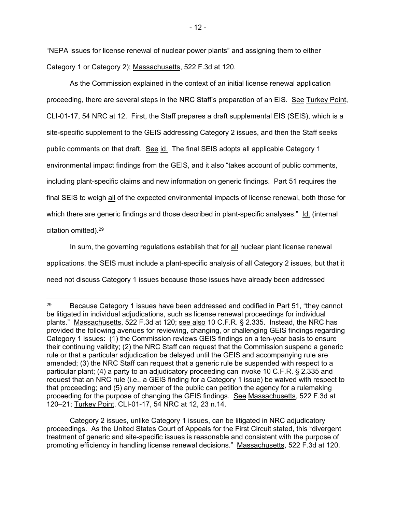"NEPA issues for license renewal of nuclear power plants" and assigning them to either Category 1 or Category 2); Massachusetts, 522 F.3d at 120.

 As the Commission explained in the context of an initial license renewal application proceeding, there are several steps in the NRC Staff's preparation of an EIS. See Turkey Point, CLI-01-17, 54 NRC at 12. First, the Staff prepares a draft supplemental EIS (SEIS), which is a site-specific supplement to the GEIS addressing Category 2 issues, and then the Staff seeks public comments on that draft. See id. The final SEIS adopts all applicable Category 1 environmental impact findings from the GEIS, and it also "takes account of public comments, including plant-specific claims and new information on generic findings. Part 51 requires the final SEIS to weigh all of the expected environmental impacts of license renewal, both those for which there are generic findings and those described in plant-specific analyses." Id. (internal citation omitted).29

 In sum, the governing regulations establish that for all nuclear plant license renewal applications, the SEIS must include a plant-specific analysis of all Category 2 issues, but that it need not discuss Category 1 issues because those issues have already been addressed

 Category 2 issues, unlike Category 1 issues, can be litigated in NRC adjudicatory proceedings. As the United States Court of Appeals for the First Circuit stated, this "divergent treatment of generic and site-specific issues is reasonable and consistent with the purpose of promoting efficiency in handling license renewal decisions." Massachusetts, 522 F.3d at 120.

<sup>&</sup>lt;sup>29</sup> Because Category 1 issues have been addressed and codified in Part 51, "they cannot be litigated in individual adjudications, such as license renewal proceedings for individual plants." Massachusetts, 522 F.3d at 120; see also 10 C.F.R. § 2.335. Instead, the NRC has provided the following avenues for reviewing, changing, or challenging GEIS findings regarding Category 1 issues: (1) the Commission reviews GEIS findings on a ten-year basis to ensure their continuing validity; (2) the NRC Staff can request that the Commission suspend a generic rule or that a particular adjudication be delayed until the GEIS and accompanying rule are amended; (3) the NRC Staff can request that a generic rule be suspended with respect to a particular plant; (4) a party to an adjudicatory proceeding can invoke 10 C.F.R. § 2.335 and request that an NRC rule (i.e., a GEIS finding for a Category 1 issue) be waived with respect to that proceeding; and (5) any member of the public can petition the agency for a rulemaking proceeding for the purpose of changing the GEIS findings. See Massachusetts, 522 F.3d at 120–21; Turkey Point, CLI-01-17, 54 NRC at 12, 23 n.14.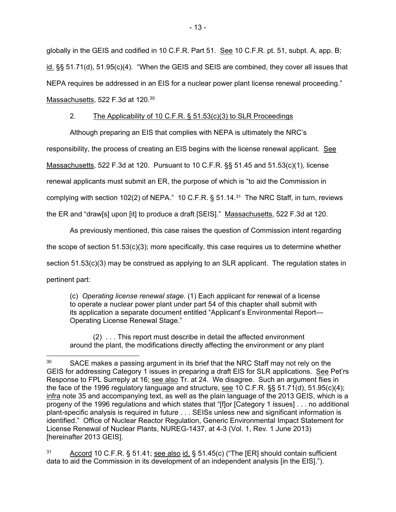globally in the GEIS and codified in 10 C.F.R. Part 51. See 10 C.F.R. pt. 51, subpt. A, app. B;  $id.$  §§ 51.71(d), 51.95(c)(4). "When the GEIS and SEIS are combined, they cover all issues that NEPA requires be addressed in an EIS for a nuclear power plant license renewal proceeding." Massachusetts, 522 F.3d at 120.<sup>30</sup>

### 2. The Applicability of 10 C.F.R. § 51.53(c)(3) to SLR Proceedings

 Although preparing an EIS that complies with NEPA is ultimately the NRC's responsibility, the process of creating an EIS begins with the license renewal applicant. See Massachusetts, 522 F.3d at 120. Pursuant to 10 C.F.R. §§ 51.45 and 51.53(c)(1), license renewal applicants must submit an ER, the purpose of which is "to aid the Commission in complying with section 102(2) of NEPA." 10 C.F.R. § 51.14.31 The NRC Staff, in turn, reviews the ER and "draw[s] upon [it] to produce a draft [SEIS]." Massachusetts, 522 F.3d at 120.

 As previously mentioned, this case raises the question of Commission intent regarding the scope of section 51.53(c)(3); more specifically, this case requires us to determine whether section 51.53(c)(3) may be construed as applying to an SLR applicant. The regulation states in pertinent part:

(c) *Operating license renewal stage.* (1) Each applicant for renewal of a license to operate a nuclear power plant under part 54 of this chapter shall submit with its application a separate document entitled "Applicant's Environmental Report— Operating License Renewal Stage."

 (2) . . . This report must describe in detail the affected environment around the plant, the modifications directly affecting the environment or any plant

-

<sup>31</sup> Accord 10 C.F.R. § 51.41; see also id. § 51.45(c) ("The [ER] should contain sufficient data to aid the Commission in its development of an independent analysis [in the EIS].").

<sup>&</sup>lt;sup>30</sup> SACE makes a passing argument in its brief that the NRC Staff may not rely on the GEIS for addressing Category 1 issues in preparing a draft EIS for SLR applications. See Pet'rs Response to FPL Surreply at 16; see also Tr. at 24. We disagree. Such an argument flies in the face of the 1996 regulatory language and structure, see 10 C.F.R. §§ 51.71(d), 51.95(c)(4); infra note 35 and accompanying text, as well as the plain language of the 2013 GEIS, which is a progeny of the 1996 regulations and which states that "[f]or [Category 1 issues] . . . no additional plant-specific analysis is required in future . . . SEISs unless new and significant information is identified." Office of Nuclear Reactor Regulation, Generic Environmental Impact Statement for License Renewal of Nuclear Plants, NUREG-1437, at 4-3 (Vol. 1, Rev. 1 June 2013) [hereinafter 2013 GEIS].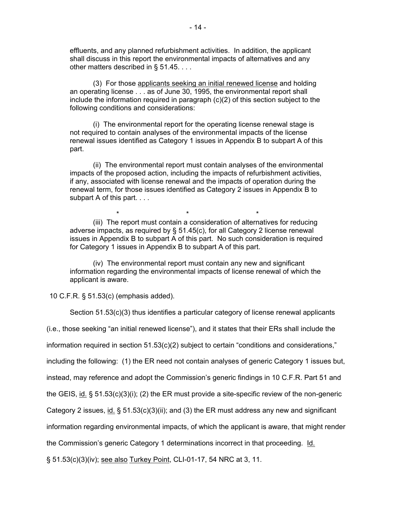effluents, and any planned refurbishment activities. In addition, the applicant shall discuss in this report the environmental impacts of alternatives and any other matters described in § 51.45. . . .

 (3) For those applicants seeking an initial renewed license and holding an operating license . . . as of June 30, 1995, the environmental report shall include the information required in paragraph  $(c)(2)$  of this section subject to the following conditions and considerations:

 (i) The environmental report for the operating license renewal stage is not required to contain analyses of the environmental impacts of the license renewal issues identified as Category 1 issues in Appendix B to subpart A of this part.

 (ii) The environmental report must contain analyses of the environmental impacts of the proposed action, including the impacts of refurbishment activities, if any, associated with license renewal and the impacts of operation during the renewal term, for those issues identified as Category 2 issues in Appendix B to subpart A of this part. . . .

 $\star$  \*  $\star$  \*  $\star$  (iii) The report must contain a consideration of alternatives for reducing adverse impacts, as required by  $\S$  51.45(c), for all Category 2 license renewal issues in Appendix B to subpart A of this part. No such consideration is required for Category 1 issues in Appendix B to subpart A of this part.

 (iv) The environmental report must contain any new and significant information regarding the environmental impacts of license renewal of which the applicant is aware.

10 C.F.R. § 51.53(c) (emphasis added).

Section 51.53(c)(3) thus identifies a particular category of license renewal applicants

(i.e., those seeking "an initial renewed license"), and it states that their ERs shall include the

information required in section  $51.53(c)(2)$  subject to certain "conditions and considerations,"

including the following: (1) the ER need not contain analyses of generic Category 1 issues but,

instead, may reference and adopt the Commission's generic findings in 10 C.F.R. Part 51 and

the GEIS,  $id.$  § 51.53(c)(3)(i); (2) the ER must provide a site-specific review of the non-generic

Category 2 issues, id. § 51.53(c)(3)(ii); and (3) the ER must address any new and significant

information regarding environmental impacts, of which the applicant is aware, that might render

the Commission's generic Category 1 determinations incorrect in that proceeding. Id.

§ 51.53(c)(3)(iv); see also Turkey Point, CLI-01-17, 54 NRC at 3, 11.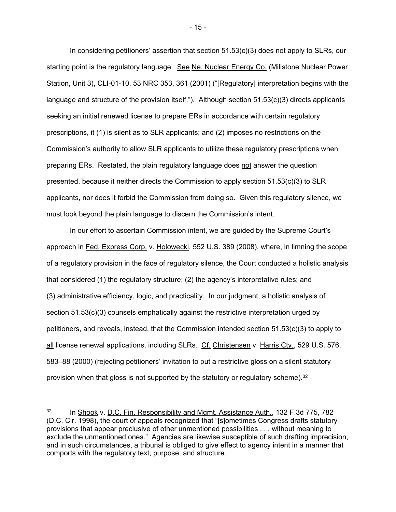In considering petitioners' assertion that section 51.53(c)(3) does not apply to SLRs, our starting point is the regulatory language. See Ne. Nuclear Energy Co. (Millstone Nuclear Power Station, Unit 3), CLI-01-10, 53 NRC 353, 361 (2001) ("[Regulatory] interpretation begins with the language and structure of the provision itself."). Although section 51.53(c)(3) directs applicants seeking an initial renewed license to prepare ERs in accordance with certain regulatory prescriptions, it (1) is silent as to SLR applicants; and (2) imposes no restrictions on the Commission's authority to allow SLR applicants to utilize these regulatory prescriptions when preparing ERs. Restated, the plain regulatory language does not answer the question presented, because it neither directs the Commission to apply section 51.53(c)(3) to SLR applicants, nor does it forbid the Commission from doing so. Given this regulatory silence, we must look beyond the plain language to discern the Commission's intent.

 In our effort to ascertain Commission intent, we are guided by the Supreme Court's approach in Fed. Express Corp. v. Holowecki, 552 U.S. 389 (2008), where, in limning the scope of a regulatory provision in the face of regulatory silence, the Court conducted a holistic analysis that considered (1) the regulatory structure; (2) the agency's interpretative rules; and (3) administrative efficiency, logic, and practicality. In our judgment, a holistic analysis of section 51.53(c)(3) counsels emphatically against the restrictive interpretation urged by petitioners, and reveals, instead, that the Commission intended section 51.53(c)(3) to apply to all license renewal applications, including SLRs. Cf. Christensen v. Harris Cty., 529 U.S. 576, 583–88 (2000) (rejecting petitioners' invitation to put a restrictive gloss on a silent statutory provision when that gloss is not supported by the statutory or regulatory scheme).32

- 15 -

<sup>&</sup>lt;sup>32</sup> In Shook v. D.C. Fin. Responsibility and Mgmt. Assistance Auth., 132 F.3d 775, 782 (D.C. Cir. 1998), the court of appeals recognized that "[s]ometimes Congress drafts statutory provisions that appear preclusive of other unmentioned possibilities . . . without meaning to exclude the unmentioned ones." Agencies are likewise susceptible of such drafting imprecision, and in such circumstances, a tribunal is obliged to give effect to agency intent in a manner that comports with the regulatory text, purpose, and structure.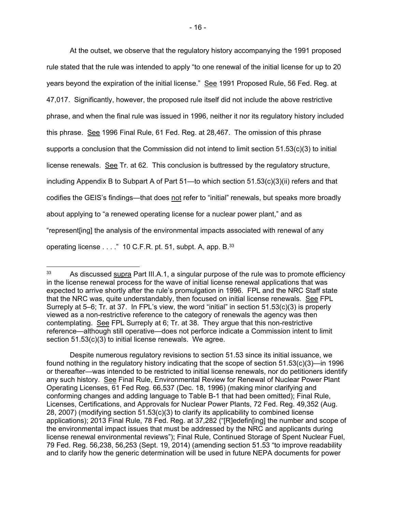At the outset, we observe that the regulatory history accompanying the 1991 proposed rule stated that the rule was intended to apply "to one renewal of the initial license for up to 20 years beyond the expiration of the initial license." See 1991 Proposed Rule, 56 Fed. Reg. at 47,017. Significantly, however, the proposed rule itself did not include the above restrictive phrase, and when the final rule was issued in 1996, neither it nor its regulatory history included this phrase. See 1996 Final Rule, 61 Fed. Reg. at 28,467. The omission of this phrase supports a conclusion that the Commission did not intend to limit section 51.53(c)(3) to initial license renewals. See Tr. at 62. This conclusion is buttressed by the regulatory structure, including Appendix B to Subpart A of Part 51—to which section 51.53(c)(3)(ii) refers and that codifies the GEIS's findings—that does not refer to "initial" renewals, but speaks more broadly about applying to "a renewed operating license for a nuclear power plant," and as "represent[ing] the analysis of the environmental impacts associated with renewal of any operating license . . . ." 10 C.F.R. pt. 51, subpt. A, app. B.33

 Despite numerous regulatory revisions to section 51.53 since its initial issuance, we found nothing in the regulatory history indicating that the scope of section 51.53(c)(3)—in 1996 or thereafter—was intended to be restricted to initial license renewals, nor do petitioners identify any such history. See Final Rule, Environmental Review for Renewal of Nuclear Power Plant Operating Licenses, 61 Fed Reg. 66,537 (Dec. 18, 1996) (making minor clarifying and conforming changes and adding language to Table B-1 that had been omitted); Final Rule, Licenses, Certifications, and Approvals for Nuclear Power Plants, 72 Fed. Reg. 49,352 (Aug. 28, 2007) (modifying section 51.53(c)(3) to clarify its applicability to combined license applications); 2013 Final Rule, 78 Fed. Reg. at 37,282 ("[R]edefin[ing] the number and scope of the environmental impact issues that must be addressed by the NRC and applicants during license renewal environmental reviews"); Final Rule, Continued Storage of Spent Nuclear Fuel, 79 Fed. Reg. 56,238, 56,253 (Sept. 19, 2014) (amending section 51.53 "to improve readability and to clarify how the generic determination will be used in future NEPA documents for power

<sup>&</sup>lt;sup>33</sup> As discussed supra Part III.A.1, a singular purpose of the rule was to promote efficiency in the license renewal process for the wave of initial license renewal applications that was expected to arrive shortly after the rule's promulgation in 1996. FPL and the NRC Staff state that the NRC was, quite understandably, then focused on initial license renewals. See FPL Surreply at 5–6; Tr. at 37. In FPL's view, the word "initial" in section 51.53(c)(3) is properly viewed as a non-restrictive reference to the category of renewals the agency was then contemplating. See FPL Surreply at 6; Tr. at 38. They argue that this non-restrictive reference—although still operative—does not perforce indicate a Commission intent to limit section 51.53(c)(3) to initial license renewals. We agree.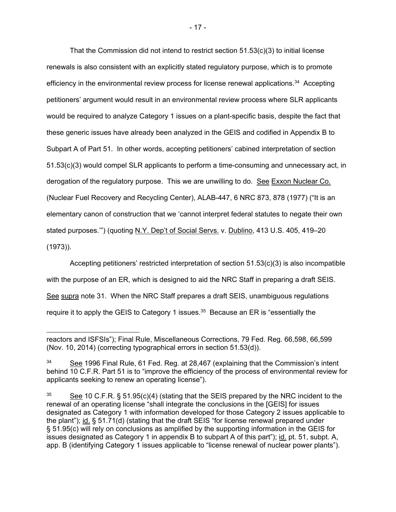That the Commission did not intend to restrict section  $51.53(c)(3)$  to initial license renewals is also consistent with an explicitly stated regulatory purpose, which is to promote efficiency in the environmental review process for license renewal applications.34 Accepting petitioners' argument would result in an environmental review process where SLR applicants would be required to analyze Category 1 issues on a plant-specific basis, despite the fact that these generic issues have already been analyzed in the GEIS and codified in Appendix B to Subpart A of Part 51. In other words, accepting petitioners' cabined interpretation of section 51.53(c)(3) would compel SLR applicants to perform a time-consuming and unnecessary act, in derogation of the regulatory purpose. This we are unwilling to do. See Exxon Nuclear Co. (Nuclear Fuel Recovery and Recycling Center), ALAB-447, 6 NRC 873, 878 (1977) ("It is an elementary canon of construction that we 'cannot interpret federal statutes to negate their own stated purposes."") (quoting N.Y. Dep't of Social Servs. v. Dublino, 413 U.S. 405, 419-20 (1973)).

 Accepting petitioners' restricted interpretation of section 51.53(c)(3) is also incompatible with the purpose of an ER, which is designed to aid the NRC Staff in preparing a draft SEIS. See supra note 31. When the NRC Staff prepares a draft SEIS, unambiguous regulations require it to apply the GEIS to Category 1 issues. $35$  Because an ER is "essentially the

reactors and ISFSIs"); Final Rule, Miscellaneous Corrections, 79 Fed. Reg. 66,598, 66,599 (Nov. 10, 2014) (correcting typographical errors in section 51.53(d)).

<sup>34</sup> See 1996 Final Rule, 61 Fed. Reg. at 28,467 (explaining that the Commission's intent behind 10 C.F.R. Part 51 is to "improve the efficiency of the process of environmental review for applicants seeking to renew an operating license").

<sup>&</sup>lt;sup>35</sup> See 10 C.F.R. § 51.95(c)(4) (stating that the SEIS prepared by the NRC incident to the renewal of an operating license "shall integrate the conclusions in the [GEIS] for issues designated as Category 1 with information developed for those Category 2 issues applicable to the plant"); id. § 51.71(d) (stating that the draft SEIS "for license renewal prepared under § 51.95(c) will rely on conclusions as amplified by the supporting information in the GEIS for issues designated as Category 1 in appendix B to subpart A of this part"); id. pt. 51, subpt. A, app. B (identifying Category 1 issues applicable to "license renewal of nuclear power plants").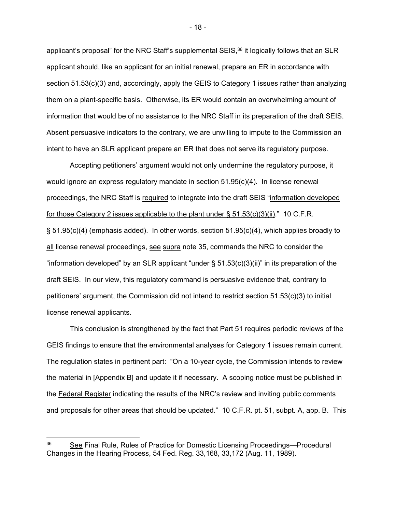applicant's proposal" for the NRC Staff's supplemental SEIS,<sup>36</sup> it logically follows that an SLR applicant should, like an applicant for an initial renewal, prepare an ER in accordance with section 51.53(c)(3) and, accordingly, apply the GEIS to Category 1 issues rather than analyzing them on a plant-specific basis. Otherwise, its ER would contain an overwhelming amount of information that would be of no assistance to the NRC Staff in its preparation of the draft SEIS. Absent persuasive indicators to the contrary, we are unwilling to impute to the Commission an intent to have an SLR applicant prepare an ER that does not serve its regulatory purpose.

 Accepting petitioners' argument would not only undermine the regulatory purpose, it would ignore an express regulatory mandate in section 51.95(c)(4). In license renewal proceedings, the NRC Staff is required to integrate into the draft SEIS "information developed for those Category 2 issues applicable to the plant under  $\S$  51.53(c)(3)(ii)." 10 C.F.R. § 51.95(c)(4) (emphasis added). In other words, section 51.95(c)(4), which applies broadly to all license renewal proceedings, see supra note 35, commands the NRC to consider the "information developed" by an SLR applicant "under  $\S 51.53(c)(3)(ii)$ " in its preparation of the draft SEIS. In our view, this regulatory command is persuasive evidence that, contrary to petitioners' argument, the Commission did not intend to restrict section 51.53(c)(3) to initial license renewal applicants.

 This conclusion is strengthened by the fact that Part 51 requires periodic reviews of the GEIS findings to ensure that the environmental analyses for Category 1 issues remain current. The regulation states in pertinent part: "On a 10-year cycle, the Commission intends to review the material in [Appendix B] and update it if necessary. A scoping notice must be published in the Federal Register indicating the results of the NRC's review and inviting public comments and proposals for other areas that should be updated." 10 C.F.R. pt. 51, subpt. A, app. B. This

- 18 -

<sup>36</sup> See Final Rule, Rules of Practice for Domestic Licensing Proceedings—Procedural Changes in the Hearing Process, 54 Fed. Reg. 33,168, 33,172 (Aug. 11, 1989).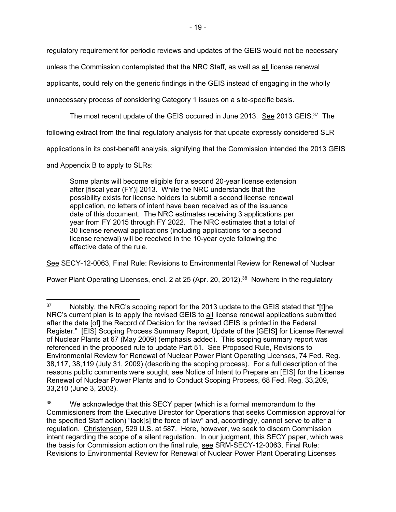regulatory requirement for periodic reviews and updates of the GEIS would not be necessary

unless the Commission contemplated that the NRC Staff, as well as all license renewal

applicants, could rely on the generic findings in the GEIS instead of engaging in the wholly

unnecessary process of considering Category 1 issues on a site-specific basis.

The most recent update of the GEIS occurred in June 2013. See 2013 GEIS.37 The

following extract from the final regulatory analysis for that update expressly considered SLR

applications in its cost-benefit analysis, signifying that the Commission intended the 2013 GEIS

and Appendix B to apply to SLRs:

-

Some plants will become eligible for a second 20-year license extension after [fiscal year (FY)] 2013. While the NRC understands that the possibility exists for license holders to submit a second license renewal application, no letters of intent have been received as of the issuance date of this document. The NRC estimates receiving 3 applications per year from FY 2015 through FY 2022. The NRC estimates that a total of 30 license renewal applications (including applications for a second license renewal) will be received in the 10-year cycle following the effective date of the rule.

See SECY-12-0063, Final Rule: Revisions to Environmental Review for Renewal of Nuclear

Power Plant Operating Licenses, encl. 2 at 25 (Apr. 20, 2012).<sup>38</sup> Nowhere in the regulatory

 $37$  Notably, the NRC's scoping report for the 2013 update to the GEIS stated that "[t]he NRC's current plan is to apply the revised GEIS to all license renewal applications submitted after the date [of] the Record of Decision for the revised GEIS is printed in the Federal Register." [EIS] Scoping Process Summary Report, Update of the [GEIS] for License Renewal of Nuclear Plants at 67 (May 2009) (emphasis added). This scoping summary report was referenced in the proposed rule to update Part 51. See Proposed Rule, Revisions to Environmental Review for Renewal of Nuclear Power Plant Operating Licenses, 74 Fed. Reg. 38,117, 38,119 (July 31, 2009) (describing the scoping process). For a full description of the reasons public comments were sought, see Notice of Intent to Prepare an [EIS] for the License Renewal of Nuclear Power Plants and to Conduct Scoping Process, 68 Fed. Reg. 33,209, 33,210 (June 3, 2003).

<sup>&</sup>lt;sup>38</sup> We acknowledge that this SECY paper (which is a formal memorandum to the Commissioners from the Executive Director for Operations that seeks Commission approval for the specified Staff action) "lack[s] the force of law" and, accordingly, cannot serve to alter a regulation. Christensen, 529 U.S. at 587. Here, however, we seek to discern Commission intent regarding the scope of a silent regulation. In our judgment, this SECY paper, which was the basis for Commission action on the final rule, see SRM-SECY-12-0063, Final Rule: Revisions to Environmental Review for Renewal of Nuclear Power Plant Operating Licenses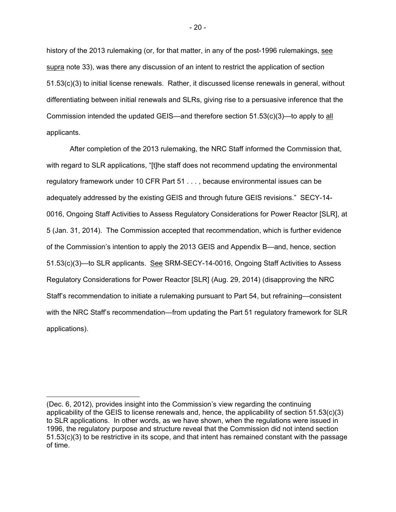history of the 2013 rulemaking (or, for that matter, in any of the post-1996 rulemakings, see supra note 33), was there any discussion of an intent to restrict the application of section 51.53(c)(3) to initial license renewals. Rather, it discussed license renewals in general, without differentiating between initial renewals and SLRs, giving rise to a persuasive inference that the Commission intended the updated GEIS—and therefore section  $51.53(c)(3)$ —to apply to all applicants.

 After completion of the 2013 rulemaking, the NRC Staff informed the Commission that, with regard to SLR applications, "[t]he staff does not recommend updating the environmental regulatory framework under 10 CFR Part 51 . . . , because environmental issues can be adequately addressed by the existing GEIS and through future GEIS revisions." SECY-14- 0016, Ongoing Staff Activities to Assess Regulatory Considerations for Power Reactor [SLR], at 5 (Jan. 31, 2014). The Commission accepted that recommendation, which is further evidence of the Commission's intention to apply the 2013 GEIS and Appendix B—and, hence, section 51.53(c)(3)—to SLR applicants. See SRM-SECY-14-0016, Ongoing Staff Activities to Assess Regulatory Considerations for Power Reactor [SLR] (Aug. 29, 2014) (disapproving the NRC Staff's recommendation to initiate a rulemaking pursuant to Part 54, but refraining—consistent with the NRC Staff's recommendation—from updating the Part 51 regulatory framework for SLR applications).

 $\overline{a}$ 

<sup>(</sup>Dec. 6, 2012), provides insight into the Commission's view regarding the continuing applicability of the GEIS to license renewals and, hence, the applicability of section 51.53(c)(3) to SLR applications. In other words, as we have shown, when the regulations were issued in 1996, the regulatory purpose and structure reveal that the Commission did not intend section 51.53(c)(3) to be restrictive in its scope, and that intent has remained constant with the passage of time.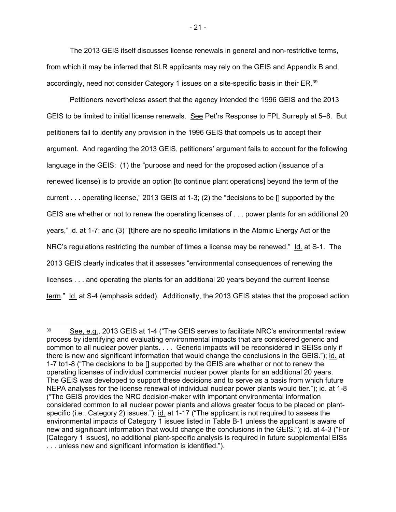The 2013 GEIS itself discusses license renewals in general and non-restrictive terms, from which it may be inferred that SLR applicants may rely on the GEIS and Appendix B and, accordingly, need not consider Category 1 issues on a site-specific basis in their ER.<sup>39</sup>

 Petitioners nevertheless assert that the agency intended the 1996 GEIS and the 2013 GEIS to be limited to initial license renewals. See Pet'rs Response to FPL Surreply at 5–8. But petitioners fail to identify any provision in the 1996 GEIS that compels us to accept their argument. And regarding the 2013 GEIS, petitioners' argument fails to account for the following language in the GEIS: (1) the "purpose and need for the proposed action (issuance of a renewed license) is to provide an option [to continue plant operations] beyond the term of the current . . . operating license," 2013 GEIS at 1-3; (2) the "decisions to be [] supported by the GEIS are whether or not to renew the operating licenses of . . . power plants for an additional 20 years," id. at 1-7; and (3) "[t]here are no specific limitations in the Atomic Energy Act or the NRC's regulations restricting the number of times a license may be renewed." Id. at S-1. The 2013 GEIS clearly indicates that it assesses "environmental consequences of renewing the licenses . . . and operating the plants for an additional 20 years beyond the current license term." Id. at S-4 (emphasis added). Additionally, the 2013 GEIS states that the proposed action

<sup>&</sup>lt;sup>39</sup> See, e.g., 2013 GEIS at 1-4 ("The GEIS serves to facilitate NRC's environmental review process by identifying and evaluating environmental impacts that are considered generic and common to all nuclear power plants. . . . Generic impacts will be reconsidered in SEISs only if there is new and significant information that would change the conclusions in the GEIS."); id. at 1-7 to1-8 ("The decisions to be [] supported by the GEIS are whether or not to renew the operating licenses of individual commercial nuclear power plants for an additional 20 years. The GEIS was developed to support these decisions and to serve as a basis from which future NEPA analyses for the license renewal of individual nuclear power plants would tier."); id. at 1-8 ("The GEIS provides the NRC decision-maker with important environmental information considered common to all nuclear power plants and allows greater focus to be placed on plantspecific (i.e., Category 2) issues."); id. at 1-17 ("The applicant is not required to assess the environmental impacts of Category 1 issues listed in Table B-1 unless the applicant is aware of new and significant information that would change the conclusions in the GEIS."); id. at 4-3 ("For [Category 1 issues], no additional plant-specific analysis is required in future supplemental EISs . . . unless new and significant information is identified.").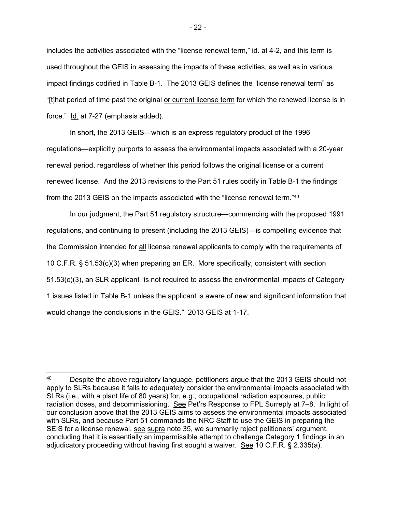includes the activities associated with the "license renewal term," id. at 4-2, and this term is used throughout the GEIS in assessing the impacts of these activities, as well as in various impact findings codified in Table B-1. The 2013 GEIS defines the "license renewal term" as "[t]hat period of time past the original or current license term for which the renewed license is in force." Id. at 7-27 (emphasis added).

 In short, the 2013 GEIS—which is an express regulatory product of the 1996 regulations—explicitly purports to assess the environmental impacts associated with a 20-year renewal period, regardless of whether this period follows the original license or a current renewed license. And the 2013 revisions to the Part 51 rules codify in Table B-1 the findings from the 2013 GEIS on the impacts associated with the "license renewal term."40

 In our judgment, the Part 51 regulatory structure—commencing with the proposed 1991 regulations, and continuing to present (including the 2013 GEIS)—is compelling evidence that the Commission intended for all license renewal applicants to comply with the requirements of 10 C.F.R. § 51.53(c)(3) when preparing an ER. More specifically, consistent with section 51.53(c)(3), an SLR applicant "is not required to assess the environmental impacts of Category 1 issues listed in Table B-1 unless the applicant is aware of new and significant information that would change the conclusions in the GEIS." 2013 GEIS at 1-17.

<sup>&</sup>lt;sup>40</sup> Despite the above regulatory language, petitioners argue that the 2013 GEIS should not apply to SLRs because it fails to adequately consider the environmental impacts associated with SLRs (i.e., with a plant life of 80 years) for, e.g., occupational radiation exposures, public radiation doses, and decommissioning. See Pet'rs Response to FPL Surreply at 7–8. In light of our conclusion above that the 2013 GEIS aims to assess the environmental impacts associated with SLRs, and because Part 51 commands the NRC Staff to use the GEIS in preparing the SEIS for a license renewal, see supra note 35, we summarily reject petitioners' argument, concluding that it is essentially an impermissible attempt to challenge Category 1 findings in an adjudicatory proceeding without having first sought a waiver. See 10 C.F.R. § 2.335(a).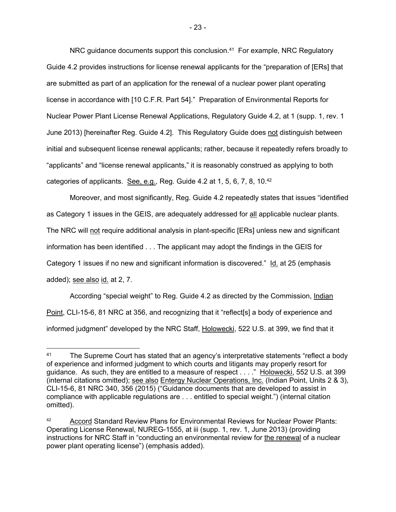NRC guidance documents support this conclusion.<sup>41</sup> For example, NRC Regulatory Guide 4.2 provides instructions for license renewal applicants for the "preparation of [ERs] that are submitted as part of an application for the renewal of a nuclear power plant operating license in accordance with [10 C.F.R. Part 54]." Preparation of Environmental Reports for Nuclear Power Plant License Renewal Applications, Regulatory Guide 4.2, at 1 (supp. 1, rev. 1 June 2013) [hereinafter Reg. Guide 4.2]. This Regulatory Guide does not distinguish between initial and subsequent license renewal applicants; rather, because it repeatedly refers broadly to "applicants" and "license renewal applicants," it is reasonably construed as applying to both categories of applicants. See, e.g., Reg. Guide 4.2 at 1, 5, 6, 7, 8, 10.<sup>42</sup>

 Moreover, and most significantly, Reg. Guide 4.2 repeatedly states that issues "identified as Category 1 issues in the GEIS, are adequately addressed for all applicable nuclear plants. The NRC will not require additional analysis in plant-specific [ERs] unless new and significant information has been identified . . . The applicant may adopt the findings in the GEIS for Category 1 issues if no new and significant information is discovered." Id. at 25 (emphasis added); see also id. at 2, 7.

According "special weight" to Reg. Guide 4.2 as directed by the Commission, Indian Point, CLI-15-6, 81 NRC at 356, and recognizing that it "reflect[s] a body of experience and informed judgment" developed by the NRC Staff, Holowecki, 522 U.S. at 399, we find that it

<sup>&</sup>lt;sup>41</sup> The Supreme Court has stated that an agency's interpretative statements "reflect a body of experience and informed judgment to which courts and litigants may properly resort for guidance. As such, they are entitled to a measure of respect . . . ." Holowecki, 552 U.S. at 399 (internal citations omitted); see also Entergy Nuclear Operations, Inc. (Indian Point, Units 2 & 3), CLI-15-6, 81 NRC 340, 356 (2015) ("Guidance documents that are developed to assist in compliance with applicable regulations are . . . entitled to special weight.") (internal citation omitted).

Accord Standard Review Plans for Environmental Reviews for Nuclear Power Plants: Operating License Renewal, NUREG-1555, at iii (supp. 1, rev. 1, June 2013) (providing instructions for NRC Staff in "conducting an environmental review for the renewal of a nuclear power plant operating license") (emphasis added).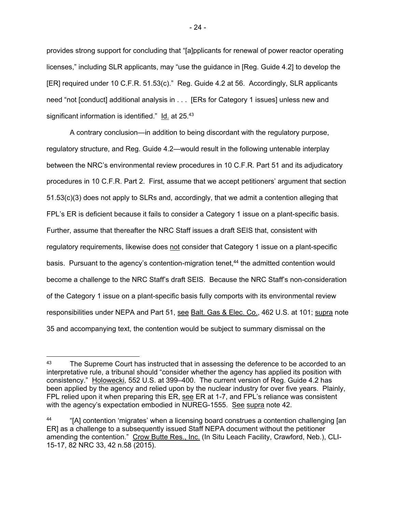provides strong support for concluding that "[a]pplicants for renewal of power reactor operating licenses," including SLR applicants, may "use the guidance in [Reg. Guide 4.2] to develop the [ER] required under 10 C.F.R. 51.53(c)." Reg. Guide 4.2 at 56. Accordingly, SLR applicants need "not [conduct] additional analysis in . . . [ERs for Category 1 issues] unless new and significant information is identified." Id. at 25.43

A contrary conclusion—in addition to being discordant with the regulatory purpose, regulatory structure, and Reg. Guide 4.2—would result in the following untenable interplay between the NRC's environmental review procedures in 10 C.F.R. Part 51 and its adjudicatory procedures in 10 C.F.R. Part 2. First, assume that we accept petitioners' argument that section 51.53(c)(3) does not apply to SLRs and, accordingly, that we admit a contention alleging that FPL's ER is deficient because it fails to consider a Category 1 issue on a plant-specific basis. Further, assume that thereafter the NRC Staff issues a draft SEIS that, consistent with regulatory requirements, likewise does not consider that Category 1 issue on a plant-specific basis. Pursuant to the agency's contention-migration tenet,<sup>44</sup> the admitted contention would become a challenge to the NRC Staff's draft SEIS. Because the NRC Staff's non-consideration of the Category 1 issue on a plant-specific basis fully comports with its environmental review responsibilities under NEPA and Part 51, see Balt. Gas & Elec. Co., 462 U.S. at 101; supra note 35 and accompanying text, the contention would be subject to summary dismissal on the

<sup>&</sup>lt;sup>43</sup> The Supreme Court has instructed that in assessing the deference to be accorded to an interpretative rule, a tribunal should "consider whether the agency has applied its position with consistency." Holowecki, 552 U.S. at 399–400. The current version of Reg. Guide 4.2 has been applied by the agency and relied upon by the nuclear industry for over five years. Plainly, FPL relied upon it when preparing this ER, see ER at 1-7, and FPL's reliance was consistent with the agency's expectation embodied in NUREG-1555. See supra note 42.

<sup>&</sup>quot;[A] contention 'migrates' when a licensing board construes a contention challenging [an ER] as a challenge to a subsequently issued Staff NEPA document without the petitioner amending the contention." Crow Butte Res., Inc. (In Situ Leach Facility, Crawford, Neb.), CLI-15-17, 82 NRC 33, 42 n.58 (2015).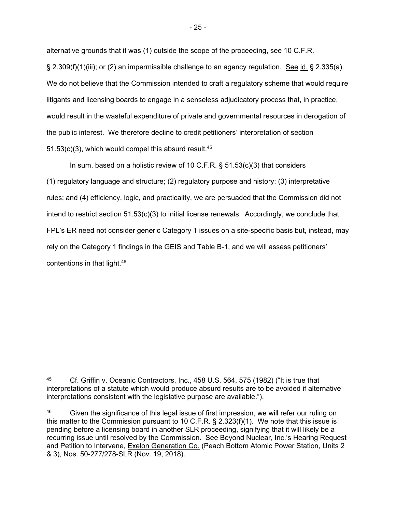alternative grounds that it was (1) outside the scope of the proceeding, see 10 C.F.R.  $\S 2.309(f)(1)(iii)$ ; or (2) an impermissible challenge to an agency regulation. See id.  $\S 2.335(a)$ . We do not believe that the Commission intended to craft a regulatory scheme that would require litigants and licensing boards to engage in a senseless adjudicatory process that, in practice, would result in the wasteful expenditure of private and governmental resources in derogation of the public interest. We therefore decline to credit petitioners' interpretation of section 51.53 $(c)(3)$ , which would compel this absurd result.<sup>45</sup>

In sum, based on a holistic review of 10 C.F.R. § 51.53(c)(3) that considers (1) regulatory language and structure; (2) regulatory purpose and history; (3) interpretative rules; and (4) efficiency, logic, and practicality, we are persuaded that the Commission did not intend to restrict section 51.53(c)(3) to initial license renewals. Accordingly, we conclude that FPL's ER need not consider generic Category 1 issues on a site-specific basis but, instead, may rely on the Category 1 findings in the GEIS and Table B-1, and we will assess petitioners' contentions in that light.46

Cf. Griffin v. Oceanic Contractors, Inc., 458 U.S. 564, 575 (1982) ("It is true that interpretations of a statute which would produce absurd results are to be avoided if alternative interpretations consistent with the legislative purpose are available.").

<sup>&</sup>lt;sup>46</sup> Given the significance of this legal issue of first impression, we will refer our ruling on this matter to the Commission pursuant to 10 C.F.R. § 2.323(f)(1). We note that this issue is pending before a licensing board in another SLR proceeding, signifying that it will likely be a recurring issue until resolved by the Commission. See Beyond Nuclear, Inc.'s Hearing Request and Petition to Intervene, Exelon Generation Co. (Peach Bottom Atomic Power Station, Units 2 & 3), Nos. 50-277/278-SLR (Nov. 19, 2018).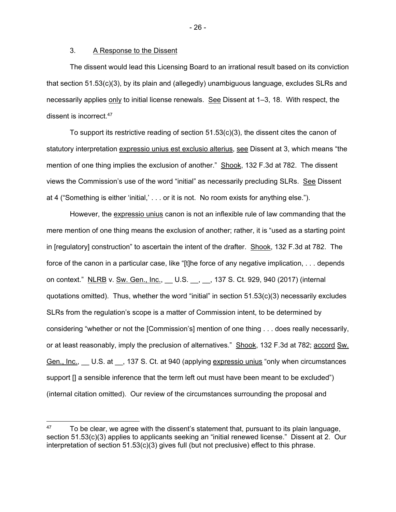#### 3. A Response to the Dissent

 The dissent would lead this Licensing Board to an irrational result based on its conviction that section 51.53(c)(3), by its plain and (allegedly) unambiguous language, excludes SLRs and necessarily applies only to initial license renewals. See Dissent at 1–3, 18. With respect, the dissent is incorrect.47

To support its restrictive reading of section  $51.53(c)(3)$ , the dissent cites the canon of statutory interpretation expressio unius est exclusio alterius, see Dissent at 3, which means "the mention of one thing implies the exclusion of another." Shook, 132 F.3d at 782. The dissent views the Commission's use of the word "initial" as necessarily precluding SLRs. See Dissent at 4 ("Something is either 'initial,' . . . or it is not. No room exists for anything else.").

 However, the expressio unius canon is not an inflexible rule of law commanding that the mere mention of one thing means the exclusion of another; rather, it is "used as a starting point in [regulatory] construction" to ascertain the intent of the drafter. Shook, 132 F.3d at 782. The force of the canon in a particular case, like "[t]he force of any negative implication, . . . depends on context." NLRB v. Sw. Gen., Inc., \_\_ U.S. \_\_, \_\_, 137 S. Ct. 929, 940 (2017) (internal quotations omitted). Thus, whether the word "initial" in section  $51.53(c)(3)$  necessarily excludes SLRs from the regulation's scope is a matter of Commission intent, to be determined by considering "whether or not the [Commission's] mention of one thing . . . does really necessarily, or at least reasonably, imply the preclusion of alternatives." Shook, 132 F.3d at 782; accord Sw. Gen., Inc., U.S. at  $\,$ , 137 S. Ct. at 940 (applying expressio unius "only when circumstances"). support  $\iint$  a sensible inference that the term left out must have been meant to be excluded") (internal citation omitted). Our review of the circumstances surrounding the proposal and

- 26 -

 $47$  To be clear, we agree with the dissent's statement that, pursuant to its plain language, section 51.53(c)(3) applies to applicants seeking an "initial renewed license." Dissent at 2. Our interpretation of section 51.53(c)(3) gives full (but not preclusive) effect to this phrase.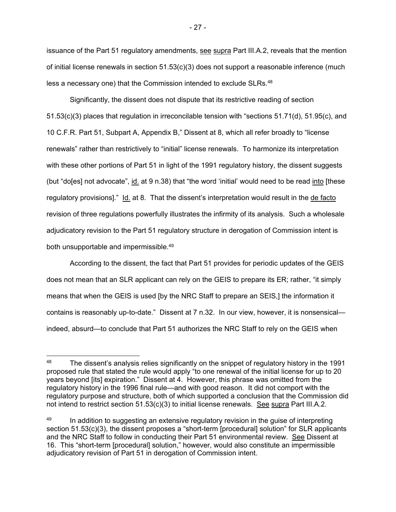issuance of the Part 51 regulatory amendments, see supra Part III.A.2, reveals that the mention of initial license renewals in section 51.53(c)(3) does not support a reasonable inference (much less a necessary one) that the Commission intended to exclude SLRs.48

 Significantly, the dissent does not dispute that its restrictive reading of section 51.53(c)(3) places that regulation in irreconcilable tension with "sections 51.71(d), 51.95(c), and 10 C.F.R. Part 51, Subpart A, Appendix B," Dissent at 8, which all refer broadly to "license renewals" rather than restrictively to "initial" license renewals. To harmonize its interpretation with these other portions of Part 51 in light of the 1991 regulatory history, the dissent suggests (but "do[es] not advocate", id. at 9 n.38) that "the word 'initial' would need to be read into [these regulatory provisions]." Id. at 8. That the dissent's interpretation would result in the de facto revision of three regulations powerfully illustrates the infirmity of its analysis. Such a wholesale adjudicatory revision to the Part 51 regulatory structure in derogation of Commission intent is both unsupportable and impermissible.49

 According to the dissent, the fact that Part 51 provides for periodic updates of the GEIS does not mean that an SLR applicant can rely on the GEIS to prepare its ER; rather, "it simply means that when the GEIS is used [by the NRC Staff to prepare an SEIS,] the information it contains is reasonably up-to-date." Dissent at 7 n.32. In our view, however, it is nonsensical indeed, absurd—to conclude that Part 51 authorizes the NRC Staff to rely on the GEIS when

<sup>&</sup>lt;sup>48</sup> The dissent's analysis relies significantly on the snippet of regulatory history in the 1991 proposed rule that stated the rule would apply "to one renewal of the initial license for up to 20 years beyond [its] expiration." Dissent at 4. However, this phrase was omitted from the regulatory history in the 1996 final rule—and with good reason. It did not comport with the regulatory purpose and structure, both of which supported a conclusion that the Commission did not intend to restrict section 51.53(c)(3) to initial license renewals. See supra Part III.A.2.

<sup>&</sup>lt;sup>49</sup> In addition to suggesting an extensive regulatory revision in the quise of interpreting section 51.53(c)(3), the dissent proposes a "short-term [procedural] solution" for SLR applicants and the NRC Staff to follow in conducting their Part 51 environmental review. See Dissent at 16. This "short-term [procedural] solution," however, would also constitute an impermissible adjudicatory revision of Part 51 in derogation of Commission intent.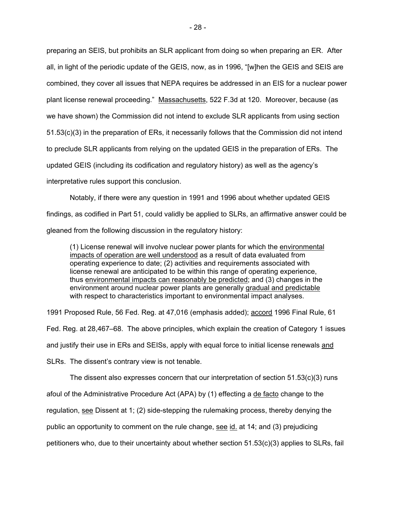preparing an SEIS, but prohibits an SLR applicant from doing so when preparing an ER. After all, in light of the periodic update of the GEIS, now, as in 1996, "[w]hen the GEIS and SEIS are combined, they cover all issues that NEPA requires be addressed in an EIS for a nuclear power plant license renewal proceeding." Massachusetts, 522 F.3d at 120. Moreover, because (as we have shown) the Commission did not intend to exclude SLR applicants from using section 51.53(c)(3) in the preparation of ERs, it necessarily follows that the Commission did not intend to preclude SLR applicants from relying on the updated GEIS in the preparation of ERs. The updated GEIS (including its codification and regulatory history) as well as the agency's interpretative rules support this conclusion.

 Notably, if there were any question in 1991 and 1996 about whether updated GEIS findings, as codified in Part 51, could validly be applied to SLRs, an affirmative answer could be gleaned from the following discussion in the regulatory history:

(1) License renewal will involve nuclear power plants for which the environmental impacts of operation are well understood as a result of data evaluated from operating experience to date; (2) activities and requirements associated with license renewal are anticipated to be within this range of operating experience, thus environmental impacts can reasonably be predicted; and (3) changes in the environment around nuclear power plants are generally gradual and predictable with respect to characteristics important to environmental impact analyses.

1991 Proposed Rule, 56 Fed. Reg. at 47,016 (emphasis added); accord 1996 Final Rule, 61

Fed. Reg. at 28,467–68. The above principles, which explain the creation of Category 1 issues

and justify their use in ERs and SEISs, apply with equal force to initial license renewals and

SLRs. The dissent's contrary view is not tenable.

The dissent also expresses concern that our interpretation of section  $51.53(c)(3)$  runs afoul of the Administrative Procedure Act (APA) by (1) effecting a defacto change to the regulation, see Dissent at 1; (2) side-stepping the rulemaking process, thereby denying the public an opportunity to comment on the rule change, see  $id$  at 14; and (3) prejudicing petitioners who, due to their uncertainty about whether section 51.53(c)(3) applies to SLRs, fail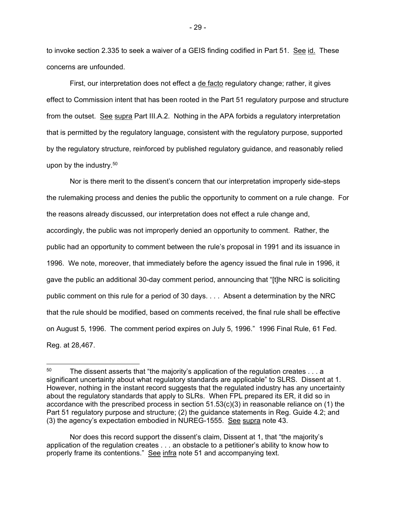to invoke section 2.335 to seek a waiver of a GEIS finding codified in Part 51. See id. These concerns are unfounded.

 First, our interpretation does not effect a de facto regulatory change; rather, it gives effect to Commission intent that has been rooted in the Part 51 regulatory purpose and structure from the outset. See supra Part III.A.2. Nothing in the APA forbids a regulatory interpretation that is permitted by the regulatory language, consistent with the regulatory purpose, supported by the regulatory structure, reinforced by published regulatory guidance, and reasonably relied upon by the industry.50

 Nor is there merit to the dissent's concern that our interpretation improperly side-steps the rulemaking process and denies the public the opportunity to comment on a rule change. For the reasons already discussed, our interpretation does not effect a rule change and, accordingly, the public was not improperly denied an opportunity to comment. Rather, the public had an opportunity to comment between the rule's proposal in 1991 and its issuance in 1996. We note, moreover, that immediately before the agency issued the final rule in 1996, it gave the public an additional 30-day comment period, announcing that "[t]he NRC is soliciting public comment on this rule for a period of 30 days. . . . Absent a determination by the NRC that the rule should be modified, based on comments received, the final rule shall be effective on August 5, 1996. The comment period expires on July 5, 1996." 1996 Final Rule, 61 Fed. Reg. at 28,467.

-

 Nor does this record support the dissent's claim, Dissent at 1, that "the majority's application of the regulation creates . . . an obstacle to a petitioner's ability to know how to properly frame its contentions." See infra note 51 and accompanying text.

 $50$  The dissent asserts that "the majority's application of the regulation creates  $\dots$  a significant uncertainty about what regulatory standards are applicable" to SLRS. Dissent at 1. However, nothing in the instant record suggests that the regulated industry has any uncertainty about the regulatory standards that apply to SLRs. When FPL prepared its ER, it did so in accordance with the prescribed process in section  $51.53(c)(3)$  in reasonable reliance on (1) the Part 51 regulatory purpose and structure; (2) the guidance statements in Reg. Guide 4.2; and (3) the agency's expectation embodied in NUREG-1555. See supra note 43.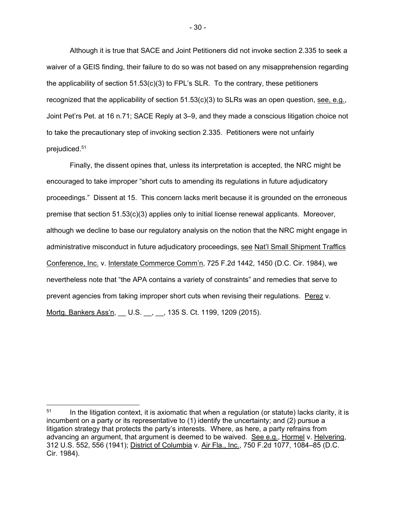Although it is true that SACE and Joint Petitioners did not invoke section 2.335 to seek a waiver of a GEIS finding, their failure to do so was not based on any misapprehension regarding the applicability of section  $51.53(c)(3)$  to FPL's SLR. To the contrary, these petitioners recognized that the applicability of section  $51.53(c)(3)$  to SLRs was an open question, see, e.g., Joint Pet'rs Pet. at 16 n.71; SACE Reply at 3–9, and they made a conscious litigation choice not to take the precautionary step of invoking section 2.335. Petitioners were not unfairly prejudiced.51

 Finally, the dissent opines that, unless its interpretation is accepted, the NRC might be encouraged to take improper "short cuts to amending its regulations in future adjudicatory proceedings." Dissent at 15. This concern lacks merit because it is grounded on the erroneous premise that section 51.53(c)(3) applies only to initial license renewal applicants. Moreover, although we decline to base our regulatory analysis on the notion that the NRC might engage in administrative misconduct in future adjudicatory proceedings, see Nat'l Small Shipment Traffics Conference, Inc. v. Interstate Commerce Comm'n, 725 F.2d 1442, 1450 (D.C. Cir. 1984), we nevertheless note that "the APA contains a variety of constraints" and remedies that serve to prevent agencies from taking improper short cuts when revising their regulations. Perez v. Mortg. Bankers Ass'n, \_\_ U.S. \_\_, \_\_, 135 S. Ct. 1199, 1209 (2015).

 $51$  In the litigation context, it is axiomatic that when a regulation (or statute) lacks clarity, it is incumbent on a party or its representative to (1) identify the uncertainty; and (2) pursue a litigation strategy that protects the party's interests. Where, as here, a party refrains from advancing an argument, that argument is deemed to be waived. See e.g., Hormel v. Helvering, 312 U.S. 552, 556 (1941); District of Columbia v. Air Fla., Inc., 750 F.2d 1077, 1084–85 (D.C. Cir. 1984).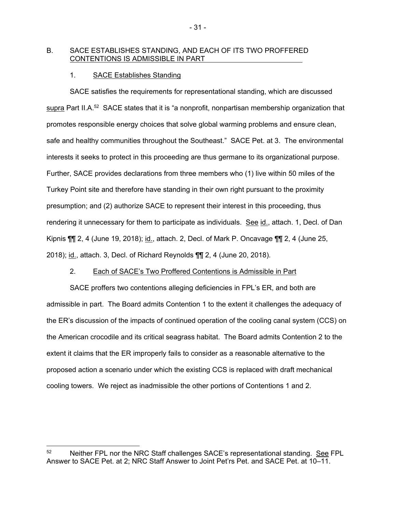#### B. SACE ESTABLISHES STANDING, AND EACH OF ITS TWO PROFFERED CONTENTIONS IS ADMISSIBLE IN PART

#### 1. SACE Establishes Standing

SACE satisfies the requirements for representational standing, which are discussed supra Part II.A.<sup>52</sup> SACE states that it is "a nonprofit, nonpartisan membership organization that promotes responsible energy choices that solve global warming problems and ensure clean, safe and healthy communities throughout the Southeast." SACE Pet. at 3. The environmental interests it seeks to protect in this proceeding are thus germane to its organizational purpose. Further, SACE provides declarations from three members who (1) live within 50 miles of the Turkey Point site and therefore have standing in their own right pursuant to the proximity presumption; and (2) authorize SACE to represent their interest in this proceeding, thus rendering it unnecessary for them to participate as individuals. See id., attach. 1, Decl. of Dan Kipnis ¶¶ 2, 4 (June 19, 2018); id., attach. 2, Decl. of Mark P. Oncavage ¶¶ 2, 4 (June 25, 2018); id., attach. 3, Decl. of Richard Reynolds ¶¶ 2, 4 (June 20, 2018).

#### 2. Each of SACE's Two Proffered Contentions is Admissible in Part

SACE proffers two contentions alleging deficiencies in FPL's ER, and both are admissible in part. The Board admits Contention 1 to the extent it challenges the adequacy of the ER's discussion of the impacts of continued operation of the cooling canal system (CCS) on the American crocodile and its critical seagrass habitat. The Board admits Contention 2 to the extent it claims that the ER improperly fails to consider as a reasonable alternative to the proposed action a scenario under which the existing CCS is replaced with draft mechanical cooling towers. We reject as inadmissible the other portions of Contentions 1 and 2.

-

<sup>52</sup> Neither FPL nor the NRC Staff challenges SACE's representational standing. See FPL Answer to SACE Pet. at 2; NRC Staff Answer to Joint Pet'rs Pet. and SACE Pet. at 10–11.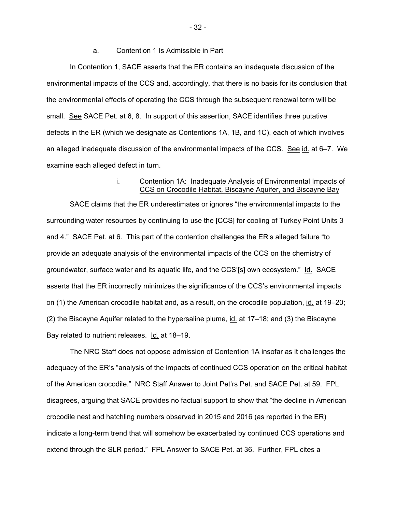#### a. Contention 1 Is Admissible in Part

In Contention 1, SACE asserts that the ER contains an inadequate discussion of the environmental impacts of the CCS and, accordingly, that there is no basis for its conclusion that the environmental effects of operating the CCS through the subsequent renewal term will be small. See SACE Pet. at 6, 8. In support of this assertion, SACE identifies three putative defects in the ER (which we designate as Contentions 1A, 1B, and 1C), each of which involves an alleged inadequate discussion of the environmental impacts of the CCS. See id. at 6-7. We examine each alleged defect in turn.

### i. Contention 1A: Inadequate Analysis of Environmental Impacts of CCS on Crocodile Habitat, Biscayne Aquifer, and Biscayne Bay

SACE claims that the ER underestimates or ignores "the environmental impacts to the surrounding water resources by continuing to use the [CCS] for cooling of Turkey Point Units 3 and 4." SACE Pet. at 6. This part of the contention challenges the ER's alleged failure "to provide an adequate analysis of the environmental impacts of the CCS on the chemistry of groundwater, surface water and its aquatic life, and the CCS'[s] own ecosystem." Id. SACE asserts that the ER incorrectly minimizes the significance of the CCS's environmental impacts on (1) the American crocodile habitat and, as a result, on the crocodile population, id. at 19–20; (2) the Biscayne Aquifer related to the hypersaline plume, id. at 17–18; and (3) the Biscayne Bay related to nutrient releases. Id. at 18–19.

The NRC Staff does not oppose admission of Contention 1A insofar as it challenges the adequacy of the ER's "analysis of the impacts of continued CCS operation on the critical habitat of the American crocodile." NRC Staff Answer to Joint Pet'rs Pet. and SACE Pet. at 59. FPL disagrees, arguing that SACE provides no factual support to show that "the decline in American crocodile nest and hatchling numbers observed in 2015 and 2016 (as reported in the ER) indicate a long-term trend that will somehow be exacerbated by continued CCS operations and extend through the SLR period." FPL Answer to SACE Pet. at 36. Further, FPL cites a

- 32 -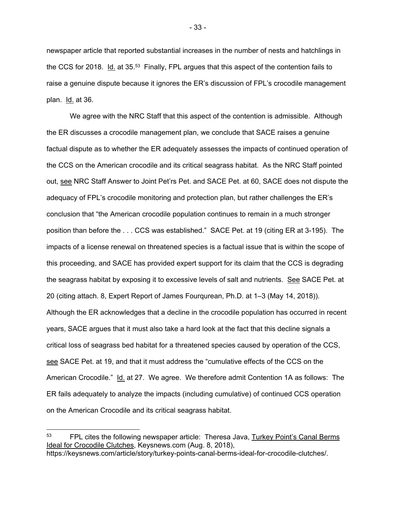newspaper article that reported substantial increases in the number of nests and hatchlings in the CCS for 2018. Id. at 35.<sup>53</sup> Finally, FPL argues that this aspect of the contention fails to raise a genuine dispute because it ignores the ER's discussion of FPL's crocodile management plan. Id. at 36.

We agree with the NRC Staff that this aspect of the contention is admissible. Although the ER discusses a crocodile management plan, we conclude that SACE raises a genuine factual dispute as to whether the ER adequately assesses the impacts of continued operation of the CCS on the American crocodile and its critical seagrass habitat. As the NRC Staff pointed out, see NRC Staff Answer to Joint Pet'rs Pet. and SACE Pet. at 60, SACE does not dispute the adequacy of FPL's crocodile monitoring and protection plan, but rather challenges the ER's conclusion that "the American crocodile population continues to remain in a much stronger position than before the . . . CCS was established." SACE Pet. at 19 (citing ER at 3-195). The impacts of a license renewal on threatened species is a factual issue that is within the scope of this proceeding, and SACE has provided expert support for its claim that the CCS is degrading the seagrass habitat by exposing it to excessive levels of salt and nutrients. See SACE Pet. at 20 (citing attach. 8, Expert Report of James Fourqurean, Ph.D. at 1–3 (May 14, 2018)). Although the ER acknowledges that a decline in the crocodile population has occurred in recent years, SACE argues that it must also take a hard look at the fact that this decline signals a critical loss of seagrass bed habitat for a threatened species caused by operation of the CCS, see SACE Pet. at 19, and that it must address the "cumulative effects of the CCS on the American Crocodile." Id. at 27. We agree. We therefore admit Contention 1A as follows: The ER fails adequately to analyze the impacts (including cumulative) of continued CCS operation on the American Crocodile and its critical seagrass habitat.

 $\overline{a}$ 

- 33 -

<sup>&</sup>lt;sup>53</sup> FPL cites the following newspaper article: Theresa Java, Turkey Point's Canal Berms Ideal for Crocodile Clutches, Keysnews.com (Aug. 8, 2018),

https://keysnews.com/article/story/turkey-points-canal-berms-ideal-for-crocodile-clutches/.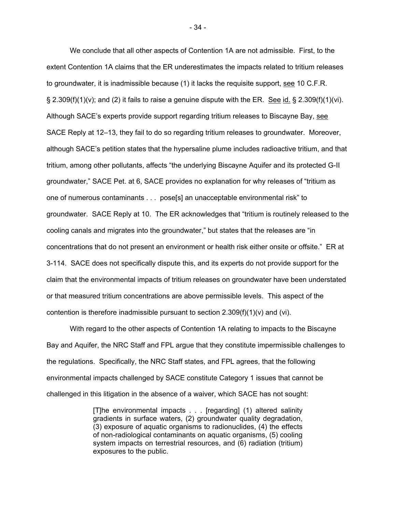We conclude that all other aspects of Contention 1A are not admissible. First, to the extent Contention 1A claims that the ER underestimates the impacts related to tritium releases to groundwater, it is inadmissible because (1) it lacks the requisite support, see 10 C.F.R.  $\S 2.309(f)(1)(v)$ ; and (2) it fails to raise a genuine dispute with the ER. See id. § 2.309(f)(1)(vi). Although SACE's experts provide support regarding tritium releases to Biscayne Bay, see SACE Reply at 12–13, they fail to do so regarding tritium releases to groundwater. Moreover, although SACE's petition states that the hypersaline plume includes radioactive tritium, and that tritium, among other pollutants, affects "the underlying Biscayne Aquifer and its protected G-II groundwater," SACE Pet. at 6, SACE provides no explanation for why releases of "tritium as one of numerous contaminants . . . pose[s] an unacceptable environmental risk" to groundwater. SACE Reply at 10. The ER acknowledges that "tritium is routinely released to the cooling canals and migrates into the groundwater," but states that the releases are "in concentrations that do not present an environment or health risk either onsite or offsite." ER at 3-114. SACE does not specifically dispute this, and its experts do not provide support for the claim that the environmental impacts of tritium releases on groundwater have been understated or that measured tritium concentrations are above permissible levels. This aspect of the contention is therefore inadmissible pursuant to section  $2.309(f)(1)(v)$  and (vi).

With regard to the other aspects of Contention 1A relating to impacts to the Biscayne Bay and Aquifer, the NRC Staff and FPL argue that they constitute impermissible challenges to the regulations. Specifically, the NRC Staff states, and FPL agrees, that the following environmental impacts challenged by SACE constitute Category 1 issues that cannot be challenged in this litigation in the absence of a waiver, which SACE has not sought:

> [T]he environmental impacts . . . [regarding] (1) altered salinity gradients in surface waters, (2) groundwater quality degradation, (3) exposure of aquatic organisms to radionuclides, (4) the effects of non-radiological contaminants on aquatic organisms, (5) cooling system impacts on terrestrial resources, and (6) radiation (tritium) exposures to the public.

- 34 -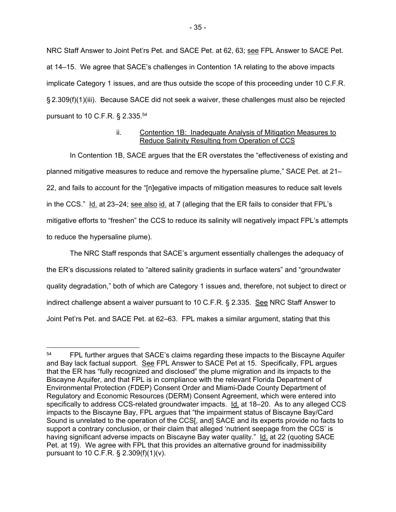NRC Staff Answer to Joint Pet'rs Pet. and SACE Pet. at 62, 63; see FPL Answer to SACE Pet. at 14–15. We agree that SACE's challenges in Contention 1A relating to the above impacts implicate Category 1 issues, and are thus outside the scope of this proceeding under 10 C.F.R. § 2.309(f)(1)(iii). Because SACE did not seek a waiver, these challenges must also be rejected pursuant to 10 C.F.R. § 2.335.54

## ii. Contention 1B: Inadequate Analysis of Mitigation Measures to Reduce Salinity Resulting from Operation of CCS

In Contention 1B, SACE argues that the ER overstates the "effectiveness of existing and planned mitigative measures to reduce and remove the hypersaline plume," SACE Pet. at 21– 22, and fails to account for the "[n]egative impacts of mitigation measures to reduce salt levels in the CCS." Id. at 23–24; see also id. at 7 (alleging that the ER fails to consider that FPL's mitigative efforts to "freshen" the CCS to reduce its salinity will negatively impact FPL's attempts to reduce the hypersaline plume).

 The NRC Staff responds that SACE's argument essentially challenges the adequacy of the ER's discussions related to "altered salinity gradients in surface waters" and "groundwater quality degradation," both of which are Category 1 issues and, therefore, not subject to direct or indirect challenge absent a waiver pursuant to 10 C.F.R. § 2.335. See NRC Staff Answer to Joint Pet'rs Pet. and SACE Pet. at 62–63. FPL makes a similar argument, stating that this

<sup>&</sup>lt;sup>54</sup> FPL further argues that SACE's claims regarding these impacts to the Biscayne Aquifer and Bay lack factual support. See FPL Answer to SACE Pet at 15. Specifically, FPL argues that the ER has "fully recognized and disclosed" the plume migration and its impacts to the Biscayne Aquifer, and that FPL is in compliance with the relevant Florida Department of Environmental Protection (FDEP) Consent Order and Miami-Dade County Department of Regulatory and Economic Resources (DERM) Consent Agreement, which were entered into specifically to address CCS-related groundwater impacts. Id. at 18–20. As to any alleged CCS impacts to the Biscayne Bay, FPL argues that "the impairment status of Biscayne Bay/Card Sound is unrelated to the operation of the CCS[, and] SACE and its experts provide no facts to support a contrary conclusion, or their claim that alleged 'nutrient seepage from the CCS' is having significant adverse impacts on Biscayne Bay water quality." Id. at 22 (quoting SACE Pet. at 19). We agree with FPL that this provides an alternative ground for inadmissibility pursuant to 10 C.F.R. § 2.309(f)(1)(v).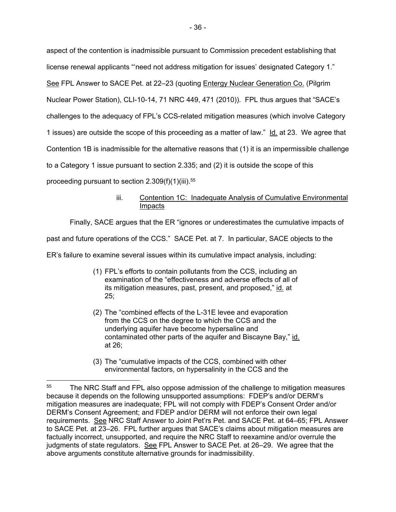aspect of the contention is inadmissible pursuant to Commission precedent establishing that license renewal applicants "'need not address mitigation for issues' designated Category 1." See FPL Answer to SACE Pet. at 22–23 (quoting Entergy Nuclear Generation Co. (Pilgrim Nuclear Power Station), CLI-10-14, 71 NRC 449, 471 (2010)). FPL thus argues that "SACE's challenges to the adequacy of FPL's CCS-related mitigation measures (which involve Category 1 issues) are outside the scope of this proceeding as a matter of law." Id. at 23. We agree that Contention 1B is inadmissible for the alternative reasons that (1) it is an impermissible challenge to a Category 1 issue pursuant to section 2.335; and (2) it is outside the scope of this proceeding pursuant to section  $2.309(f)(1)(iii).$ <sup>55</sup>

# iii. Contention 1C: Inadequate Analysis of Cumulative Environmental Impacts

Finally, SACE argues that the ER "ignores or underestimates the cumulative impacts of

past and future operations of the CCS." SACE Pet. at 7. In particular, SACE objects to the

ER's failure to examine several issues within its cumulative impact analysis, including:

- (1) FPL's efforts to contain pollutants from the CCS, including an examination of the "effectiveness and adverse effects of all of its mitigation measures, past, present, and proposed," id. at 25;
- (2) The "combined effects of the L-31E levee and evaporation from the CCS on the degree to which the CCS and the underlying aquifer have become hypersaline and contaminated other parts of the aquifer and Biscayne Bay," id. at 26;
- (3) The "cumulative impacts of the CCS, combined with other environmental factors, on hypersalinity in the CCS and the

-

<sup>&</sup>lt;sup>55</sup> The NRC Staff and FPL also oppose admission of the challenge to mitigation measures because it depends on the following unsupported assumptions: FDEP's and/or DERM's mitigation measures are inadequate; FPL will not comply with FDEP's Consent Order and/or DERM's Consent Agreement; and FDEP and/or DERM will not enforce their own legal requirements. See NRC Staff Answer to Joint Pet'rs Pet. and SACE Pet. at 64–65; FPL Answer to SACE Pet. at 23–26. FPL further argues that SACE's claims about mitigation measures are factually incorrect, unsupported, and require the NRC Staff to reexamine and/or overrule the judgments of state regulators. See FPL Answer to SACE Pet. at 26–29. We agree that the above arguments constitute alternative grounds for inadmissibility.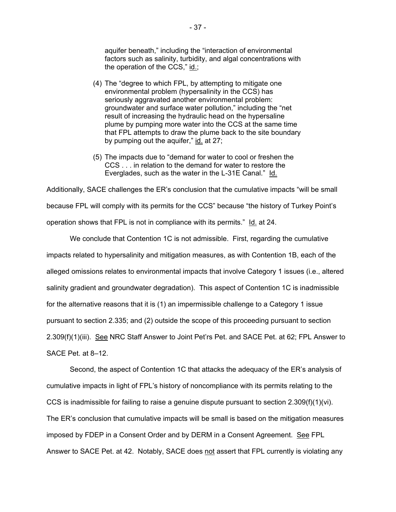aquifer beneath," including the "interaction of environmental factors such as salinity, turbidity, and algal concentrations with the operation of the CCS," id.;

- (4) The "degree to which FPL, by attempting to mitigate one environmental problem (hypersalinity in the CCS) has seriously aggravated another environmental problem: groundwater and surface water pollution," including the "net result of increasing the hydraulic head on the hypersaline plume by pumping more water into the CCS at the same time that FPL attempts to draw the plume back to the site boundary by pumping out the aquifer," id. at 27;
- (5) The impacts due to "demand for water to cool or freshen the CCS . . . in relation to the demand for water to restore the Everglades, such as the water in the L-31E Canal." Id.

Additionally, SACE challenges the ER's conclusion that the cumulative impacts "will be small because FPL will comply with its permits for the CCS" because "the history of Turkey Point's operation shows that FPL is not in compliance with its permits." Id. at 24.

We conclude that Contention 1C is not admissible. First, regarding the cumulative impacts related to hypersalinity and mitigation measures, as with Contention 1B, each of the alleged omissions relates to environmental impacts that involve Category 1 issues (i.e., altered salinity gradient and groundwater degradation). This aspect of Contention 1C is inadmissible for the alternative reasons that it is (1) an impermissible challenge to a Category 1 issue pursuant to section 2.335; and (2) outside the scope of this proceeding pursuant to section 2.309(f)(1)(iii). See NRC Staff Answer to Joint Pet'rs Pet. and SACE Pet. at 62; FPL Answer to SACE Pet. at 8–12.

Second, the aspect of Contention 1C that attacks the adequacy of the ER's analysis of cumulative impacts in light of FPL's history of noncompliance with its permits relating to the CCS is inadmissible for failing to raise a genuine dispute pursuant to section  $2.309(f)(1)(vi)$ . The ER's conclusion that cumulative impacts will be small is based on the mitigation measures imposed by FDEP in a Consent Order and by DERM in a Consent Agreement. See FPL Answer to SACE Pet. at 42. Notably, SACE does not assert that FPL currently is violating any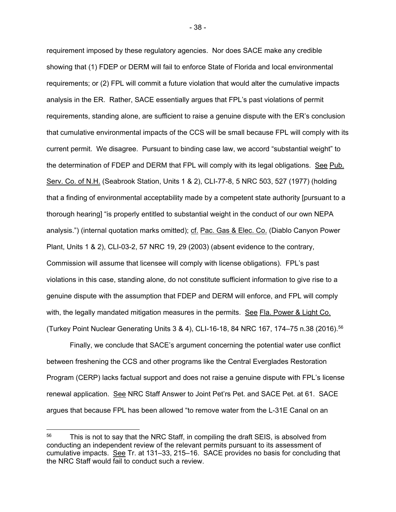requirement imposed by these regulatory agencies. Nor does SACE make any credible showing that (1) FDEP or DERM will fail to enforce State of Florida and local environmental requirements; or (2) FPL will commit a future violation that would alter the cumulative impacts analysis in the ER. Rather, SACE essentially argues that FPL's past violations of permit requirements, standing alone, are sufficient to raise a genuine dispute with the ER's conclusion that cumulative environmental impacts of the CCS will be small because FPL will comply with its current permit. We disagree. Pursuant to binding case law, we accord "substantial weight" to the determination of FDEP and DERM that FPL will comply with its legal obligations. See Pub. Serv. Co. of N.H. (Seabrook Station, Units 1 & 2), CLI-77-8, 5 NRC 503, 527 (1977) (holding that a finding of environmental acceptability made by a competent state authority [pursuant to a thorough hearing] "is properly entitled to substantial weight in the conduct of our own NEPA analysis.") (internal quotation marks omitted); cf. Pac. Gas & Elec. Co. (Diablo Canyon Power Plant, Units 1 & 2), CLI-03-2, 57 NRC 19, 29 (2003) (absent evidence to the contrary, Commission will assume that licensee will comply with license obligations). FPL's past violations in this case, standing alone, do not constitute sufficient information to give rise to a genuine dispute with the assumption that FDEP and DERM will enforce, and FPL will comply with, the legally mandated mitigation measures in the permits. See Fla. Power & Light Co. (Turkey Point Nuclear Generating Units 3 & 4), CLI-16-18, 84 NRC 167, 174–75 n.38 (2016).56

Finally, we conclude that SACE's argument concerning the potential water use conflict between freshening the CCS and other programs like the Central Everglades Restoration Program (CERP) lacks factual support and does not raise a genuine dispute with FPL's license renewal application. See NRC Staff Answer to Joint Pet'rs Pet. and SACE Pet. at 61. SACE argues that because FPL has been allowed "to remove water from the L-31E Canal on an

 $\overline{a}$ 

<sup>&</sup>lt;sup>56</sup> This is not to say that the NRC Staff, in compiling the draft SEIS, is absolved from conducting an independent review of the relevant permits pursuant to its assessment of cumulative impacts. See Tr. at 131–33, 215–16. SACE provides no basis for concluding that the NRC Staff would fail to conduct such a review.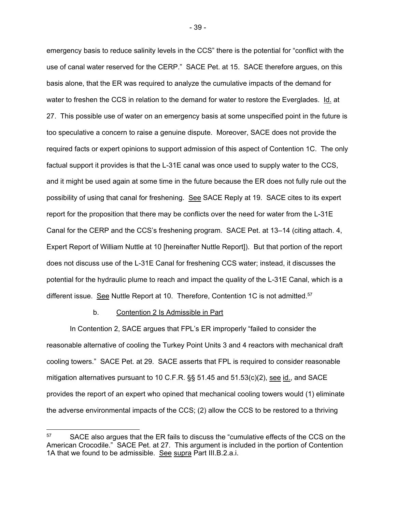emergency basis to reduce salinity levels in the CCS" there is the potential for "conflict with the use of canal water reserved for the CERP." SACE Pet. at 15. SACE therefore argues, on this basis alone, that the ER was required to analyze the cumulative impacts of the demand for water to freshen the CCS in relation to the demand for water to restore the Everglades. Id. at 27. This possible use of water on an emergency basis at some unspecified point in the future is too speculative a concern to raise a genuine dispute. Moreover, SACE does not provide the required facts or expert opinions to support admission of this aspect of Contention 1C. The only factual support it provides is that the L-31E canal was once used to supply water to the CCS, and it might be used again at some time in the future because the ER does not fully rule out the possibility of using that canal for freshening. See SACE Reply at 19. SACE cites to its expert report for the proposition that there may be conflicts over the need for water from the L-31E Canal for the CERP and the CCS's freshening program. SACE Pet. at 13–14 (citing attach. 4, Expert Report of William Nuttle at 10 [hereinafter Nuttle Report]). But that portion of the report does not discuss use of the L-31E Canal for freshening CCS water; instead, it discusses the potential for the hydraulic plume to reach and impact the quality of the L-31E Canal, which is a different issue. See Nuttle Report at 10. Therefore, Contention 1C is not admitted.<sup>57</sup>

#### b. Contention 2 Is Admissible in Part

 $\overline{a}$ 

In Contention 2, SACE argues that FPL's ER improperly "failed to consider the reasonable alternative of cooling the Turkey Point Units 3 and 4 reactors with mechanical draft cooling towers." SACE Pet. at 29. SACE asserts that FPL is required to consider reasonable mitigation alternatives pursuant to 10 C.F.R. §§ 51.45 and 51.53(c)(2), see id., and SACE provides the report of an expert who opined that mechanical cooling towers would (1) eliminate the adverse environmental impacts of the CCS; (2) allow the CCS to be restored to a thriving

<sup>&</sup>lt;sup>57</sup> SACE also argues that the ER fails to discuss the "cumulative effects of the CCS on the American Crocodile." SACE Pet. at 27. This argument is included in the portion of Contention 1A that we found to be admissible. See supra Part III.B.2.a.i.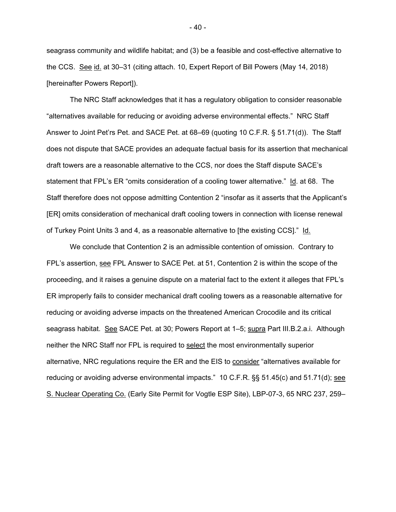seagrass community and wildlife habitat; and (3) be a feasible and cost-effective alternative to the CCS. See id. at 30–31 (citing attach. 10, Expert Report of Bill Powers (May 14, 2018) [hereinafter Powers Report]).

The NRC Staff acknowledges that it has a regulatory obligation to consider reasonable "alternatives available for reducing or avoiding adverse environmental effects." NRC Staff Answer to Joint Pet'rs Pet. and SACE Pet. at 68–69 (quoting 10 C.F.R. § 51.71(d)). The Staff does not dispute that SACE provides an adequate factual basis for its assertion that mechanical draft towers are a reasonable alternative to the CCS, nor does the Staff dispute SACE's statement that FPL's ER "omits consideration of a cooling tower alternative." Id. at 68. The Staff therefore does not oppose admitting Contention 2 "insofar as it asserts that the Applicant's [ER] omits consideration of mechanical draft cooling towers in connection with license renewal of Turkey Point Units 3 and 4, as a reasonable alternative to [the existing CCS]." Id.

We conclude that Contention 2 is an admissible contention of omission. Contrary to FPL's assertion, see FPL Answer to SACE Pet. at 51, Contention 2 is within the scope of the proceeding, and it raises a genuine dispute on a material fact to the extent it alleges that FPL's ER improperly fails to consider mechanical draft cooling towers as a reasonable alternative for reducing or avoiding adverse impacts on the threatened American Crocodile and its critical seagrass habitat. See SACE Pet. at 30; Powers Report at 1–5; supra Part III.B.2.a.i. Although neither the NRC Staff nor FPL is required to select the most environmentally superior alternative, NRC regulations require the ER and the EIS to consider "alternatives available for reducing or avoiding adverse environmental impacts." 10 C.F.R. §§ 51.45(c) and 51.71(d); see S. Nuclear Operating Co. (Early Site Permit for Vogtle ESP Site), LBP-07-3, 65 NRC 237, 259–

- 40 -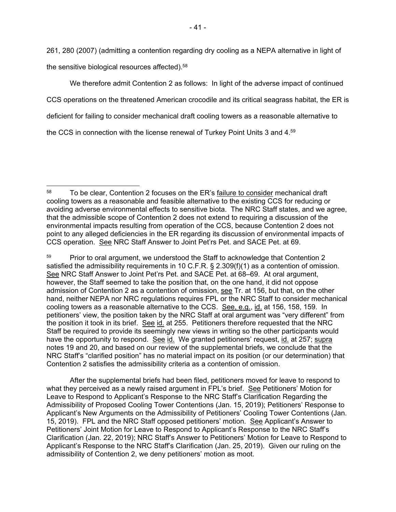261, 280 (2007) (admitting a contention regarding dry cooling as a NEPA alternative in light of the sensitive biological resources affected).58

We therefore admit Contention 2 as follows: In light of the adverse impact of continued CCS operations on the threatened American crocodile and its critical seagrass habitat, the ER is deficient for failing to consider mechanical draft cooling towers as a reasonable alternative to the CCS in connection with the license renewal of Turkey Point Units 3 and 4.59

 After the supplemental briefs had been filed, petitioners moved for leave to respond to what they perceived as a newly raised argument in FPL's brief. See Petitioners' Motion for Leave to Respond to Applicant's Response to the NRC Staff's Clarification Regarding the Admissibility of Proposed Cooling Tower Contentions (Jan. 15, 2019); Petitioners' Response to Applicant's New Arguments on the Admissibility of Petitioners' Cooling Tower Contentions (Jan. 15, 2019). FPL and the NRC Staff opposed petitioners' motion. See Applicant's Answer to Petitioners' Joint Motion for Leave to Respond to Applicant's Response to the NRC Staff's Clarification (Jan. 22, 2019); NRC Staff's Answer to Petitioners' Motion for Leave to Respond to Applicant's Response to the NRC Staff's Clarification (Jan. 25, 2019). Given our ruling on the admissibility of Contention 2, we deny petitioners' motion as moot.

 <sup>58</sup> To be clear, Contention 2 focuses on the ER's failure to consider mechanical draft cooling towers as a reasonable and feasible alternative to the existing CCS for reducing or avoiding adverse environmental effects to sensitive biota. The NRC Staff states, and we agree, that the admissible scope of Contention 2 does not extend to requiring a discussion of the environmental impacts resulting from operation of the CCS, because Contention 2 does not point to any alleged deficiencies in the ER regarding its discussion of environmental impacts of CCS operation. See NRC Staff Answer to Joint Pet'rs Pet. and SACE Pet. at 69.

<sup>&</sup>lt;sup>59</sup> Prior to oral argument, we understood the Staff to acknowledge that Contention 2 satisfied the admissibility requirements in 10 C.F.R. § 2.309(f)(1) as a contention of omission. See NRC Staff Answer to Joint Pet'rs Pet. and SACE Pet. at 68–69. At oral argument, however, the Staff seemed to take the position that, on the one hand, it did not oppose admission of Contention 2 as a contention of omission, see Tr. at 156, but that, on the other hand, neither NEPA nor NRC regulations requires FPL or the NRC Staff to consider mechanical cooling towers as a reasonable alternative to the CCS. See, e.g., id. at 156, 158, 159. In petitioners' view, the position taken by the NRC Staff at oral argument was "very different" from the position it took in its brief. See id. at 255. Petitioners therefore requested that the NRC Staff be required to provide its seemingly new views in writing so the other participants would have the opportunity to respond. See id. We granted petitioners' request, id. at 257; supra notes 19 and 20, and based on our review of the supplemental briefs, we conclude that the NRC Staff's "clarified position" has no material impact on its position (or our determination) that Contention 2 satisfies the admissibility criteria as a contention of omission.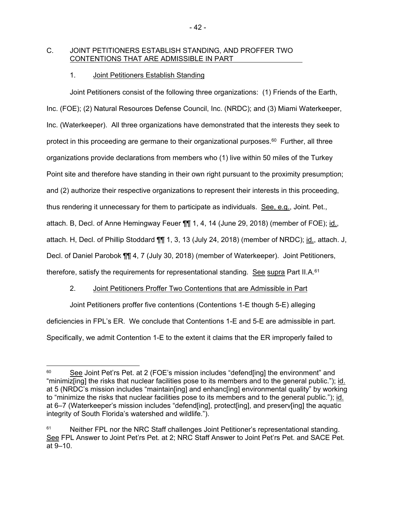## C. JOINT PETITIONERS ESTABLISH STANDING, AND PROFFER TWO CONTENTIONS THAT ARE ADMISSIBLE IN PART

# 1. Joint Petitioners Establish Standing

Joint Petitioners consist of the following three organizations: (1) Friends of the Earth, Inc. (FOE); (2) Natural Resources Defense Council, Inc. (NRDC); and (3) Miami Waterkeeper, Inc. (Waterkeeper). All three organizations have demonstrated that the interests they seek to protect in this proceeding are germane to their organizational purposes. $60$  Further, all three organizations provide declarations from members who (1) live within 50 miles of the Turkey Point site and therefore have standing in their own right pursuant to the proximity presumption; and (2) authorize their respective organizations to represent their interests in this proceeding, thus rendering it unnecessary for them to participate as individuals. See, e.g., Joint. Pet., attach. B, Decl. of Anne Hemingway Feuer ¶¶ 1, 4, 14 (June 29, 2018) (member of FOE); id., attach. H, Decl. of Phillip Stoddard ¶¶ 1, 3, 13 (July 24, 2018) (member of NRDC); id., attach. J, Decl. of Daniel Parobok  $\P\P$  4, 7 (July 30, 2018) (member of Waterkeeper). Joint Petitioners, therefore, satisfy the requirements for representational standing. See supra Part II.A.<sup>61</sup>

# 2. Joint Petitioners Proffer Two Contentions that are Admissible in Part

Joint Petitioners proffer five contentions (Contentions 1-E though 5-E) alleging deficiencies in FPL's ER. We conclude that Contentions 1-E and 5-E are admissible in part. Specifically, we admit Contention 1-E to the extent it claims that the ER improperly failed to

<sup>-</sup><sup>60</sup> See Joint Pet'rs Pet. at 2 (FOE's mission includes "defend[ing] the environment" and "minimiz[ing] the risks that nuclear facilities pose to its members and to the general public."); id. at 5 (NRDC's mission includes "maintain[ing] and enhanc[ing] environmental quality" by working to "minimize the risks that nuclear facilities pose to its members and to the general public."); id. at 6–7 (Waterkeeper's mission includes "defend[ing], protect[ing], and preserv[ing] the aquatic integrity of South Florida's watershed and wildlife.").

<sup>&</sup>lt;sup>61</sup> Neither FPL nor the NRC Staff challenges Joint Petitioner's representational standing. See FPL Answer to Joint Pet'rs Pet. at 2; NRC Staff Answer to Joint Pet'rs Pet. and SACE Pet. at 9–10.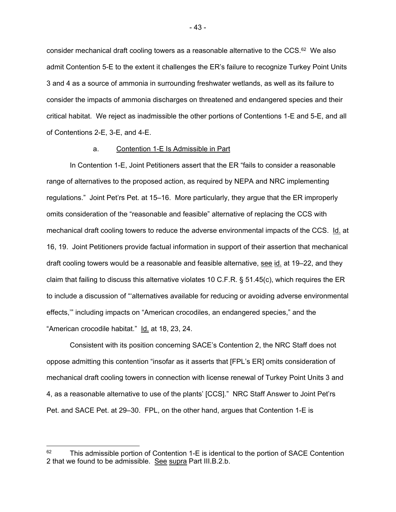consider mechanical draft cooling towers as a reasonable alternative to the  $CCS<sub>62</sub>$  We also admit Contention 5-E to the extent it challenges the ER's failure to recognize Turkey Point Units 3 and 4 as a source of ammonia in surrounding freshwater wetlands, as well as its failure to consider the impacts of ammonia discharges on threatened and endangered species and their critical habitat. We reject as inadmissible the other portions of Contentions 1-E and 5-E, and all of Contentions 2-E, 3-E, and 4-E.

### a. Contention 1-E Is Admissible in Part

In Contention 1-E, Joint Petitioners assert that the ER "fails to consider a reasonable range of alternatives to the proposed action, as required by NEPA and NRC implementing regulations." Joint Pet'rs Pet. at 15–16. More particularly, they argue that the ER improperly omits consideration of the "reasonable and feasible" alternative of replacing the CCS with mechanical draft cooling towers to reduce the adverse environmental impacts of the CCS. Id. at 16, 19. Joint Petitioners provide factual information in support of their assertion that mechanical draft cooling towers would be a reasonable and feasible alternative, see id. at 19–22, and they claim that failing to discuss this alternative violates 10 C.F.R. § 51.45(c), which requires the ER to include a discussion of "'alternatives available for reducing or avoiding adverse environmental effects,'" including impacts on "American crocodiles, an endangered species," and the "American crocodile habitat." Id. at 18, 23, 24.

Consistent with its position concerning SACE's Contention 2, the NRC Staff does not oppose admitting this contention "insofar as it asserts that [FPL's ER] omits consideration of mechanical draft cooling towers in connection with license renewal of Turkey Point Units 3 and 4, as a reasonable alternative to use of the plants' [CCS]." NRC Staff Answer to Joint Pet'rs Pet. and SACE Pet. at 29–30. FPL, on the other hand, argues that Contention 1-E is

-

 $62$  This admissible portion of Contention 1-E is identical to the portion of SACE Contention 2 that we found to be admissible. See supra Part III.B.2.b.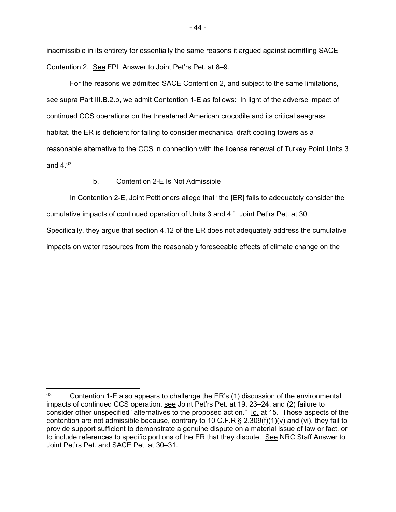inadmissible in its entirety for essentially the same reasons it argued against admitting SACE Contention 2. See FPL Answer to Joint Pet'rs Pet. at 8–9.

For the reasons we admitted SACE Contention 2, and subject to the same limitations, see supra Part III.B.2.b, we admit Contention 1-E as follows: In light of the adverse impact of continued CCS operations on the threatened American crocodile and its critical seagrass habitat, the ER is deficient for failing to consider mechanical draft cooling towers as a reasonable alternative to the CCS in connection with the license renewal of Turkey Point Units 3 and 4.63

### b. Contention 2-E Is Not Admissible

-

In Contention 2-E, Joint Petitioners allege that "the [ER] fails to adequately consider the cumulative impacts of continued operation of Units 3 and 4." Joint Pet'rs Pet. at 30.

Specifically, they argue that section 4.12 of the ER does not adequately address the cumulative impacts on water resources from the reasonably foreseeable effects of climate change on the

 $63$  Contention 1-E also appears to challenge the ER's (1) discussion of the environmental impacts of continued CCS operation, see Joint Pet'rs Pet. at 19, 23–24, and (2) failure to consider other unspecified "alternatives to the proposed action." Id. at 15. Those aspects of the contention are not admissible because, contrary to 10 C.F.R § 2.309(f)(1)(v) and (vi), they fail to provide support sufficient to demonstrate a genuine dispute on a material issue of law or fact, or to include references to specific portions of the ER that they dispute. See NRC Staff Answer to Joint Pet'rs Pet. and SACE Pet. at 30–31.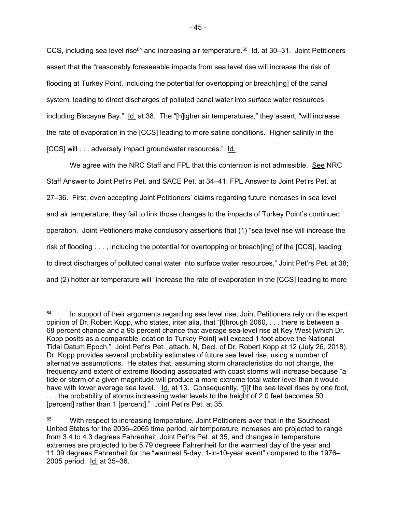CCS, including sea level rise $64$  and increasing air temperature. $65$  Id. at 30–31. Joint Petitioners assert that the "reasonably foreseeable impacts from sea level rise will increase the risk of flooding at Turkey Point, including the potential for overtopping or breach[ing] of the canal system, leading to direct discharges of polluted canal water into surface water resources, including Biscayne Bay." Id. at 38. The "[h]igher air temperatures," they assert, "will increase the rate of evaporation in the [CCS] leading to more saline conditions. Higher salinity in the [CCS] will . . . adversely impact groundwater resources." Id.

We agree with the NRC Staff and FPL that this contention is not admissible. See NRC Staff Answer to Joint Pet'rs Pet. and SACE Pet. at 34–41; FPL Answer to Joint Pet'rs Pet. at 27–36. First, even accepting Joint Petitioners' claims regarding future increases in sea level and air temperature, they fail to link those changes to the impacts of Turkey Point's continued operation. Joint Petitioners make conclusory assertions that (1) "sea level rise will increase the risk of flooding . . . , including the potential for overtopping or breach[ing] of the [CCS], leading to direct discharges of polluted canal water into surface water resources," Joint Pet'rs Pet. at 38; and (2) hotter air temperature will "increase the rate of evaporation in the [CCS] leading to more

 $\overline{a}$ 

 $64$  In support of their arguments regarding sea level rise, Joint Petitioners rely on the expert opinion of Dr. Robert Kopp, who states, inter alia, that "[t]hrough 2060, . . . there is between a 68 percent chance and a 95 percent chance that average sea-level rise at Key West [which Dr. Kopp posits as a comparable location to Turkey Point] will exceed 1 foot above the National Tidal Datum Epoch." Joint Pet'rs Pet., attach. N, Decl. of Dr. Robert Kopp at 12 (July 26, 2018). Dr. Kopp provides several probability estimates of future sea level rise, using a number of alternative assumptions. He states that, assuming storm characteristics do not change, the frequency and extent of extreme flooding associated with coast storms will increase because "a tide or storm of a given magnitude will produce a more extreme total water level than it would have with lower average sea level." Id. at 13. Consequently, "[i]f the sea level rises by one foot, . . . the probability of storms increasing water levels to the height of 2.0 feet becomes 50 [percent] rather than 1 [percent]." Joint Pet'rs Pet. at 35.

With respect to increasing temperature, Joint Petitioners aver that in the Southeast United States for the 2036–2065 time period, air temperature increases are projected to range from 3.4 to 4.3 degrees Fahrenheit, Joint Pet'rs Pet. at 35, and changes in temperature extremes are projected to be 5.79 degrees Fahrenheit for the warmest day of the year and 11.09 degrees Fahrenheit for the "warmest 5-day, 1-in-10-year event" compared to the 1976– 2005 period. Id. at 35–36.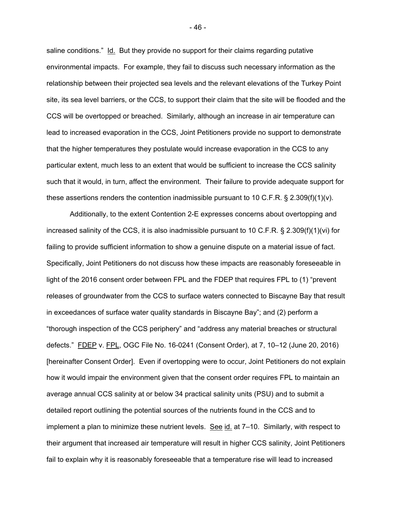saline conditions." Id. But they provide no support for their claims regarding putative environmental impacts. For example, they fail to discuss such necessary information as the relationship between their projected sea levels and the relevant elevations of the Turkey Point site, its sea level barriers, or the CCS, to support their claim that the site will be flooded and the CCS will be overtopped or breached. Similarly, although an increase in air temperature can lead to increased evaporation in the CCS, Joint Petitioners provide no support to demonstrate that the higher temperatures they postulate would increase evaporation in the CCS to any particular extent, much less to an extent that would be sufficient to increase the CCS salinity such that it would, in turn, affect the environment. Their failure to provide adequate support for these assertions renders the contention inadmissible pursuant to 10 C.F.R.  $\S$  2.309(f)(1)(v).

Additionally, to the extent Contention 2-E expresses concerns about overtopping and increased salinity of the CCS, it is also inadmissible pursuant to 10 C.F.R. § 2.309(f)(1)(vi) for failing to provide sufficient information to show a genuine dispute on a material issue of fact. Specifically, Joint Petitioners do not discuss how these impacts are reasonably foreseeable in light of the 2016 consent order between FPL and the FDEP that requires FPL to (1) "prevent releases of groundwater from the CCS to surface waters connected to Biscayne Bay that result in exceedances of surface water quality standards in Biscayne Bay"; and (2) perform a "thorough inspection of the CCS periphery" and "address any material breaches or structural defects." FDEP v. FPL, OGC File No. 16-0241 (Consent Order), at 7, 10–12 (June 20, 2016) [hereinafter Consent Order]. Even if overtopping were to occur, Joint Petitioners do not explain how it would impair the environment given that the consent order requires FPL to maintain an average annual CCS salinity at or below 34 practical salinity units (PSU) and to submit a detailed report outlining the potential sources of the nutrients found in the CCS and to implement a plan to minimize these nutrient levels. See  $id$  at  $7-10$ . Similarly, with respect to their argument that increased air temperature will result in higher CCS salinity, Joint Petitioners fail to explain why it is reasonably foreseeable that a temperature rise will lead to increased

- 46 -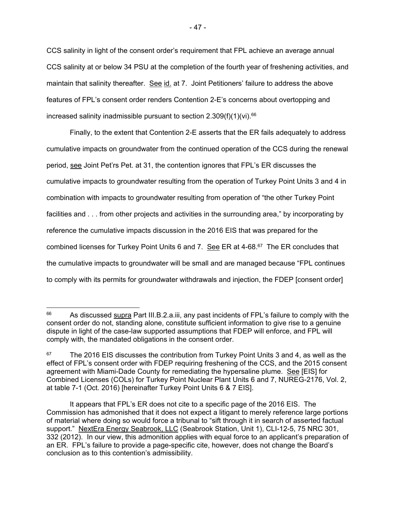CCS salinity in light of the consent order's requirement that FPL achieve an average annual CCS salinity at or below 34 PSU at the completion of the fourth year of freshening activities, and maintain that salinity thereafter. See id. at 7. Joint Petitioners' failure to address the above features of FPL's consent order renders Contention 2-E's concerns about overtopping and increased salinity inadmissible pursuant to section  $2.309(f)(1)(vi).$ <sup>66</sup>

 Finally, to the extent that Contention 2-E asserts that the ER fails adequately to address cumulative impacts on groundwater from the continued operation of the CCS during the renewal period, see Joint Pet'rs Pet. at 31, the contention ignores that FPL's ER discusses the cumulative impacts to groundwater resulting from the operation of Turkey Point Units 3 and 4 in combination with impacts to groundwater resulting from operation of "the other Turkey Point facilities and . . . from other projects and activities in the surrounding area," by incorporating by reference the cumulative impacts discussion in the 2016 EIS that was prepared for the combined licenses for Turkey Point Units 6 and 7. See ER at  $4-68.67$  The ER concludes that the cumulative impacts to groundwater will be small and are managed because "FPL continues to comply with its permits for groundwater withdrawals and injection, the FDEP [consent order]

 $\overline{a}$ 

<sup>&</sup>lt;sup>66</sup> As discussed supra Part III.B.2.a.iii, any past incidents of FPL's failure to comply with the consent order do not, standing alone, constitute sufficient information to give rise to a genuine dispute in light of the case-law supported assumptions that FDEP will enforce, and FPL will comply with, the mandated obligations in the consent order.

 $67$  The 2016 EIS discusses the contribution from Turkey Point Units 3 and 4, as well as the effect of FPL's consent order with FDEP requiring freshening of the CCS, and the 2015 consent agreement with Miami-Dade County for remediating the hypersaline plume. See [EIS] for Combined Licenses (COLs) for Turkey Point Nuclear Plant Units 6 and 7, NUREG-2176, Vol. 2, at table 7-1 (Oct. 2016) [hereinafter Turkey Point Units 6 & 7 EIS].

It appears that FPL's ER does not cite to a specific page of the 2016 EIS. The Commission has admonished that it does not expect a litigant to merely reference large portions of material where doing so would force a tribunal to "sift through it in search of asserted factual support." NextEra Energy Seabrook, LLC (Seabrook Station, Unit 1), CLI-12-5, 75 NRC 301, 332 (2012). In our view, this admonition applies with equal force to an applicant's preparation of an ER. FPL's failure to provide a page-specific cite, however, does not change the Board's conclusion as to this contention's admissibility.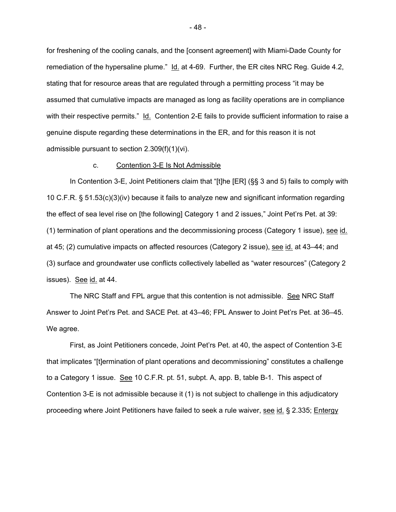for freshening of the cooling canals, and the [consent agreement] with Miami-Dade County for remediation of the hypersaline plume." Id. at 4-69. Further, the ER cites NRC Reg. Guide 4.2, stating that for resource areas that are regulated through a permitting process "it may be assumed that cumulative impacts are managed as long as facility operations are in compliance with their respective permits." Id. Contention 2-E fails to provide sufficient information to raise a genuine dispute regarding these determinations in the ER, and for this reason it is not admissible pursuant to section 2.309(f)(1)(vi).

#### c. Contention 3-E Is Not Admissible

In Contention 3-E, Joint Petitioners claim that "[t]he [ER] (§§ 3 and 5) fails to comply with 10 C.F.R. § 51.53(c)(3)(iv) because it fails to analyze new and significant information regarding the effect of sea level rise on [the following] Category 1 and 2 issues," Joint Pet'rs Pet. at 39: (1) termination of plant operations and the decommissioning process (Category 1 issue), see id. at 45; (2) cumulative impacts on affected resources (Category 2 issue), see id. at 43–44; and (3) surface and groundwater use conflicts collectively labelled as "water resources" (Category 2 issues). See id. at 44.

The NRC Staff and FPL argue that this contention is not admissible. See NRC Staff Answer to Joint Pet'rs Pet. and SACE Pet. at 43–46; FPL Answer to Joint Pet'rs Pet. at 36–45. We agree.

 First, as Joint Petitioners concede, Joint Pet'rs Pet. at 40, the aspect of Contention 3-E that implicates "[t]ermination of plant operations and decommissioning" constitutes a challenge to a Category 1 issue. See 10 C.F.R. pt. 51, subpt. A, app. B, table B-1. This aspect of Contention 3-E is not admissible because it (1) is not subject to challenge in this adjudicatory proceeding where Joint Petitioners have failed to seek a rule waiver, see id. § 2.335; Entergy

- 48 -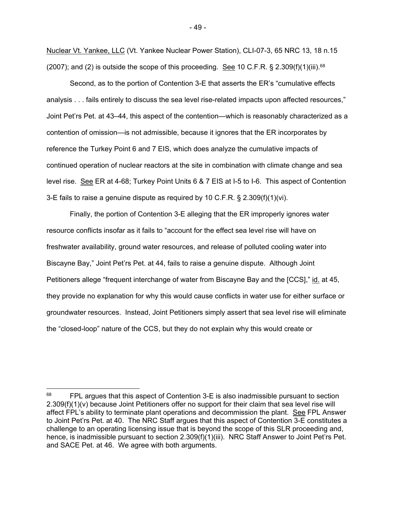Nuclear Vt. Yankee, LLC (Vt. Yankee Nuclear Power Station), CLI-07-3, 65 NRC 13, 18 n.15 (2007); and (2) is outside the scope of this proceeding. See 10 C.F.R. § 2.309(f)(1)(iii).<sup>68</sup>

 Second, as to the portion of Contention 3-E that asserts the ER's "cumulative effects analysis . . . fails entirely to discuss the sea level rise-related impacts upon affected resources," Joint Pet'rs Pet. at 43–44, this aspect of the contention—which is reasonably characterized as a contention of omission—is not admissible, because it ignores that the ER incorporates by reference the Turkey Point 6 and 7 EIS, which does analyze the cumulative impacts of continued operation of nuclear reactors at the site in combination with climate change and sea level rise. See ER at 4-68; Turkey Point Units 6 & 7 EIS at I-5 to I-6. This aspect of Contention 3-E fails to raise a genuine dispute as required by 10 C.F.R. § 2.309(f)(1)(vi).

Finally, the portion of Contention 3-E alleging that the ER improperly ignores water resource conflicts insofar as it fails to "account for the effect sea level rise will have on freshwater availability, ground water resources, and release of polluted cooling water into Biscayne Bay," Joint Pet'rs Pet. at 44, fails to raise a genuine dispute. Although Joint Petitioners allege "frequent interchange of water from Biscayne Bay and the [CCS]," id. at 45, they provide no explanation for why this would cause conflicts in water use for either surface or groundwater resources. Instead, Joint Petitioners simply assert that sea level rise will eliminate the "closed-loop" nature of the CCS, but they do not explain why this would create or

<sup>&</sup>lt;sup>68</sup> FPL argues that this aspect of Contention 3-E is also inadmissible pursuant to section 2.309(f)(1)(v) because Joint Petitioners offer no support for their claim that sea level rise will affect FPL's ability to terminate plant operations and decommission the plant. See FPL Answer to Joint Pet'rs Pet. at 40. The NRC Staff argues that this aspect of Contention 3-E constitutes a challenge to an operating licensing issue that is beyond the scope of this SLR proceeding and, hence, is inadmissible pursuant to section 2.309(f)(1)(iii). NRC Staff Answer to Joint Pet'rs Pet. and SACE Pet. at 46. We agree with both arguments.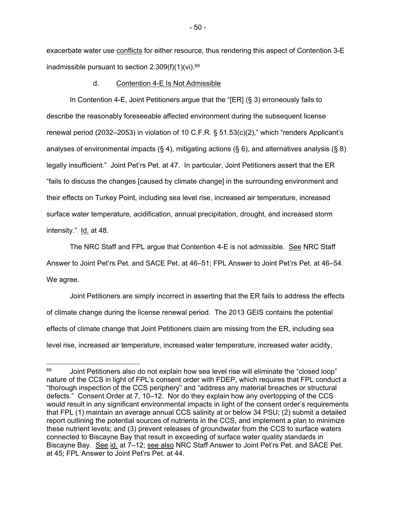exacerbate water use conflicts for either resource, thus rendering this aspect of Contention 3-E inadmissible pursuant to section  $2.309(f)(1)(vi).$ <sup>69</sup>

### d. Contention 4-E Is Not Admissible

In Contention 4-E, Joint Petitioners argue that the "[ER] (§ 3) erroneously fails to describe the reasonably foreseeable affected environment during the subsequent license renewal period (2032–2053) in violation of 10 C.F.R. § 51.53(c)(2)," which "renders Applicant's analyses of environmental impacts (§ 4), mitigating actions (§ 6), and alternatives analysis (§ 8) legally insufficient." Joint Pet'rs Pet. at 47. In particular, Joint Petitioners assert that the ER "fails to discuss the changes [caused by climate change] in the surrounding environment and their effects on Turkey Point, including sea level rise, increased air temperature, increased surface water temperature, acidification, annual precipitation, drought, and increased storm intensity." Id. at 48.

The NRC Staff and FPL argue that Contention 4-E is not admissible. See NRC Staff Answer to Joint Pet'rs Pet. and SACE Pet. at 46–51; FPL Answer to Joint Pet'rs Pet. at 46–54. We agree.

 Joint Petitioners are simply incorrect in asserting that the ER fails to address the effects of climate change during the license renewal period. The 2013 GEIS contains the potential effects of climate change that Joint Petitioners claim are missing from the ER, including sea level rise, increased air temperature, increased water temperature, increased water acidity,

 $\overline{a}$ 

<sup>69</sup> Joint Petitioners also do not explain how sea level rise will eliminate the "closed loop" nature of the CCS in light of FPL's consent order with FDEP, which requires that FPL conduct a "thorough inspection of the CCS periphery" and "address any material breaches or structural defects." Consent Order at 7, 10–12. Nor do they explain how any overtopping of the CCS would result in any significant environmental impacts in light of the consent order's requirements that FPL (1) maintain an average annual CCS salinity at or below 34 PSU; (2) submit a detailed report outlining the potential sources of nutrients in the CCS, and implement a plan to minimize these nutrient levels; and (3) prevent releases of groundwater from the CCS to surface waters connected to Biscayne Bay that result in exceeding of surface water quality standards in Biscayne Bay. See id. at 7–12; see also NRC Staff Answer to Joint Pet'rs Pet. and SACE Pet. at 45; FPL Answer to Joint Pet'rs Pet. at 44.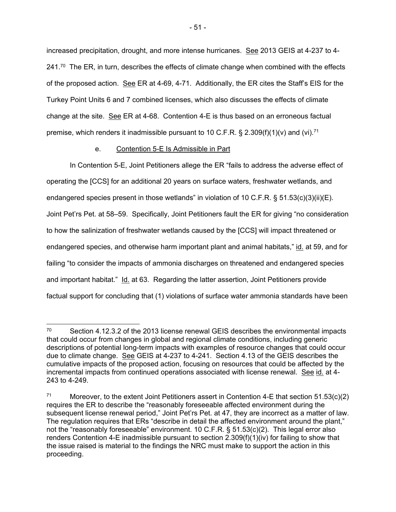increased precipitation, drought, and more intense hurricanes. See 2013 GEIS at 4-237 to 4-  $241$ .<sup>70</sup> The ER, in turn, describes the effects of climate change when combined with the effects of the proposed action. See ER at 4-69, 4-71. Additionally, the ER cites the Staff's EIS for the Turkey Point Units 6 and 7 combined licenses, which also discusses the effects of climate change at the site.  $\leq$ ee ER at 4-68. Contention 4-E is thus based on an erroneous factual premise, which renders it inadmissible pursuant to 10 C.F.R. § 2.309(f)(1)(v) and (vi).<sup>71</sup>

## e. Contention 5-E Is Admissible in Part

In Contention 5-E, Joint Petitioners allege the ER "fails to address the adverse effect of operating the [CCS] for an additional 20 years on surface waters, freshwater wetlands, and endangered species present in those wetlands" in violation of 10 C.F.R. § 51.53(c)(3)(ii)(E). Joint Pet'rs Pet. at 58–59. Specifically, Joint Petitioners fault the ER for giving "no consideration to how the salinization of freshwater wetlands caused by the [CCS] will impact threatened or endangered species, and otherwise harm important plant and animal habitats," id. at 59, and for failing "to consider the impacts of ammonia discharges on threatened and endangered species and important habitat." Id. at 63. Regarding the latter assertion, Joint Petitioners provide factual support for concluding that (1) violations of surface water ammonia standards have been

<sup>70</sup> Section 4.12.3.2 of the 2013 license renewal GEIS describes the environmental impacts that could occur from changes in global and regional climate conditions, including generic descriptions of potential long-term impacts with examples of resource changes that could occur due to climate change. See GEIS at 4-237 to 4-241. Section 4.13 of the GEIS describes the cumulative impacts of the proposed action, focusing on resources that could be affected by the incremental impacts from continued operations associated with license renewal. See id. at 4- 243 to 4-249.

<sup>&</sup>lt;sup>71</sup> Moreover, to the extent Joint Petitioners assert in Contention 4-E that section 51.53(c)(2) requires the ER to describe the "reasonably foreseeable affected environment during the subsequent license renewal period," Joint Pet'rs Pet. at 47, they are incorrect as a matter of law. The regulation requires that ERs "describe in detail the affected environment around the plant," not the "reasonably foreseeable" environment. 10 C.F.R. § 51.53(c)(2). This legal error also renders Contention 4-E inadmissible pursuant to section 2.309(f)(1)(iv) for failing to show that the issue raised is material to the findings the NRC must make to support the action in this proceeding.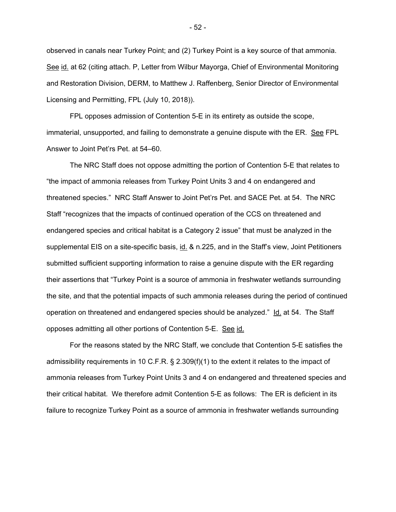observed in canals near Turkey Point; and (2) Turkey Point is a key source of that ammonia. See id. at 62 (citing attach. P, Letter from Wilbur Mayorga, Chief of Environmental Monitoring and Restoration Division, DERM, to Matthew J. Raffenberg, Senior Director of Environmental Licensing and Permitting, FPL (July 10, 2018)).

FPL opposes admission of Contention 5-E in its entirety as outside the scope, immaterial, unsupported, and failing to demonstrate a genuine dispute with the ER. See FPL Answer to Joint Pet'rs Pet. at 54–60.

The NRC Staff does not oppose admitting the portion of Contention 5-E that relates to "the impact of ammonia releases from Turkey Point Units 3 and 4 on endangered and threatened species." NRC Staff Answer to Joint Pet'rs Pet. and SACE Pet. at 54. The NRC Staff "recognizes that the impacts of continued operation of the CCS on threatened and endangered species and critical habitat is a Category 2 issue" that must be analyzed in the supplemental EIS on a site-specific basis, id. & n.225, and in the Staff's view, Joint Petitioners submitted sufficient supporting information to raise a genuine dispute with the ER regarding their assertions that "Turkey Point is a source of ammonia in freshwater wetlands surrounding the site, and that the potential impacts of such ammonia releases during the period of continued operation on threatened and endangered species should be analyzed." Id. at 54. The Staff opposes admitting all other portions of Contention 5-E. See id.

 For the reasons stated by the NRC Staff, we conclude that Contention 5-E satisfies the admissibility requirements in 10 C.F.R. § 2.309(f)(1) to the extent it relates to the impact of ammonia releases from Turkey Point Units 3 and 4 on endangered and threatened species and their critical habitat. We therefore admit Contention 5-E as follows: The ER is deficient in its failure to recognize Turkey Point as a source of ammonia in freshwater wetlands surrounding

- 52 -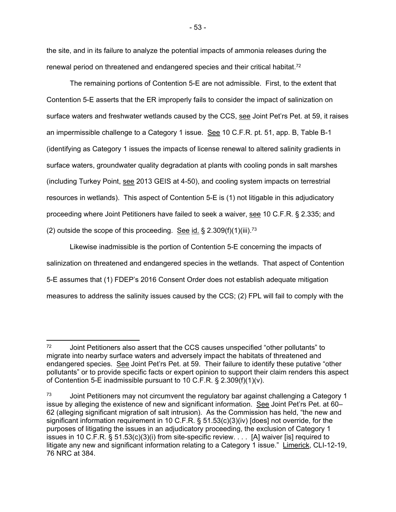the site, and in its failure to analyze the potential impacts of ammonia releases during the renewal period on threatened and endangered species and their critical habitat.<sup>72</sup>

 The remaining portions of Contention 5-E are not admissible. First, to the extent that Contention 5-E asserts that the ER improperly fails to consider the impact of salinization on surface waters and freshwater wetlands caused by the CCS, see Joint Pet'rs Pet. at 59, it raises an impermissible challenge to a Category 1 issue. See 10 C.F.R. pt. 51, app. B, Table B-1 (identifying as Category 1 issues the impacts of license renewal to altered salinity gradients in surface waters, groundwater quality degradation at plants with cooling ponds in salt marshes (including Turkey Point, see 2013 GEIS at 4-50), and cooling system impacts on terrestrial resources in wetlands). This aspect of Contention 5-E is (1) not litigable in this adjudicatory proceeding where Joint Petitioners have failed to seek a waiver, see 10 C.F.R. § 2.335; and (2) outside the scope of this proceeding. See id.  $\S 2.309(f)(1)(iii)$ .<sup>73</sup>

 Likewise inadmissible is the portion of Contention 5-E concerning the impacts of salinization on threatened and endangered species in the wetlands. That aspect of Contention 5-E assumes that (1) FDEP's 2016 Consent Order does not establish adequate mitigation measures to address the salinity issues caused by the CCS; (2) FPL will fail to comply with the

 $\overline{a}$ 72 Joint Petitioners also assert that the CCS causes unspecified "other pollutants" to migrate into nearby surface waters and adversely impact the habitats of threatened and endangered species. See Joint Pet'rs Pet. at 59. Their failure to identify these putative "other pollutants" or to provide specific facts or expert opinion to support their claim renders this aspect of Contention 5-E inadmissible pursuant to 10 C.F.R. § 2.309(f)(1)(v).

 $73$  Joint Petitioners may not circumvent the regulatory bar against challenging a Category 1 issue by alleging the existence of new and significant information. See Joint Pet'rs Pet. at 60– 62 (alleging significant migration of salt intrusion). As the Commission has held, "the new and significant information requirement in 10 C.F.R. § 51.53(c)(3)(iv) [does] not override, for the purposes of litigating the issues in an adjudicatory proceeding, the exclusion of Category 1 issues in 10 C.F.R. § 51.53(c)(3)(i) from site-specific review. . . . [A] waiver [is] required to litigate any new and significant information relating to a Category 1 issue." Limerick, CLI-12-19, 76 NRC at 384.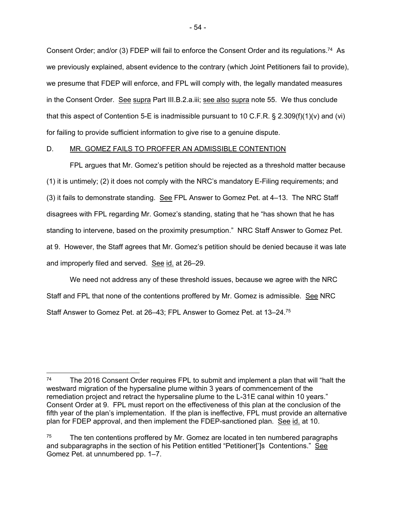Consent Order; and/or (3) FDEP will fail to enforce the Consent Order and its regulations.<sup>74</sup> As we previously explained, absent evidence to the contrary (which Joint Petitioners fail to provide), we presume that FDEP will enforce, and FPL will comply with, the legally mandated measures in the Consent Order. See supra Part III.B.2.a.iii; see also supra note 55. We thus conclude that this aspect of Contention 5-E is inadmissible pursuant to 10 C.F.R.  $\S$  2.309(f)(1)(v) and (vi) for failing to provide sufficient information to give rise to a genuine dispute.

## D. MR. GOMEZ FAILS TO PROFFER AN ADMISSIBLE CONTENTION

 FPL argues that Mr. Gomez's petition should be rejected as a threshold matter because (1) it is untimely; (2) it does not comply with the NRC's mandatory E-Filing requirements; and (3) it fails to demonstrate standing. See FPL Answer to Gomez Pet. at 4-13. The NRC Staff disagrees with FPL regarding Mr. Gomez's standing, stating that he "has shown that he has standing to intervene, based on the proximity presumption." NRC Staff Answer to Gomez Pet. at 9. However, the Staff agrees that Mr. Gomez's petition should be denied because it was late and improperly filed and served. See id. at 26-29.

 We need not address any of these threshold issues, because we agree with the NRC Staff and FPL that none of the contentions proffered by Mr. Gomez is admissible. See NRC Staff Answer to Gomez Pet. at 26–43; FPL Answer to Gomez Pet. at 13–24.75

 $\overline{a}$ 

<sup>74</sup> The 2016 Consent Order requires FPL to submit and implement a plan that will "halt the westward migration of the hypersaline plume within 3 years of commencement of the remediation project and retract the hypersaline plume to the L-31E canal within 10 years." Consent Order at 9. FPL must report on the effectiveness of this plan at the conclusion of the fifth year of the plan's implementation. If the plan is ineffective, FPL must provide an alternative plan for FDEP approval, and then implement the FDEP-sanctioned plan. See id. at 10.

 $75$  The ten contentions proffered by Mr. Gomez are located in ten numbered paragraphs and subparagraphs in the section of his Petition entitled "Petitioner[']s Contentions." See Gomez Pet. at unnumbered pp. 1–7.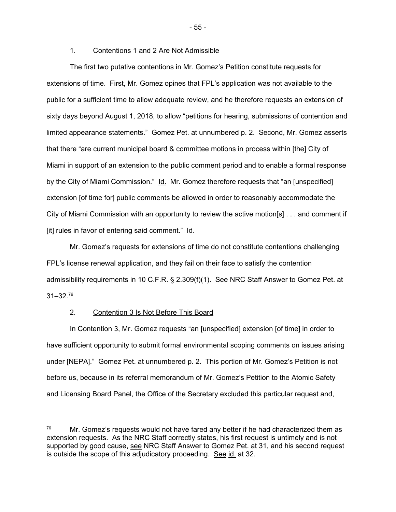## 1. Contentions 1 and 2 Are Not Admissible

 The first two putative contentions in Mr. Gomez's Petition constitute requests for extensions of time. First, Mr. Gomez opines that FPL's application was not available to the public for a sufficient time to allow adequate review, and he therefore requests an extension of sixty days beyond August 1, 2018, to allow "petitions for hearing, submissions of contention and limited appearance statements." Gomez Pet. at unnumbered p. 2. Second, Mr. Gomez asserts that there "are current municipal board & committee motions in process within [the] City of Miami in support of an extension to the public comment period and to enable a formal response by the City of Miami Commission." Id. Mr. Gomez therefore requests that "an [unspecified] extension [of time for] public comments be allowed in order to reasonably accommodate the City of Miami Commission with an opportunity to review the active motion[s] . . . and comment if [it] rules in favor of entering said comment." Id.

 Mr. Gomez's requests for extensions of time do not constitute contentions challenging FPL's license renewal application, and they fail on their face to satisfy the contention admissibility requirements in 10 C.F.R. § 2.309(f)(1). See NRC Staff Answer to Gomez Pet. at 31–32.76

### 2. Contention 3 Is Not Before This Board

 In Contention 3, Mr. Gomez requests "an [unspecified] extension [of time] in order to have sufficient opportunity to submit formal environmental scoping comments on issues arising under [NEPA]." Gomez Pet. at unnumbered p. 2. This portion of Mr. Gomez's Petition is not before us, because in its referral memorandum of Mr. Gomez's Petition to the Atomic Safety and Licensing Board Panel, the Office of the Secretary excluded this particular request and,

- 55 -

 $76$  Mr. Gomez's requests would not have fared any better if he had characterized them as extension requests. As the NRC Staff correctly states, his first request is untimely and is not supported by good cause, see NRC Staff Answer to Gomez Pet. at 31, and his second request is outside the scope of this adjudicatory proceeding. See id. at 32.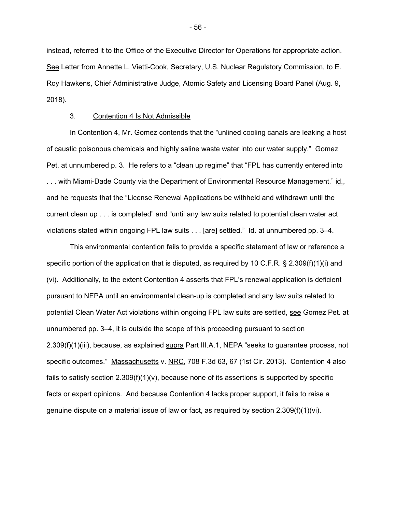instead, referred it to the Office of the Executive Director for Operations for appropriate action. See Letter from Annette L. Vietti-Cook, Secretary, U.S. Nuclear Regulatory Commission, to E. Roy Hawkens, Chief Administrative Judge, Atomic Safety and Licensing Board Panel (Aug. 9, 2018).

#### 3. Contention 4 Is Not Admissible

 In Contention 4, Mr. Gomez contends that the "unlined cooling canals are leaking a host of caustic poisonous chemicals and highly saline waste water into our water supply." Gomez Pet. at unnumbered p. 3. He refers to a "clean up regime" that "FPL has currently entered into ... with Miami-Dade County via the Department of Environmental Resource Management," id., and he requests that the "License Renewal Applications be withheld and withdrawn until the current clean up . . . is completed" and "until any law suits related to potential clean water act violations stated within ongoing FPL law suits . . . [are] settled." Id. at unnumbered pp. 3–4.

 This environmental contention fails to provide a specific statement of law or reference a specific portion of the application that is disputed, as required by 10 C.F.R. § 2.309(f)(1)(i) and (vi). Additionally, to the extent Contention 4 asserts that FPL's renewal application is deficient pursuant to NEPA until an environmental clean-up is completed and any law suits related to potential Clean Water Act violations within ongoing FPL law suits are settled, see Gomez Pet. at unnumbered pp. 3–4, it is outside the scope of this proceeding pursuant to section 2.309(f)(1)(iii), because, as explained supra Part III.A.1, NEPA "seeks to guarantee process, not specific outcomes." Massachusetts v. NRC, 708 F.3d 63, 67 (1st Cir. 2013). Contention 4 also fails to satisfy section  $2.309(f)(1)(v)$ , because none of its assertions is supported by specific facts or expert opinions. And because Contention 4 lacks proper support, it fails to raise a genuine dispute on a material issue of law or fact, as required by section  $2.309(f)(1)(vi)$ .

- 56 -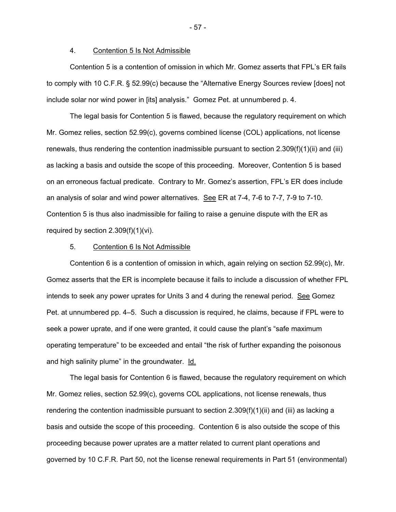#### 4. Contention 5 Is Not Admissible

 Contention 5 is a contention of omission in which Mr. Gomez asserts that FPL's ER fails to comply with 10 C.F.R. § 52.99(c) because the "Alternative Energy Sources review [does] not include solar nor wind power in [its] analysis." Gomez Pet. at unnumbered p. 4.

 The legal basis for Contention 5 is flawed, because the regulatory requirement on which Mr. Gomez relies, section 52.99(c), governs combined license (COL) applications, not license renewals, thus rendering the contention inadmissible pursuant to section 2.309(f)(1)(ii) and (iii) as lacking a basis and outside the scope of this proceeding. Moreover, Contention 5 is based on an erroneous factual predicate. Contrary to Mr. Gomez's assertion, FPL's ER does include an analysis of solar and wind power alternatives. See ER at 7-4, 7-6 to 7-7, 7-9 to 7-10. Contention 5 is thus also inadmissible for failing to raise a genuine dispute with the ER as required by section 2.309(f)(1)(vi).

## 5. Contention 6 Is Not Admissible

 Contention 6 is a contention of omission in which, again relying on section 52.99(c), Mr. Gomez asserts that the ER is incomplete because it fails to include a discussion of whether FPL intends to seek any power uprates for Units 3 and 4 during the renewal period. See Gomez Pet. at unnumbered pp. 4–5. Such a discussion is required, he claims, because if FPL were to seek a power uprate, and if one were granted, it could cause the plant's "safe maximum operating temperature" to be exceeded and entail "the risk of further expanding the poisonous and high salinity plume" in the groundwater. Id.

 The legal basis for Contention 6 is flawed, because the regulatory requirement on which Mr. Gomez relies, section 52.99(c), governs COL applications, not license renewals, thus rendering the contention inadmissible pursuant to section 2.309(f)(1)(ii) and (iii) as lacking a basis and outside the scope of this proceeding. Contention 6 is also outside the scope of this proceeding because power uprates are a matter related to current plant operations and governed by 10 C.F.R. Part 50, not the license renewal requirements in Part 51 (environmental)

- 57 -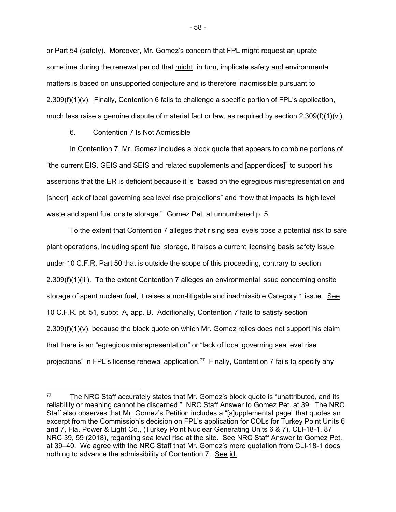or Part 54 (safety). Moreover, Mr. Gomez's concern that FPL might request an uprate sometime during the renewal period that might, in turn, implicate safety and environmental matters is based on unsupported conjecture and is therefore inadmissible pursuant to  $2.309(f)(1)(v)$ . Finally, Contention 6 fails to challenge a specific portion of FPL's application, much less raise a genuine dispute of material fact or law, as required by section 2.309(f)(1)(vi).

### 6. Contention 7 Is Not Admissible

-

 In Contention 7, Mr. Gomez includes a block quote that appears to combine portions of "the current EIS, GEIS and SEIS and related supplements and [appendices]" to support his assertions that the ER is deficient because it is "based on the egregious misrepresentation and [sheer] lack of local governing sea level rise projections" and "how that impacts its high level waste and spent fuel onsite storage." Gomez Pet. at unnumbered p. 5.

 To the extent that Contention 7 alleges that rising sea levels pose a potential risk to safe plant operations, including spent fuel storage, it raises a current licensing basis safety issue under 10 C.F.R. Part 50 that is outside the scope of this proceeding, contrary to section 2.309(f)(1)(iii). To the extent Contention 7 alleges an environmental issue concerning onsite storage of spent nuclear fuel, it raises a non-litigable and inadmissible Category 1 issue. See 10 C.F.R. pt. 51, subpt. A, app. B. Additionally, Contention 7 fails to satisfy section  $2.309(f)(1)(v)$ , because the block quote on which Mr. Gomez relies does not support his claim that there is an "egregious misrepresentation" or "lack of local governing sea level rise projections" in FPL's license renewal application.<sup>77</sup> Finally, Contention 7 fails to specify any

 $77$  The NRC Staff accurately states that Mr. Gomez's block quote is "unattributed, and its reliability or meaning cannot be discerned." NRC Staff Answer to Gomez Pet. at 39. The NRC Staff also observes that Mr. Gomez's Petition includes a "[s]upplemental page" that quotes an excerpt from the Commission's decision on FPL's application for COLs for Turkey Point Units 6 and 7, Fla. Power & Light Co., (Turkey Point Nuclear Generating Units 6 & 7), CLI-18-1, 87 NRC 39, 59 (2018), regarding sea level rise at the site. See NRC Staff Answer to Gomez Pet. at 39–40. We agree with the NRC Staff that Mr. Gomez's mere quotation from CLI-18-1 does nothing to advance the admissibility of Contention 7. See id.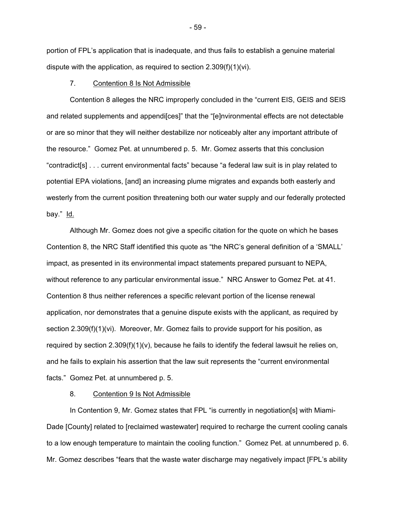portion of FPL's application that is inadequate, and thus fails to establish a genuine material dispute with the application, as required to section 2.309(f)(1)(vi).

#### 7. Contention 8 Is Not Admissible

 Contention 8 alleges the NRC improperly concluded in the "current EIS, GEIS and SEIS and related supplements and appendi[ces]" that the "[e]nvironmental effects are not detectable or are so minor that they will neither destabilize nor noticeably alter any important attribute of the resource." Gomez Pet. at unnumbered p. 5. Mr. Gomez asserts that this conclusion "contradict[s] . . . current environmental facts" because "a federal law suit is in play related to potential EPA violations, [and] an increasing plume migrates and expands both easterly and westerly from the current position threatening both our water supply and our federally protected bay." Id.

 Although Mr. Gomez does not give a specific citation for the quote on which he bases Contention 8, the NRC Staff identified this quote as "the NRC's general definition of a 'SMALL' impact, as presented in its environmental impact statements prepared pursuant to NEPA, without reference to any particular environmental issue." NRC Answer to Gomez Pet. at 41. Contention 8 thus neither references a specific relevant portion of the license renewal application, nor demonstrates that a genuine dispute exists with the applicant, as required by section 2.309(f)(1)(vi). Moreover, Mr. Gomez fails to provide support for his position, as required by section  $2.309(f)(1)(v)$ , because he fails to identify the federal lawsuit he relies on, and he fails to explain his assertion that the law suit represents the "current environmental facts." Gomez Pet. at unnumbered p. 5.

### 8. Contention 9 Is Not Admissible

 In Contention 9, Mr. Gomez states that FPL "is currently in negotiation[s] with Miami-Dade [County] related to [reclaimed wastewater] required to recharge the current cooling canals to a low enough temperature to maintain the cooling function." Gomez Pet. at unnumbered p. 6. Mr. Gomez describes "fears that the waste water discharge may negatively impact [FPL's ability

- 59 -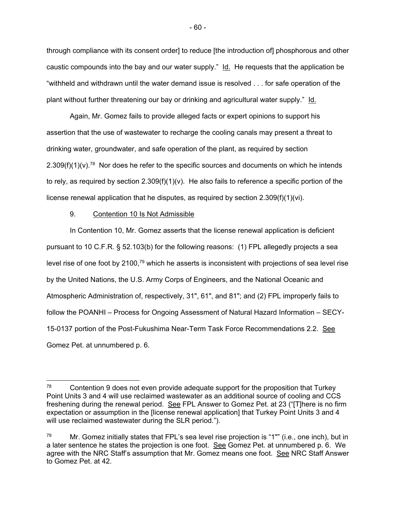through compliance with its consent order] to reduce [the introduction of] phosphorous and other caustic compounds into the bay and our water supply."  $\text{Id.}$  He requests that the application be "withheld and withdrawn until the water demand issue is resolved . . . for safe operation of the plant without further threatening our bay or drinking and agricultural water supply." Id.

 Again, Mr. Gomez fails to provide alleged facts or expert opinions to support his assertion that the use of wastewater to recharge the cooling canals may present a threat to drinking water, groundwater, and safe operation of the plant, as required by section  $2.309(f)(1)(v).$ <sup>78</sup> Nor does he refer to the specific sources and documents on which he intends to rely, as required by section  $2.309(f)(1)(v)$ . He also fails to reference a specific portion of the license renewal application that he disputes, as required by section  $2.309(f)(1)(vi)$ .

## 9. Contention 10 Is Not Admissible

 In Contention 10, Mr. Gomez asserts that the license renewal application is deficient pursuant to 10 C.F.R. § 52.103(b) for the following reasons: (1) FPL allegedly projects a sea level rise of one foot by 2100,79 which he asserts is inconsistent with projections of sea level rise by the United Nations, the U.S. Army Corps of Engineers, and the National Oceanic and Atmospheric Administration of, respectively, 31", 61", and 81"; and (2) FPL improperly fails to follow the POANHI – Process for Ongoing Assessment of Natural Hazard Information – SECY-15-0137 portion of the Post-Fukushima Near-Term Task Force Recommendations 2.2. See Gomez Pet. at unnumbered p. 6.

 $78$  Contention 9 does not even provide adequate support for the proposition that Turkey Point Units 3 and 4 will use reclaimed wastewater as an additional source of cooling and CCS freshening during the renewal period. See FPL Answer to Gomez Pet. at 23 ("[T]here is no firm expectation or assumption in the [license renewal application] that Turkey Point Units 3 and 4 will use reclaimed wastewater during the SLR period.").

 $79$  Mr. Gomez initially states that FPL's sea level rise projection is "1"" (i.e., one inch), but in a later sentence he states the projection is one foot. See Gomez Pet. at unnumbered p. 6. We agree with the NRC Staff's assumption that Mr. Gomez means one foot. See NRC Staff Answer to Gomez Pet. at 42.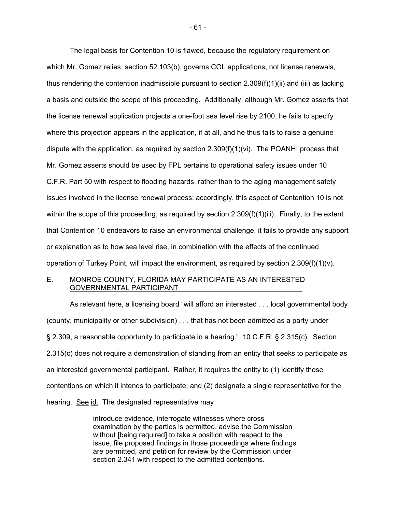The legal basis for Contention 10 is flawed, because the regulatory requirement on which Mr. Gomez relies, section 52.103(b), governs COL applications, not license renewals, thus rendering the contention inadmissible pursuant to section 2.309(f)(1)(ii) and (iii) as lacking a basis and outside the scope of this proceeding. Additionally, although Mr. Gomez asserts that the license renewal application projects a one-foot sea level rise by 2100, he fails to specify where this projection appears in the application, if at all, and he thus fails to raise a genuine dispute with the application, as required by section 2.309(f)(1)(vi). The POANHI process that Mr. Gomez asserts should be used by FPL pertains to operational safety issues under 10 C.F.R. Part 50 with respect to flooding hazards, rather than to the aging management safety issues involved in the license renewal process; accordingly, this aspect of Contention 10 is not within the scope of this proceeding, as required by section 2.309(f)(1)(iii). Finally, to the extent that Contention 10 endeavors to raise an environmental challenge, it fails to provide any support or explanation as to how sea level rise, in combination with the effects of the continued operation of Turkey Point, will impact the environment, as required by section 2.309(f)(1)(v).

## E. MONROE COUNTY, FLORIDA MAY PARTICIPATE AS AN INTERESTED GOVERNMENTAL PARTICIPANT

As relevant here, a licensing board "will afford an interested . . . local governmental body (county, municipality or other subdivision) . . . that has not been admitted as a party under § 2.309, a reasonable opportunity to participate in a hearing." 10 C.F.R. § 2.315(c). Section 2.315(c) does not require a demonstration of standing from an entity that seeks to participate as an interested governmental participant. Rather, it requires the entity to (1) identify those contentions on which it intends to participate; and (2) designate a single representative for the hearing. See id. The designated representative may

> introduce evidence, interrogate witnesses where cross examination by the parties is permitted, advise the Commission without [being required] to take a position with respect to the issue, file proposed findings in those proceedings where findings are permitted, and petition for review by the Commission under section 2.341 with respect to the admitted contentions.

- 61 -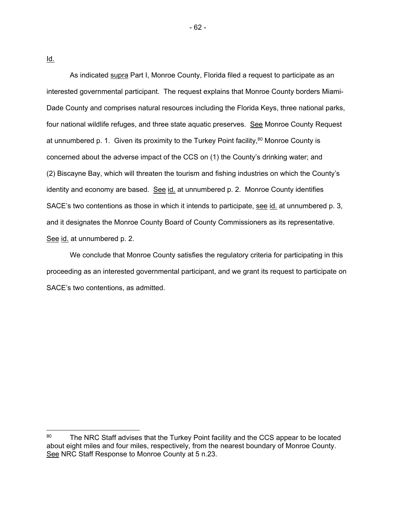Id.

 $\overline{a}$ 

 As indicated supra Part I, Monroe County, Florida filed a request to participate as an interested governmental participant. The request explains that Monroe County borders Miami-Dade County and comprises natural resources including the Florida Keys, three national parks, four national wildlife refuges, and three state aquatic preserves. See Monroe County Request at unnumbered p. 1. Given its proximity to the Turkey Point facility,<sup>80</sup> Monroe County is concerned about the adverse impact of the CCS on (1) the County's drinking water; and (2) Biscayne Bay, which will threaten the tourism and fishing industries on which the County's identity and economy are based. See id. at unnumbered p. 2. Monroe County identifies SACE's two contentions as those in which it intends to participate, see id. at unnumbered p. 3, and it designates the Monroe County Board of County Commissioners as its representative. See id. at unnumbered p. 2.

 We conclude that Monroe County satisfies the regulatory criteria for participating in this proceeding as an interested governmental participant, and we grant its request to participate on SACE's two contentions, as admitted.

<sup>80</sup> The NRC Staff advises that the Turkey Point facility and the CCS appear to be located about eight miles and four miles, respectively, from the nearest boundary of Monroe County. See NRC Staff Response to Monroe County at 5 n.23.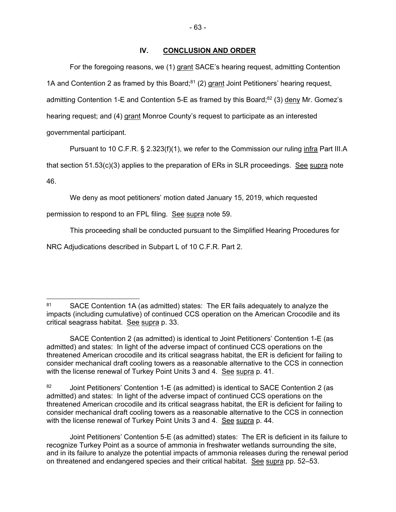For the foregoing reasons, we (1) grant SACE's hearing request, admitting Contention 1A and Contention 2 as framed by this Board; $81$  (2) grant Joint Petitioners' hearing request, admitting Contention 1-E and Contention 5-E as framed by this Board; $82$  (3) deny Mr. Gomez's hearing request; and (4) grant Monroe County's request to participate as an interested governmental participant.

Pursuant to 10 C.F.R. § 2.323(f)(1), we refer to the Commission our ruling infra Part III.A that section 51.53(c)(3) applies to the preparation of ERs in SLR proceedings. See supra note 46.

We deny as moot petitioners' motion dated January 15, 2019, which requested

permission to respond to an FPL filing. See supra note 59.

This proceeding shall be conducted pursuant to the Simplified Hearing Procedures for

NRC Adjudications described in Subpart L of 10 C.F.R. Part 2.

<sup>-</sup>81 SACE Contention 1A (as admitted) states: The ER fails adequately to analyze the impacts (including cumulative) of continued CCS operation on the American Crocodile and its critical seagrass habitat. See supra p. 33.

SACE Contention 2 (as admitted) is identical to Joint Petitioners' Contention 1-E (as admitted) and states: In light of the adverse impact of continued CCS operations on the threatened American crocodile and its critical seagrass habitat, the ER is deficient for failing to consider mechanical draft cooling towers as a reasonable alternative to the CCS in connection with the license renewal of Turkey Point Units 3 and 4. See supra p. 41.

<sup>82</sup> Joint Petitioners' Contention 1-E (as admitted) is identical to SACE Contention 2 (as admitted) and states: In light of the adverse impact of continued CCS operations on the threatened American crocodile and its critical seagrass habitat, the ER is deficient for failing to consider mechanical draft cooling towers as a reasonable alternative to the CCS in connection with the license renewal of Turkey Point Units 3 and 4. See supra p. 44.

Joint Petitioners' Contention 5-E (as admitted) states: The ER is deficient in its failure to recognize Turkey Point as a source of ammonia in freshwater wetlands surrounding the site, and in its failure to analyze the potential impacts of ammonia releases during the renewal period on threatened and endangered species and their critical habitat. See supra pp. 52–53.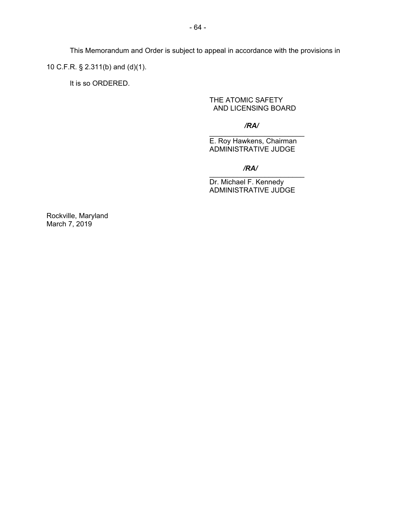This Memorandum and Order is subject to appeal in accordance with the provisions in 10 C.F.R. § 2.311(b) and (d)(1).

It is so ORDERED.

# THE ATOMIC SAFETY AND LICENSING BOARD

## */RA/*

\_\_\_\_\_\_\_\_\_\_\_\_\_\_\_\_\_\_\_\_\_\_\_\_ E. Roy Hawkens, Chairman ADMINISTRATIVE JUDGE

#### \_\_\_\_\_\_\_\_\_\_\_\_\_\_\_\_\_\_\_\_\_\_\_\_ */RA/*

Dr. Michael F. Kennedy ADMINISTRATIVE JUDGE

Rockville, Maryland March 7, 2019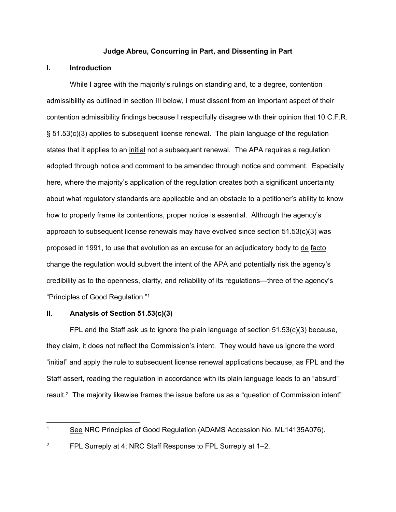#### **Judge Abreu, Concurring in Part, and Dissenting in Part**

# **I. Introduction**

While I agree with the majority's rulings on standing and, to a degree, contention admissibility as outlined in section III below, I must dissent from an important aspect of their contention admissibility findings because I respectfully disagree with their opinion that 10 C.F.R. § 51.53(c)(3) applies to subsequent license renewal. The plain language of the regulation states that it applies to an initial not a subsequent renewal. The APA requires a regulation adopted through notice and comment to be amended through notice and comment. Especially here, where the majority's application of the regulation creates both a significant uncertainty about what regulatory standards are applicable and an obstacle to a petitioner's ability to know how to properly frame its contentions, proper notice is essential. Although the agency's approach to subsequent license renewals may have evolved since section  $51.53(c)(3)$  was proposed in 1991, to use that evolution as an excuse for an adjudicatory body to de facto change the regulation would subvert the intent of the APA and potentially risk the agency's credibility as to the openness, clarity, and reliability of its regulations—three of the agency's "Principles of Good Regulation."1

### **II. Analysis of Section 51.53(c)(3)**

FPL and the Staff ask us to ignore the plain language of section 51.53(c)(3) because, they claim, it does not reflect the Commission's intent. They would have us ignore the word "initial" and apply the rule to subsequent license renewal applications because, as FPL and the Staff assert, reading the regulation in accordance with its plain language leads to an "absurd" result.<sup>2</sup> The majority likewise frames the issue before us as a "question of Commission intent"

<sup>&</sup>lt;sup>1</sup> See NRC Principles of Good Regulation (ADAMS Accession No. ML14135A076).

<sup>2</sup> FPL Surreply at 4; NRC Staff Response to FPL Surreply at 1–2.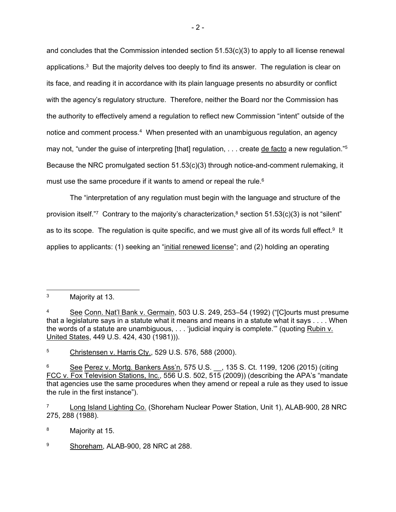and concludes that the Commission intended section  $51.53(c)(3)$  to apply to all license renewal applications. $3$  But the majority delves too deeply to find its answer. The regulation is clear on its face, and reading it in accordance with its plain language presents no absurdity or conflict with the agency's regulatory structure. Therefore, neither the Board nor the Commission has the authority to effectively amend a regulation to reflect new Commission "intent" outside of the notice and comment process.<sup>4</sup> When presented with an unambiguous regulation, an agency may not, "under the guise of interpreting [that] regulation, . . . create de facto a new regulation."<sup>5</sup> Because the NRC promulgated section 51.53(c)(3) through notice-and-comment rulemaking, it must use the same procedure if it wants to amend or repeal the rule.<sup>6</sup>

The "interpretation of any regulation must begin with the language and structure of the provision itself."<sup>7</sup> Contrary to the majority's characterization,<sup>8</sup> section 51.53(c)(3) is not "silent" as to its scope. The regulation is quite specific, and we must give all of its words full effect.<sup>9</sup> It applies to applicants: (1) seeking an "initial renewed license"; and (2) holding an operating

<sup>5</sup> Christensen v. Harris Cty., 529 U.S. 576, 588 (2000).

<sup>8</sup> Majority at 15.

9 Shoreham, ALAB-900, 28 NRC at 288.

<sup>3</sup> Majority at 13.

See Conn. Nat'l Bank v. Germain, 503 U.S. 249, 253–54 (1992) ("[C]ourts must presume that a legislature says in a statute what it means and means in a statute what it says . . . . When the words of a statute are unambiguous, . . . 'judicial inquiry is complete.'" (quoting Rubin v. United States, 449 U.S. 424, 430 (1981))).

See Perez v. Mortg. Bankers Ass'n, 575 U.S. \_\_, 135 S. Ct. 1199, 1206 (2015) (citing FCC v. Fox Television Stations, Inc., 556 U.S. 502, 515 (2009)) (describing the APA's "mandate that agencies use the same procedures when they amend or repeal a rule as they used to issue the rule in the first instance").

<sup>7</sup> Long Island Lighting Co. (Shoreham Nuclear Power Station, Unit 1), ALAB-900, 28 NRC 275, 288 (1988).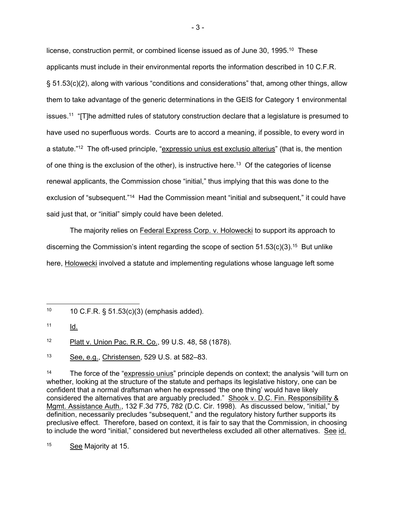license, construction permit, or combined license issued as of June 30, 1995.<sup>10</sup> These applicants must include in their environmental reports the information described in 10 C.F.R. § 51.53(c)(2), along with various "conditions and considerations" that, among other things, allow them to take advantage of the generic determinations in the GEIS for Category 1 environmental issues.11 "[T]he admitted rules of statutory construction declare that a legislature is presumed to have used no superfluous words. Courts are to accord a meaning, if possible, to every word in a statute."<sup>12</sup> The oft-used principle, "expressio unius est exclusio alterius" (that is, the mention of one thing is the exclusion of the other), is instructive here.<sup>13</sup> Of the categories of license renewal applicants, the Commission chose "initial," thus implying that this was done to the exclusion of "subsequent."<sup>14</sup> Had the Commission meant "initial and subsequent," it could have said just that, or "initial" simply could have been deleted.

The majority relies on Federal Express Corp. v. Holowecki to support its approach to discerning the Commission's intent regarding the scope of section  $51.53(c)(3).$ <sup>15</sup> But unlike here, Holowecki involved a statute and implementing regulations whose language left some

<sup>12</sup> Platt v. Union Pac. R.R. Co., 99 U.S. 48, 58 (1878).

<sup>13</sup> See, e.g., Christensen, 529 U.S. at 582–83.

 $14$  The force of the "expressio unius" principle depends on context; the analysis "will turn on whether, looking at the structure of the statute and perhaps its legislative history, one can be confident that a normal draftsman when he expressed 'the one thing' would have likely considered the alternatives that are arguably precluded." Shook v. D.C. Fin. Responsibility & Mgmt. Assistance Auth., 132 F.3d 775, 782 (D.C. Cir. 1998). As discussed below, "initial," by definition, necessarily precludes "subsequent," and the regulatory history further supports its preclusive effect. Therefore, based on context, it is fair to say that the Commission, in choosing to include the word "initial," considered but nevertheless excluded all other alternatives. See id.

<sup>15</sup> See Majority at 15.

 $10$  10 C.F.R. § 51.53(c)(3) (emphasis added).

 $11$  Id.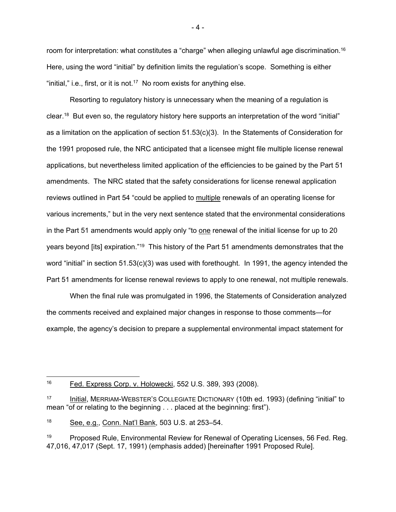room for interpretation: what constitutes a "charge" when alleging unlawful age discrimination.<sup>16</sup> Here, using the word "initial" by definition limits the regulation's scope. Something is either "initial," i.e., first, or it is not.<sup>17</sup> No room exists for anything else.

Resorting to regulatory history is unnecessary when the meaning of a regulation is clear.18 But even so, the regulatory history here supports an interpretation of the word "initial" as a limitation on the application of section 51.53(c)(3). In the Statements of Consideration for the 1991 proposed rule, the NRC anticipated that a licensee might file multiple license renewal applications, but nevertheless limited application of the efficiencies to be gained by the Part 51 amendments. The NRC stated that the safety considerations for license renewal application reviews outlined in Part 54 "could be applied to multiple renewals of an operating license for various increments," but in the very next sentence stated that the environmental considerations in the Part 51 amendments would apply only "to one renewal of the initial license for up to 20 years beyond [its] expiration."19 This history of the Part 51 amendments demonstrates that the word "initial" in section 51.53(c)(3) was used with forethought. In 1991, the agency intended the Part 51 amendments for license renewal reviews to apply to one renewal, not multiple renewals.

When the final rule was promulgated in 1996, the Statements of Consideration analyzed the comments received and explained major changes in response to those comments—for example, the agency's decision to prepare a supplemental environmental impact statement for

- 4 -

<sup>16</sup> Fed. Express Corp. v. Holowecki, 552 U.S. 389, 393 (2008).

<sup>17</sup> Initial, MERRIAM-WEBSTER'S COLLEGIATE DICTIONARY (10th ed. 1993) (defining "initial" to mean "of or relating to the beginning . . . placed at the beginning: first").

<sup>18</sup> See, e.g., Conn. Nat'l Bank, 503 U.S. at 253-54.

<sup>&</sup>lt;sup>19</sup> Proposed Rule, Environmental Review for Renewal of Operating Licenses, 56 Fed. Reg. 47,016, 47,017 (Sept. 17, 1991) (emphasis added) [hereinafter 1991 Proposed Rule].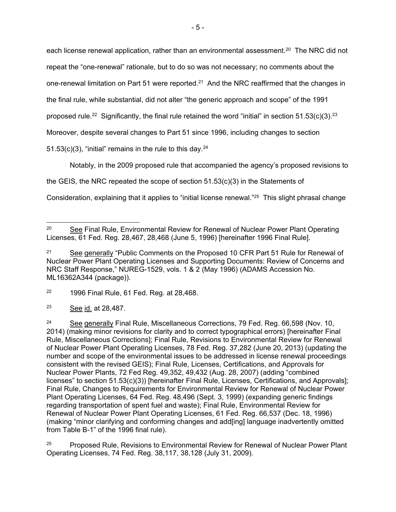each license renewal application, rather than an environmental assessment.<sup>20</sup> The NRC did not repeat the "one-renewal" rationale, but to do so was not necessary; no comments about the one-renewal limitation on Part 51 were reported.<sup>21</sup> And the NRC reaffirmed that the changes in the final rule, while substantial, did not alter "the generic approach and scope" of the 1991 proposed rule.<sup>22</sup> Significantly, the final rule retained the word "initial" in section  $51.53(c)(3).^{23}$ Moreover, despite several changes to Part 51 since 1996, including changes to section

51.53(c)(3), "initial" remains in the rule to this day. $24$ 

Notably, in the 2009 proposed rule that accompanied the agency's proposed revisions to

the GEIS, the NRC repeated the scope of section 51.53(c)(3) in the Statements of

Consideration, explaining that it applies to "initial license renewal."25 This slight phrasal change

<sup>22</sup> 1996 Final Rule, 61 Fed. Reg. at 28,468.

<sup>23</sup> See id. at 28,487.

<sup>25</sup> Proposed Rule, Revisions to Environmental Review for Renewal of Nuclear Power Plant Operating Licenses, 74 Fed. Reg. 38,117, 38,128 (July 31, 2009).

<sup>&</sup>lt;sup>20</sup> See Final Rule, Environmental Review for Renewal of Nuclear Power Plant Operating Licenses, 61 Fed. Reg. 28,467, 28,468 (June 5, 1996) [hereinafter 1996 Final Rule].

<sup>&</sup>lt;sup>21</sup> See generally "Public Comments on the Proposed 10 CFR Part 51 Rule for Renewal of Nuclear Power Plant Operating Licenses and Supporting Documents: Review of Concerns and NRC Staff Response," NUREG-1529, vols. 1 & 2 (May 1996) (ADAMS Accession No. ML16362A344 (package)).

<sup>&</sup>lt;sup>24</sup> See generally Final Rule, Miscellaneous Corrections, 79 Fed. Reg. 66,598 (Nov. 10, 2014) (making minor revisions for clarity and to correct typographical errors) [hereinafter Final Rule, Miscellaneous Corrections]; Final Rule, Revisions to Environmental Review for Renewal of Nuclear Power Plant Operating Licenses, 78 Fed. Reg. 37,282 (June 20, 2013) (updating the number and scope of the environmental issues to be addressed in license renewal proceedings consistent with the revised GEIS); Final Rule, Licenses, Certifications, and Approvals for Nuclear Power Plants, 72 Fed Reg. 49,352, 49,432 (Aug. 28, 2007) (adding "combined licenses" to section 51.53(c)(3)) [hereinafter Final Rule, Licenses, Certifications, and Approvals]; Final Rule, Changes to Requirements for Environmental Review for Renewal of Nuclear Power Plant Operating Licenses, 64 Fed. Reg. 48,496 (Sept. 3, 1999) (expanding generic findings regarding transportation of spent fuel and waste); Final Rule, Environmental Review for Renewal of Nuclear Power Plant Operating Licenses, 61 Fed. Reg. 66,537 (Dec. 18, 1996) (making "minor clarifying and conforming changes and add[ing] language inadvertently omitted from Table B-1" of the 1996 final rule).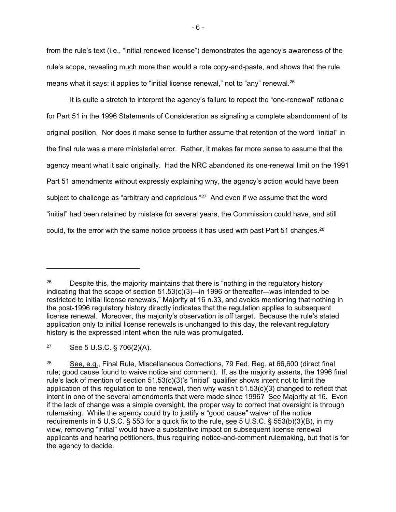from the rule's text (i.e., "initial renewed license") demonstrates the agency's awareness of the rule's scope, revealing much more than would a rote copy-and-paste, and shows that the rule means what it says: it applies to "initial license renewal," not to "any" renewal.26

It is quite a stretch to interpret the agency's failure to repeat the "one-renewal" rationale for Part 51 in the 1996 Statements of Consideration as signaling a complete abandonment of its original position. Nor does it make sense to further assume that retention of the word "initial" in the final rule was a mere ministerial error. Rather, it makes far more sense to assume that the agency meant what it said originally. Had the NRC abandoned its one-renewal limit on the 1991 Part 51 amendments without expressly explaining why, the agency's action would have been subject to challenge as "arbitrary and capricious."<sup>27</sup> And even if we assume that the word "initial" had been retained by mistake for several years, the Commission could have, and still could, fix the error with the same notice process it has used with past Part 51 changes.<sup>28</sup>

<sup>27</sup> See 5 U.S.C. § 706(2)(A).

<sup>&</sup>lt;sup>26</sup> Despite this, the majority maintains that there is "nothing in the regulatory history indicating that the scope of section 51.53(c)(3)—in 1996 or thereafter—was intended to be restricted to initial license renewals," Majority at 16 n.33, and avoids mentioning that nothing in the post-1996 regulatory history directly indicates that the regulation applies to subsequent license renewal. Moreover, the majority's observation is off target. Because the rule's stated application only to initial license renewals is unchanged to this day, the relevant regulatory history is the expressed intent when the rule was promulgated.

<sup>28</sup> See, e.g., Final Rule, Miscellaneous Corrections, 79 Fed. Reg. at 66,600 (direct final rule; good cause found to waive notice and comment). If, as the majority asserts, the 1996 final rule's lack of mention of section 51.53(c)(3)'s "initial" qualifier shows intent not to limit the application of this regulation to one renewal, then why wasn't 51.53(c)(3) changed to reflect that intent in one of the several amendments that were made since 1996? See Majority at 16. Even if the lack of change was a simple oversight, the proper way to correct that oversight is through rulemaking. While the agency could try to justify a "good cause" waiver of the notice requirements in 5 U.S.C. § 553 for a quick fix to the rule, see 5 U.S.C. § 553(b)(3)(B), in my view, removing "initial" would have a substantive impact on subsequent license renewal applicants and hearing petitioners, thus requiring notice-and-comment rulemaking, but that is for the agency to decide.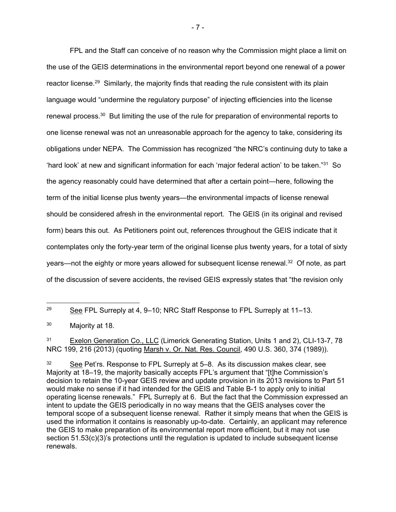FPL and the Staff can conceive of no reason why the Commission might place a limit on the use of the GEIS determinations in the environmental report beyond one renewal of a power reactor license.<sup>29</sup> Similarly, the majority finds that reading the rule consistent with its plain language would "undermine the regulatory purpose" of injecting efficiencies into the license renewal process.<sup>30</sup> But limiting the use of the rule for preparation of environmental reports to one license renewal was not an unreasonable approach for the agency to take, considering its obligations under NEPA. The Commission has recognized "the NRC's continuing duty to take a 'hard look' at new and significant information for each 'major federal action' to be taken."31 So the agency reasonably could have determined that after a certain point—here, following the term of the initial license plus twenty years—the environmental impacts of license renewal should be considered afresh in the environmental report. The GEIS (in its original and revised form) bears this out. As Petitioners point out, references throughout the GEIS indicate that it contemplates only the forty-year term of the original license plus twenty years, for a total of sixty years—not the eighty or more years allowed for subsequent license renewal.<sup>32</sup> Of note, as part of the discussion of severe accidents, the revised GEIS expressly states that "the revision only

<sup>&</sup>lt;sup>29</sup> See FPL Surreply at 4, 9–10; NRC Staff Response to FPL Surreply at 11–13.

<sup>30</sup> Majority at 18.

<sup>&</sup>lt;sup>31</sup> Exelon Generation Co., LLC (Limerick Generating Station, Units 1 and 2), CLI-13-7, 78 NRC 199, 216 (2013) (quoting Marsh v. Or. Nat. Res. Council, 490 U.S. 360, 374 (1989)).

<sup>32</sup> See Pet'rs. Response to FPL Surreply at 5–8. As its discussion makes clear, see Majority at 18–19, the majority basically accepts FPL's argument that "[t]he Commission's decision to retain the 10-year GEIS review and update provision in its 2013 revisions to Part 51 would make no sense if it had intended for the GEIS and Table B-1 to apply only to initial operating license renewals." FPL Surreply at 6. But the fact that the Commission expressed an intent to update the GEIS periodically in no way means that the GEIS analyses cover the temporal scope of a subsequent license renewal. Rather it simply means that when the GEIS is used the information it contains is reasonably up-to-date. Certainly, an applicant may reference the GEIS to make preparation of its environmental report more efficient, but it may not use section 51.53(c)(3)'s protections until the regulation is updated to include subsequent license renewals.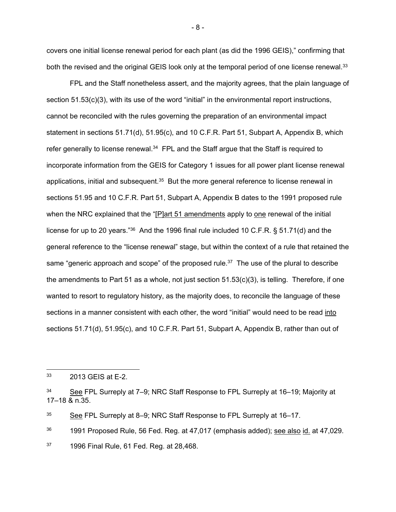covers one initial license renewal period for each plant (as did the 1996 GEIS)," confirming that both the revised and the original GEIS look only at the temporal period of one license renewal.<sup>33</sup>

FPL and the Staff nonetheless assert, and the majority agrees, that the plain language of section 51.53(c)(3), with its use of the word "initial" in the environmental report instructions, cannot be reconciled with the rules governing the preparation of an environmental impact statement in sections 51.71(d), 51.95(c), and 10 C.F.R. Part 51, Subpart A, Appendix B, which refer generally to license renewal.<sup>34</sup> FPL and the Staff argue that the Staff is required to incorporate information from the GEIS for Category 1 issues for all power plant license renewal applications, initial and subsequent.<sup>35</sup> But the more general reference to license renewal in sections 51.95 and 10 C.F.R. Part 51, Subpart A, Appendix B dates to the 1991 proposed rule when the NRC explained that the "[P]art 51 amendments apply to one renewal of the initial license for up to 20 years."36 And the 1996 final rule included 10 C.F.R. § 51.71(d) and the general reference to the "license renewal" stage, but within the context of a rule that retained the same "generic approach and scope" of the proposed rule. $37$  The use of the plural to describe the amendments to Part 51 as a whole, not just section  $51.53(c)(3)$ , is telling. Therefore, if one wanted to resort to regulatory history, as the majority does, to reconcile the language of these sections in a manner consistent with each other, the word "initial" would need to be read into sections 51.71(d), 51.95(c), and 10 C.F.R. Part 51, Subpart A, Appendix B, rather than out of

- 8 -

<sup>33</sup> 2013 GEIS at E-2.

<sup>34</sup> See FPL Surreply at 7–9; NRC Staff Response to FPL Surreply at 16–19; Majority at 17–18 & n.35.

<sup>&</sup>lt;sup>35</sup> See FPL Surreply at 8–9; NRC Staff Response to FPL Surreply at 16–17.

 $36$  1991 Proposed Rule, 56 Fed. Reg. at 47,017 (emphasis added); see also id. at 47,029.

 $37$  1996 Final Rule, 61 Fed. Reg. at 28,468.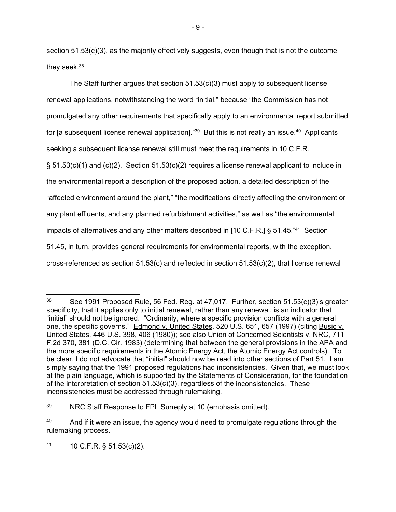section 51.53(c)(3), as the majority effectively suggests, even though that is not the outcome they seek.<sup>38</sup>

The Staff further argues that section  $51.53(c)(3)$  must apply to subsequent license renewal applications, notwithstanding the word "initial," because "the Commission has not promulgated any other requirements that specifically apply to an environmental report submitted for [a subsequent license renewal application]."<sup>39</sup> But this is not really an issue.<sup>40</sup> Applicants seeking a subsequent license renewal still must meet the requirements in 10 C.F.R. § 51.53(c)(1) and (c)(2). Section 51.53(c)(2) requires a license renewal applicant to include in the environmental report a description of the proposed action, a detailed description of the "affected environment around the plant," "the modifications directly affecting the environment or any plant effluents, and any planned refurbishment activities," as well as "the environmental impacts of alternatives and any other matters described in [10 C.F.R.] § 51.45."41 Section 51.45, in turn, provides general requirements for environmental reports, with the exception, cross-referenced as section 51.53(c) and reflected in section 51.53(c)(2), that license renewal

41  $10 \text{ C.F.R. }$  \$ 51.53(c)(2).

- 9 -

<sup>&</sup>lt;sup>38</sup> See 1991 Proposed Rule, 56 Fed. Reg. at 47,017. Further, section 51.53(c)(3)'s greater specificity, that it applies only to initial renewal, rather than any renewal, is an indicator that "initial" should not be ignored. "Ordinarily, where a specific provision conflicts with a general one, the specific governs." Edmond v. United States, 520 U.S. 651, 657 (1997) (citing Busic v. United States, 446 U.S. 398, 406 (1980)); see also Union of Concerned Scientists v. NRC, 711 F.2d 370, 381 (D.C. Cir. 1983) (determining that between the general provisions in the APA and the more specific requirements in the Atomic Energy Act, the Atomic Energy Act controls). To be clear, I do not advocate that "initial" should now be read into other sections of Part 51. I am simply saying that the 1991 proposed regulations had inconsistencies. Given that, we must look at the plain language, which is supported by the Statements of Consideration, for the foundation of the interpretation of section 51.53(c)(3), regardless of the inconsistencies. These inconsistencies must be addressed through rulemaking.

<sup>39</sup> NRC Staff Response to FPL Surreply at 10 (emphasis omitted).

<sup>&</sup>lt;sup>40</sup> And if it were an issue, the agency would need to promulgate regulations through the rulemaking process.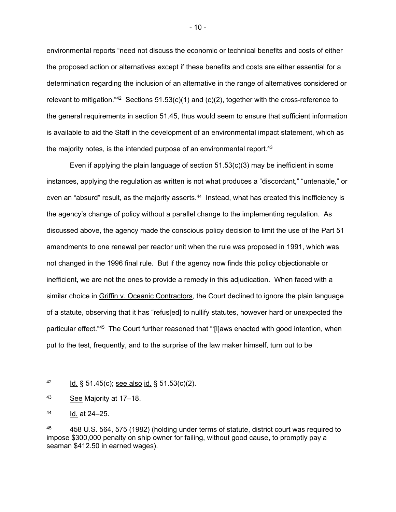environmental reports "need not discuss the economic or technical benefits and costs of either the proposed action or alternatives except if these benefits and costs are either essential for a determination regarding the inclusion of an alternative in the range of alternatives considered or relevant to mitigation."<sup>42</sup> Sections  $51.53(c)(1)$  and  $(c)(2)$ , together with the cross-reference to the general requirements in section 51.45, thus would seem to ensure that sufficient information is available to aid the Staff in the development of an environmental impact statement, which as the majority notes, is the intended purpose of an environmental report.<sup>43</sup>

Even if applying the plain language of section 51.53(c)(3) may be inefficient in some instances, applying the regulation as written is not what produces a "discordant," "untenable," or even an "absurd" result, as the majority asserts.<sup>44</sup> Instead, what has created this inefficiency is the agency's change of policy without a parallel change to the implementing regulation. As discussed above, the agency made the conscious policy decision to limit the use of the Part 51 amendments to one renewal per reactor unit when the rule was proposed in 1991, which was not changed in the 1996 final rule. But if the agency now finds this policy objectionable or inefficient, we are not the ones to provide a remedy in this adjudication. When faced with a similar choice in Griffin v. Oceanic Contractors, the Court declined to ignore the plain language of a statute, observing that it has "refus[ed] to nullify statutes, however hard or unexpected the particular effect."45 The Court further reasoned that "'[l]aws enacted with good intention, when put to the test, frequently, and to the surprise of the law maker himself, turn out to be

- 10 -

 $^{42}$  Id. § 51.45(c); see also id. § 51.53(c)(2).

<sup>43</sup> See Majority at 17–18.

<sup>44</sup> Id. at 24–25.

<sup>45 458</sup> U.S. 564, 575 (1982) (holding under terms of statute, district court was required to impose \$300,000 penalty on ship owner for failing, without good cause, to promptly pay a seaman \$412.50 in earned wages).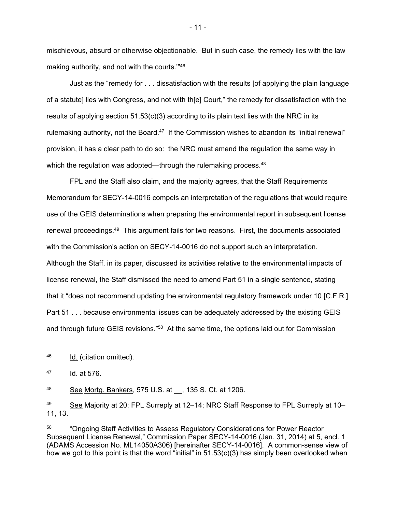mischievous, absurd or otherwise objectionable. But in such case, the remedy lies with the law making authority, and not with the courts.'"46

Just as the "remedy for . . . dissatisfaction with the results [of applying the plain language of a statute] lies with Congress, and not with th[e] Court," the remedy for dissatisfaction with the results of applying section  $51.53(c)(3)$  according to its plain text lies with the NRC in its rulemaking authority, not the Board.<sup>47</sup> If the Commission wishes to abandon its "initial renewal" provision, it has a clear path to do so: the NRC must amend the regulation the same way in which the regulation was adopted—through the rulemaking process.<sup>48</sup>

FPL and the Staff also claim, and the majority agrees, that the Staff Requirements Memorandum for SECY-14-0016 compels an interpretation of the regulations that would require use of the GEIS determinations when preparing the environmental report in subsequent license renewal proceedings.49 This argument fails for two reasons. First, the documents associated with the Commission's action on SECY-14-0016 do not support such an interpretation. Although the Staff, in its paper, discussed its activities relative to the environmental impacts of license renewal, the Staff dismissed the need to amend Part 51 in a single sentence, stating that it "does not recommend updating the environmental regulatory framework under 10 [C.F.R.] Part 51 . . . because environmental issues can be adequately addressed by the existing GEIS and through future GEIS revisions."50 At the same time, the options laid out for Commission

48 See Mortg. Bankers, 575 U.S. at , 135 S. Ct. at 1206.

<sup>49</sup> See Majority at 20; FPL Surreply at 12–14; NRC Staff Response to FPL Surreply at 10– 11, 13.

<sup>50</sup> "Ongoing Staff Activities to Assess Regulatory Considerations for Power Reactor Subsequent License Renewal," Commission Paper SECY-14-0016 (Jan. 31, 2014) at 5, encl. 1 (ADAMS Accession No. ML14050A306) [hereinafter SECY-14-0016]. A common-sense view of how we got to this point is that the word "initial" in 51.53(c)(3) has simply been overlooked when

- 11 -

<sup>46</sup> Id. (citation omitted).

<sup>47</sup> Id. at 576.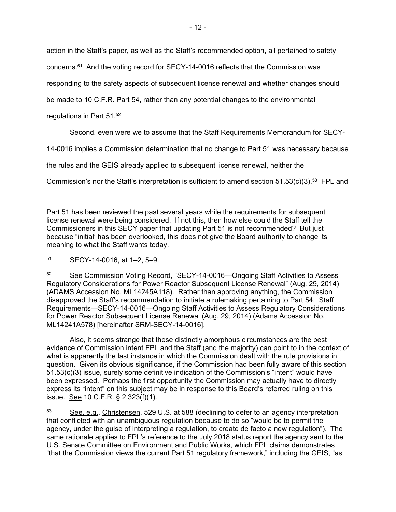action in the Staff's paper, as well as the Staff's recommended option, all pertained to safety

concerns.51 And the voting record for SECY-14-0016 reflects that the Commission was

responding to the safety aspects of subsequent license renewal and whether changes should

be made to 10 C.F.R. Part 54, rather than any potential changes to the environmental

regulations in Part 51.52

Second, even were we to assume that the Staff Requirements Memorandum for SECY-

14-0016 implies a Commission determination that no change to Part 51 was necessary because

the rules and the GEIS already applied to subsequent license renewal, neither the

Commission's nor the Staff's interpretation is sufficient to amend section  $51.53(c)(3).53$  FPL and

<sup>51</sup> SECY-14-0016, at 1–2, 5–9.

52 See Commission Voting Record, "SECY-14-0016—Ongoing Staff Activities to Assess Regulatory Considerations for Power Reactor Subsequent License Renewal" (Aug. 29, 2014) (ADAMS Accession No. ML14245A118). Rather than approving anything, the Commission disapproved the Staff's recommendation to initiate a rulemaking pertaining to Part 54. Staff Requirements—SECY-14-0016—Ongoing Staff Activities to Assess Regulatory Considerations for Power Reactor Subsequent License Renewal (Aug. 29, 2014) (Adams Accession No. ML14241A578) [hereinafter SRM-SECY-14-0016].

Also, it seems strange that these distinctly amorphous circumstances are the best evidence of Commission intent FPL and the Staff (and the majority) can point to in the context of what is apparently the last instance in which the Commission dealt with the rule provisions in question. Given its obvious significance, if the Commission had been fully aware of this section 51.53(c)(3) issue, surely some definitive indication of the Commission's "intent" would have been expressed. Perhaps the first opportunity the Commission may actually have to directly express its "intent" on this subject may be in response to this Board's referred ruling on this issue. See 10 C.F.R. § 2.323(f)(1).

<sup>53</sup> See, e.g., Christensen, 529 U.S. at 588 (declining to defer to an agency interpretation that conflicted with an unambiguous regulation because to do so "would be to permit the agency, under the guise of interpreting a regulation, to create de facto a new regulation"). The same rationale applies to FPL's reference to the July 2018 status report the agency sent to the U.S. Senate Committee on Environment and Public Works, which FPL claims demonstrates "that the Commission views the current Part 51 regulatory framework," including the GEIS, "as

Part 51 has been reviewed the past several years while the requirements for subsequent license renewal were being considered. If not this, then how else could the Staff tell the Commissioners in this SECY paper that updating Part 51 is not recommended? But just because "initial' has been overlooked, this does not give the Board authority to change its meaning to what the Staff wants today.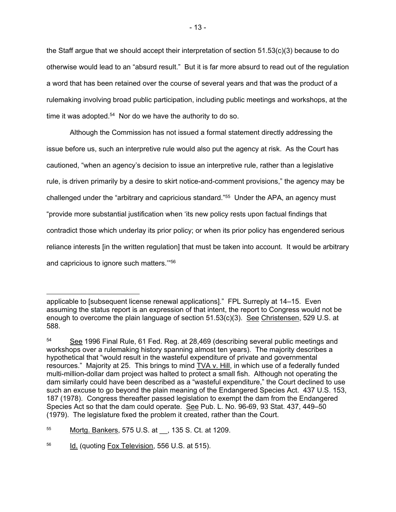the Staff argue that we should accept their interpretation of section 51.53(c)(3) because to do otherwise would lead to an "absurd result." But it is far more absurd to read out of the regulation a word that has been retained over the course of several years and that was the product of a rulemaking involving broad public participation, including public meetings and workshops, at the time it was adopted. $54$  Nor do we have the authority to do so.

Although the Commission has not issued a formal statement directly addressing the issue before us, such an interpretive rule would also put the agency at risk. As the Court has cautioned, "when an agency's decision to issue an interpretive rule, rather than a legislative rule, is driven primarily by a desire to skirt notice-and-comment provisions," the agency may be challenged under the "arbitrary and capricious standard."55 Under the APA, an agency must "provide more substantial justification when 'its new policy rests upon factual findings that contradict those which underlay its prior policy; or when its prior policy has engendered serious reliance interests [in the written regulation] that must be taken into account. It would be arbitrary and capricious to ignore such matters.'"56

applicable to [subsequent license renewal applications]." FPL Surreply at 14–15. Even assuming the status report is an expression of that intent, the report to Congress would not be enough to overcome the plain language of section 51.53(c)(3). See Christensen, 529 U.S. at 588.

<sup>54</sup> See 1996 Final Rule, 61 Fed. Reg. at 28,469 (describing several public meetings and workshops over a rulemaking history spanning almost ten years). The majority describes a hypothetical that "would result in the wasteful expenditure of private and governmental resources." Majority at 25. This brings to mind **TVA v. Hill**, in which use of a federally funded multi-million-dollar dam project was halted to protect a small fish. Although not operating the dam similarly could have been described as a "wasteful expenditure," the Court declined to use such an excuse to go beyond the plain meaning of the Endangered Species Act. 437 U.S. 153, 187 (1978). Congress thereafter passed legislation to exempt the dam from the Endangered Species Act so that the dam could operate. See Pub. L. No. 96-69, 93 Stat. 437, 449–50 (1979). The legislature fixed the problem it created, rather than the Court.

<sup>55</sup> Mortg. Bankers, 575 U.S. at \_\_, 135 S. Ct. at 1209.

<sup>&</sup>lt;sup>56</sup> Id. (quoting Fox Television, 556 U.S. at 515).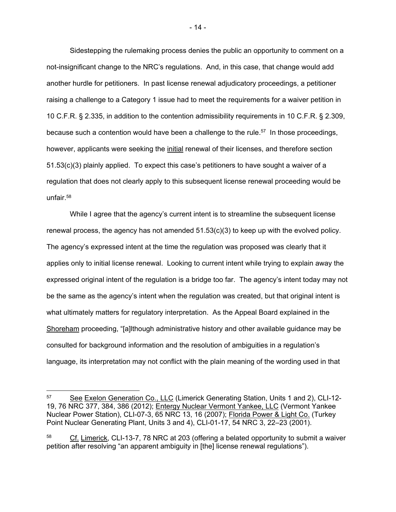Sidestepping the rulemaking process denies the public an opportunity to comment on a not-insignificant change to the NRC's regulations. And, in this case, that change would add another hurdle for petitioners. In past license renewal adjudicatory proceedings, a petitioner raising a challenge to a Category 1 issue had to meet the requirements for a waiver petition in 10 C.F.R. § 2.335, in addition to the contention admissibility requirements in 10 C.F.R. § 2.309, because such a contention would have been a challenge to the rule.<sup>57</sup> In those proceedings, however, applicants were seeking the initial renewal of their licenses, and therefore section 51.53(c)(3) plainly applied. To expect this case's petitioners to have sought a waiver of a regulation that does not clearly apply to this subsequent license renewal proceeding would be unfair.58

While I agree that the agency's current intent is to streamline the subsequent license renewal process, the agency has not amended 51.53(c)(3) to keep up with the evolved policy. The agency's expressed intent at the time the regulation was proposed was clearly that it applies only to initial license renewal. Looking to current intent while trying to explain away the expressed original intent of the regulation is a bridge too far. The agency's intent today may not be the same as the agency's intent when the regulation was created, but that original intent is what ultimately matters for regulatory interpretation. As the Appeal Board explained in the Shoreham proceeding, "[a]lthough administrative history and other available guidance may be consulted for background information and the resolution of ambiguities in a regulation's language, its interpretation may not conflict with the plain meaning of the wording used in that

- 14 -

<sup>57</sup> See Exelon Generation Co., LLC (Limerick Generating Station, Units 1 and 2), CLI-12-19, 76 NRC 377, 384, 386 (2012); Entergy Nuclear Vermont Yankee, LLC (Vermont Yankee Nuclear Power Station), CLI-07-3, 65 NRC 13, 16 (2007); Florida Power & Light Co. (Turkey Point Nuclear Generating Plant, Units 3 and 4), CLI-01-17, 54 NRC 3, 22–23 (2001).

<sup>&</sup>lt;sup>58</sup> Cf. Limerick, CLI-13-7, 78 NRC at 203 (offering a belated opportunity to submit a waiver petition after resolving "an apparent ambiguity in [the] license renewal regulations").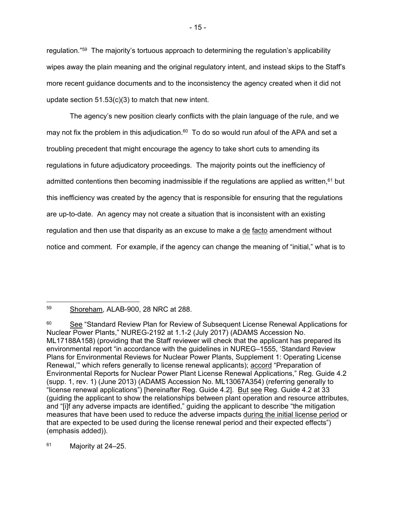regulation."59 The majority's tortuous approach to determining the regulation's applicability wipes away the plain meaning and the original regulatory intent, and instead skips to the Staff's more recent guidance documents and to the inconsistency the agency created when it did not update section 51.53(c)(3) to match that new intent.

The agency's new position clearly conflicts with the plain language of the rule, and we may not fix the problem in this adjudication. $60$  To do so would run afoul of the APA and set a troubling precedent that might encourage the agency to take short cuts to amending its regulations in future adjudicatory proceedings. The majority points out the inefficiency of admitted contentions then becoming inadmissible if the regulations are applied as written, $61$  but this inefficiency was created by the agency that is responsible for ensuring that the regulations are up-to-date. An agency may not create a situation that is inconsistent with an existing regulation and then use that disparity as an excuse to make a de facto amendment without notice and comment. For example, if the agency can change the meaning of "initial," what is to

 $61$  Majority at 24–25.

<sup>59</sup> Shoreham, ALAB-900, 28 NRC at 288.

<sup>&</sup>lt;sup>60</sup> See "Standard Review Plan for Review of Subsequent License Renewal Applications for Nuclear Power Plants," NUREG-2192 at 1.1-2 (July 2017) (ADAMS Accession No. ML17188A158) (providing that the Staff reviewer will check that the applicant has prepared its environmental report "in accordance with the guidelines in NUREG–1555, 'Standard Review Plans for Environmental Reviews for Nuclear Power Plants, Supplement 1: Operating License Renewal," which refers generally to license renewal applicants); accord "Preparation of Environmental Reports for Nuclear Power Plant License Renewal Applications," Reg. Guide 4.2 (supp. 1, rev. 1) (June 2013) (ADAMS Accession No. ML13067A354) (referring generally to "license renewal applications") [hereinafter Reg. Guide 4.2]. But see Reg. Guide 4.2 at 33 (guiding the applicant to show the relationships between plant operation and resource attributes, and "[i]f any adverse impacts are identified," guiding the applicant to describe "the mitigation measures that have been used to reduce the adverse impacts during the initial license period or that are expected to be used during the license renewal period and their expected effects") (emphasis added)).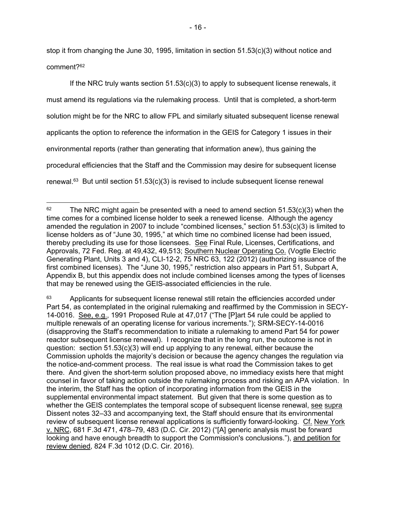stop it from changing the June 30, 1995, limitation in section 51.53(c)(3) without notice and comment?62

If the NRC truly wants section  $51.53(c)(3)$  to apply to subsequent license renewals, it must amend its regulations via the rulemaking process. Until that is completed, a short-term solution might be for the NRC to allow FPL and similarly situated subsequent license renewal applicants the option to reference the information in the GEIS for Category 1 issues in their environmental reports (rather than generating that information anew), thus gaining the procedural efficiencies that the Staff and the Commission may desire for subsequent license renewal.<sup>63</sup> But until section 51.53(c)(3) is revised to include subsequent license renewal

<sup>63</sup> Applicants for subsequent license renewal still retain the efficiencies accorded under Part 54, as contemplated in the original rulemaking and reaffirmed by the Commission in SECY-14-0016. See, e.g., 1991 Proposed Rule at 47,017 ("The [P]art 54 rule could be applied to multiple renewals of an operating license for various increments."); SRM-SECY-14-0016 (disapproving the Staff's recommendation to initiate a rulemaking to amend Part 54 for power reactor subsequent license renewal). I recognize that in the long run, the outcome is not in question: section 51.53(c)(3) will end up applying to any renewal, either because the Commission upholds the majority's decision or because the agency changes the regulation via the notice-and-comment process. The real issue is what road the Commission takes to get there. And given the short-term solution proposed above, no immediacy exists here that might counsel in favor of taking action outside the rulemaking process and risking an APA violation. In the interim, the Staff has the option of incorporating information from the GEIS in the supplemental environmental impact statement. But given that there is some question as to whether the GEIS contemplates the temporal scope of subsequent license renewal, see supra Dissent notes 32–33 and accompanying text, the Staff should ensure that its environmental review of subsequent license renewal applications is sufficiently forward-looking. Cf. New York v. NRC, 681 F.3d 471, 478–79, 483 (D.C. Cir. 2012) ("[A] generic analysis must be forward looking and have enough breadth to support the Commission's conclusions."), and petition for review denied, 824 F.3d 1012 (D.C. Cir. 2016).

 $62$  The NRC might again be presented with a need to amend section 51.53(c)(3) when the time comes for a combined license holder to seek a renewed license. Although the agency amended the regulation in 2007 to include "combined licenses," section 51.53(c)(3) is limited to license holders as of "June 30, 1995," at which time no combined license had been issued, thereby precluding its use for those licensees. See Final Rule, Licenses, Certifications, and Approvals, 72 Fed. Reg. at 49,432, 49,513; Southern Nuclear Operating Co. (Vogtle Electric Generating Plant, Units 3 and 4), CLI-12-2, 75 NRC 63, 122 (2012) (authorizing issuance of the first combined licenses). The "June 30, 1995," restriction also appears in Part 51, Subpart A, Appendix B, but this appendix does not include combined licenses among the types of licenses that may be renewed using the GEIS-associated efficiencies in the rule.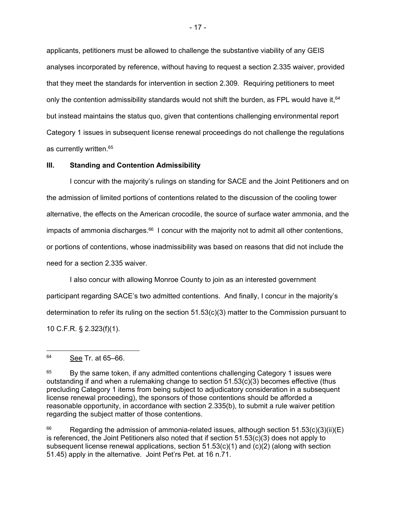applicants, petitioners must be allowed to challenge the substantive viability of any GEIS analyses incorporated by reference, without having to request a section 2.335 waiver, provided that they meet the standards for intervention in section 2.309. Requiring petitioners to meet only the contention admissibility standards would not shift the burden, as FPL would have it,  $64$ but instead maintains the status quo, given that contentions challenging environmental report Category 1 issues in subsequent license renewal proceedings do not challenge the regulations as currently written.65

#### **III. Standing and Contention Admissibility**

I concur with the majority's rulings on standing for SACE and the Joint Petitioners and on the admission of limited portions of contentions related to the discussion of the cooling tower alternative, the effects on the American crocodile, the source of surface water ammonia, and the impacts of ammonia discharges. $66$  I concur with the majority not to admit all other contentions, or portions of contentions, whose inadmissibility was based on reasons that did not include the need for a section 2.335 waiver.

I also concur with allowing Monroe County to join as an interested government participant regarding SACE's two admitted contentions. And finally, I concur in the majority's determination to refer its ruling on the section 51.53(c)(3) matter to the Commission pursuant to 10 C.F.R. § 2.323(f)(1).

<sup>66</sup> Regarding the admission of ammonia-related issues, although section  $51.53(c)(3)(ii)(E)$ is referenced, the Joint Petitioners also noted that if section 51.53(c)(3) does not apply to subsequent license renewal applications, section  $51.53(c)(1)$  and  $(c)(2)$  (along with section 51.45) apply in the alternative. Joint Pet'rs Pet. at 16 n.71.

<sup>64</sup> See Tr. at 65–66.

 $65$  By the same token, if any admitted contentions challenging Category 1 issues were outstanding if and when a rulemaking change to section 51.53(c)(3) becomes effective (thus precluding Category 1 items from being subject to adjudicatory consideration in a subsequent license renewal proceeding), the sponsors of those contentions should be afforded a reasonable opportunity, in accordance with section 2.335(b), to submit a rule waiver petition regarding the subject matter of those contentions.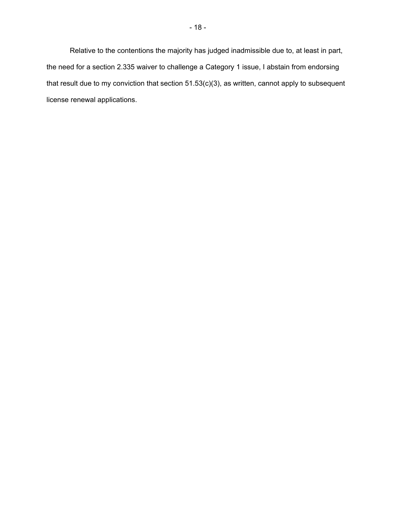Relative to the contentions the majority has judged inadmissible due to, at least in part, the need for a section 2.335 waiver to challenge a Category 1 issue, I abstain from endorsing that result due to my conviction that section 51.53(c)(3), as written, cannot apply to subsequent license renewal applications.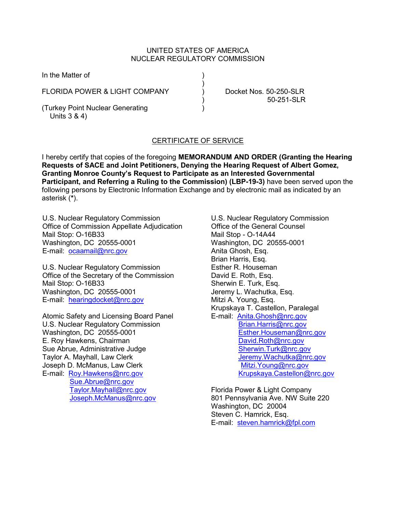### UNITED STATES OF AMERICA NUCLEAR REGULATORY COMMISSION

)

In the Matter of

FLORIDA POWER & LIGHT COMPANY (and Conduct of Docket Nos. 50-250-SLR)

(Turkey Point Nuclear Generating ) Units 3 & 4)

) 50-251-SLR

# CERTIFICATE OF SERVICE

I hereby certify that copies of the foregoing **MEMORANDUM AND ORDER (Granting the Hearing Requests of SACE and Joint Petitioners, Denying the Hearing Request of Albert Gomez, Granting Monroe County's Request to Participate as an Interested Governmental Participant, and Referring a Ruling to the Commission) (LBP-19-3)** have been served upon the following persons by Electronic Information Exchange and by electronic mail as indicated by an asterisk (**\***).

U.S. Nuclear Regulatory Commission Office of Commission Appellate Adjudication Mail Stop: O-16B33 Washington, DC 20555-0001 E-mail: [ocaamail@nrc.gov](mailto:ocaamail@nrc.gov)

U.S. Nuclear Regulatory Commission Office of the Secretary of the Commission Mail Stop: O-16B33 Washington, DC 20555-0001 E-mail: [hearingdocket@nrc.gov](mailto:hearingdocket@nrc.gov)

Atomic Safety and Licensing Board Panel U.S. Nuclear Regulatory Commission Washington, DC 20555-0001 E. Roy Hawkens, Chairman Sue Abrue, Administrative Judge Taylor A. Mayhall, Law Clerk Joseph D. McManus, Law Clerk E-mail: [Roy.Hawkens@nrc.gov](mailto:Roy.Hawkens@nrc.gov) [Sue.Abrue@nrc.gov](mailto:Sue.Abrue@nrc.gov) [Taylor.Mayhall@nrc.gov](mailto:Taylor.Mayhall@nrc.gov) [Joseph.McManus@nrc.gov](mailto:Joseph.McManus@nrc.gov)

U.S. Nuclear Regulatory Commission Office of the General Counsel Mail Stop - O-14A44 Washington, DC 20555-0001 Anita Ghosh, Esq. Brian Harris, Esq. Esther R. Houseman David E. Roth, Esq. Sherwin E. Turk, Esq. Jeremy L. Wachutka, Esq. Mitzi A. Young, Esq. Krupskaya T. Castellon, Paralegal E-mail: [Anita.Ghosh@nrc.gov](mailto:Anita.Ghosh@nrc.gov) [Brian.Harris@nrc.gov](mailto:brian.harris@nrc.gov) [Esther.Houseman@nrc.gov](mailto:Esther.Houseman@nrc.gov) [David.Roth@nrc.gov](mailto:David.Roth@nrc.gov) [Sherwin.Turk@nrc.gov](mailto:Sherwin.Turk@nrc.gov) [Jeremy.Wachutka@nrc.gov](mailto:Jeremy.Wachutka@nrc.gov) [Mitzi.Young@nrc.gov](mailto:Mitzi.Young@nrc.gov) [Krupskaya.Castellon@nrc.gov](mailto:Krupskaya.Castellon@nrc.gov)

Florida Power & Light Company 801 Pennsylvania Ave. NW Suite 220 Washington, DC 20004 Steven C. Hamrick, Esq. E-mail: [steven.hamrick@fpl.com](mailto:steven.hamrick@fpl.com)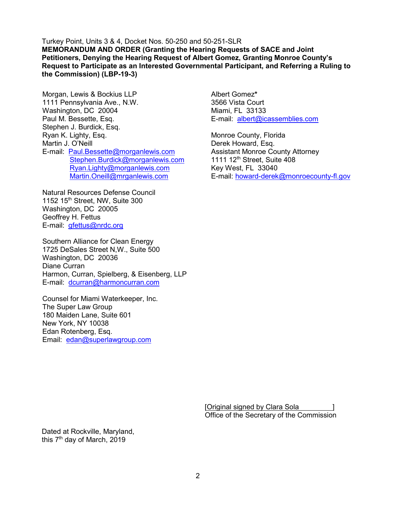Turkey Point, Units 3 & 4, Docket Nos. 50-250 and 50-251-SLR **MEMORANDUM AND ORDER (Granting the Hearing Requests of SACE and Joint Petitioners, Denying the Hearing Request of Albert Gomez, Granting Monroe County's Request to Participate as an Interested Governmental Participant, and Referring a Ruling to the Commission) (LBP-19-3)**

Morgan, Lewis & Bockius LLP 1111 Pennsylvania Ave., N.W. Washington, DC 20004 Paul M. Bessette, Esq. Stephen J. Burdick, Esq. Ryan K. Lighty, Esq. Martin J. O'Neill E-mail: [Paul.Bessette@morganlewis.com](mailto:Paul.Bessette@morganlewis.com) [Stephen.Burdick@morganlewis.com](mailto:Stephen.Burdick@morganlewis.com) [Ryan.Lighty@morganlewis.com](mailto:Ryan.Lighty@morganlewis.com) [Martin.Oneill@mrganlewis.com](mailto:Martin.Oneill@mrganlewis.com)

Natural Resources Defense Council 1152 15th Street, NW, Suite 300 Washington, DC 20005 Geoffrey H. Fettus E-mail: [gfettus@nrdc.org](mailto:gfettus@nrdc.org)

Southern Alliance for Clean Energy 1725 DeSales Street N,W., Suite 500 Washington, DC 20036 Diane Curran Harmon, Curran, Spielberg, & Eisenberg, LLP E-mail: [dcurran@harmoncurran.com](mailto:dcurran@harmoncurran.com)

Counsel for Miami Waterkeeper, Inc. The Super Law Group 180 Maiden Lane, Suite 601 New York, NY 10038 Edan Rotenberg, Esq. Email: [edan@superlawgroup.com](mailto:edan@superlawgroup.com)

Albert Gomez**\*** 3566 Vista Court Miami, FL 33133 E-mail: [albert@icassemblies.com](mailto:albert@icassemblies.com)

Monroe County, Florida Derek Howard, Esq. Assistant Monroe County Attorney 1111 12th Street, Suite 408 Key West, FL 33040 E-mail: [howard-derek@monroecounty-fl.gov](mailto:dastugue-lauriehoward-derek@monroecounty-fl.gov)

[Original signed by Clara Sola Office of the Secretary of the Commission

Dated at Rockville, Maryland, this  $7<sup>th</sup>$  day of March, 2019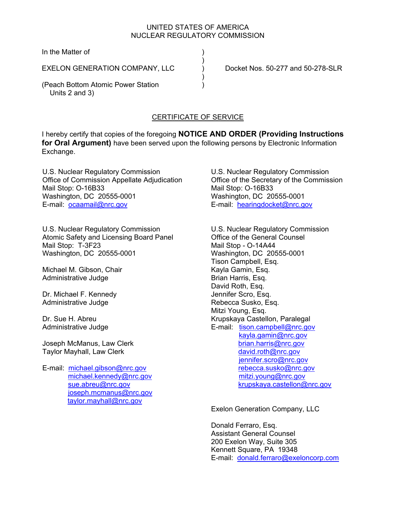### UNITED STATES OF AMERICA NUCLEAR REGULATORY COMMISSION

In the Matter of (1)

EXELON GENERATION COMPANY, LLC <br>
Docket Nos. 50-277 and 50-278-SLR

 $)$ 

) and the contract of  $\mathcal{L}$ 

(Peach Bottom Atomic Power Station ) Units 2 and 3)

## CERTIFICATE OF SERVICE

I hereby certify that copies of the foregoing **NOTICE AND ORDER (Providing Instructions for Oral Argument)** have been served upon the following persons by Electronic Information Exchange.

U.S. Nuclear Regulatory Commission Office of Commission Appellate Adjudication Mail Stop: O-16B33 Washington, DC 20555-0001 E-mail: ocaamail@nrc.gov

U.S. Nuclear Regulatory Commission Atomic Safety and Licensing Board Panel Mail Stop: T-3F23 Washington, DC 20555-0001

Michael M. Gibson, Chair Administrative Judge

Dr. Michael F. Kennedy Administrative Judge

Dr. Sue H. Abreu Administrative Judge

Joseph McManus, Law Clerk Taylor Mayhall, Law Clerk

E-mail: michael.gibson@nrc.gov michael.kennedy@nrc.gov sue.abreu@nrc.gov joseph.mcmanus@nrc.gov taylor.mayhall@nrc.gov

U.S. Nuclear Regulatory Commission Office of the Secretary of the Commission Mail Stop: O-16B33 Washington, DC 20555-0001 E-mail: hearingdocket@nrc.gov

U.S. Nuclear Regulatory Commission Office of the General Counsel Mail Stop - O-14A44 Washington, DC 20555-0001 Tison Campbell, Esq. Kayla Gamin, Esq. Brian Harris, Esq. David Roth, Esq. Jennifer Scro, Esq. Rebecca Susko, Esq. Mitzi Young, Esq. Krupskaya Castellon, Paralegal E-mail: tison.campbell@nrc.gov kayla.gamin@nrc.gov brian.harris@nrc.gov david.roth@nrc.gov jennifer.scro@nrc.gov rebecca.susko@nrc.gov mitzi.young@nrc.gov krupskaya.castellon@nrc.gov

Exelon Generation Company, LLC

Donald Ferraro, Esq. Assistant General Counsel 200 Exelon Way, Suite 305 Kennett Square, PA 19348 E-mail: donald.ferraro@exeloncorp.com